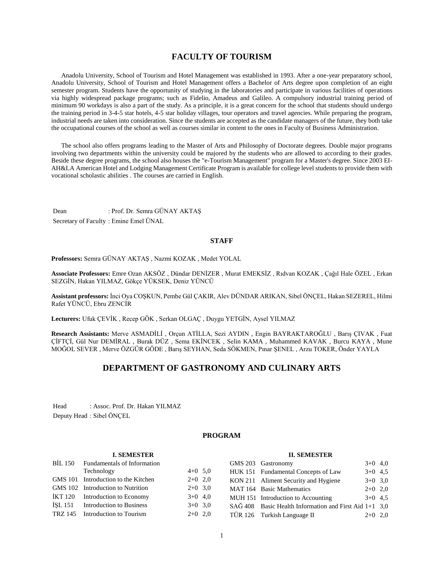# **FACULTY OF TOURISM**

 Anadolu University, School of Tourism and Hotel Management was established in 1993. After a one-year preparatory school, Anadolu University, School of Tourism and Hotel Management offers a Bachelor of Arts degree upon completion of an eight semester program. Students have the opportunity of studying in the laboratories and participate in various facilities of operations via highly widespread package programs; such as Fidelio, Amadeus and Galileo. A compulsory industrial training period of minimum 90 workdays is also a part of the study. As a principle, it is a great concern for the school that students should undergo the training period in 3-4-5 star hotels, 4-5 star holiday villages, tour operators and travel agencies. While preparing the program, industrial needs are taken into consideration. Since the students are accepted as the candidate managers of the future, they both take the occupational courses of the school as well as courses similar in content to the ones in Faculty of Business Administration.

 The school also offers programs leading to the Master of Arts and Philosophy of Doctorate degrees. Double major programs involving two departments within the university could be majored by the students who are allowed to according to their grades. Beside these degree programs, the school also houses the "e-Tourism Management" program for a Master's degree. Since 2003 EI-AH&LA American Hotel and Lodging Management Certificate Program is available for college level students to provide them with vocational scholastic abilities . The courses are carried in English.

Dean : Prof. Dr. Semra GÜNAY AKTAŞ Secretary of Faculty : Emine Emel ÜNAL

#### **STAFF**

**Professors:** Semra GÜNAY AKTAŞ , Nazmi KOZAK , Medet YOLAL

**Associate Professors:** Emre Ozan AKSÖZ , Dündar DENİZER , Murat EMEKSİZ , Rıdvan KOZAK , Çağıl Hale ÖZEL , Erkan SEZGİN, Hakan YILMAZ, Gökçe YÜKSEK, Deniz YÜNCÜ

**Assistant professors:** İnci Oya COŞKUN, Pembe Gül ÇAKIR, Alev DÜNDAR ARIKAN, Sibel ÖNÇEL, Hakan SEZEREL, Hilmi Rafet YÜNCÜ, Ebru ZENCİR

**Lecturers:** Ufuk ÇEVİK , Recep GÖK , Serkan OLGAÇ , Duygu YETGİN, Aysel YILMAZ

**Research Assistants:** Merve ASMADİLİ , Orçun ATİLLA, Sezi AYDIN , Engin BAYRAKTAROĞLU , Barış ÇIVAK , Fuat ÇİFTÇİ, Gül Nur DEMİRAL , Burak DÜZ , Sema EKİNCEK , Selin KAMA , Muhammed KAVAK , Burcu KAYA , Mune MOĞOL SEVER , Merve ÖZGÜR GÖDE , Barış SEYHAN, Seda SÖKMEN, Pınar ŞENEL , Arzu TOKER, Önder YAYLA

# **DEPARTMENT OF GASTRONOMY AND CULINARY ARTS**

Head : Assoc. Prof. Dr. Hakan YILMAZ Deputy Head : Sibel ÖNÇEL

## **PROGRAM**

#### **I. SEMESTER** BİL 150 Fundamentals of Information Technology  $4+0$  5,0 GMS 101 Introduction to the Kitchen 2+0 2,0 GMS 102 Introduction to Nutrition 2+0 3,0  $IKT 120$  Introduction to Economy  $3+0$  4.0 İŞL 151 Introduction to Business 3+0 3,0 TRZ 145 Introduction to Tourism 2+0 2.0 **II. SEMESTER** GMS 203 Gastronomy 3+0 4,0 HUK 151 Fundamental Concepts of Law 3+0 4,5 KON 211 Aliment Security and Hygiene  $3+0$  3,0 MAT 164 Basic Mathematics 2+0 2.0 MUH 151 Introduction to Accounting  $3+0$  4,5 SAĞ 408 Basic Health Information and First Aid 1+1 3,0 TÜR 126 Turkish Language II 2+0 2,0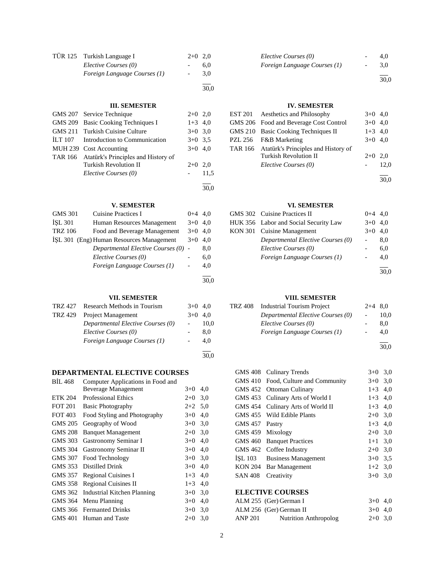| TÜR 125 Turkish Language I   | $2+0$ 2.0 |     |
|------------------------------|-----------|-----|
| Elective Courses (0)         |           | 6.0 |
| Foreign Language Courses (1) |           | 3.0 |
|                              |           |     |

## **III. SEMESTER**

30,0

30,0

| GMS 207 Service Technique                   | $2+0$ 2,0 |      |
|---------------------------------------------|-----------|------|
| GMS 209 Basic Cooking Techniques I          | $1+3$ 4,0 |      |
| GMS 211 Turkish Cuisine Culture             | $3+0$ 3.0 |      |
| ILT 107 Introduction to Communication       | $3+0$ 3.5 |      |
| MUH 239 Cost Accounting                     | $3+0$ 4.0 |      |
| TAR 166 Atatürk's Principles and History of |           |      |
| <b>Turkish Revolution II</b>                | $2+0$ 2.0 |      |
| Elective Courses (0)                        |           | 11.5 |
|                                             |           |      |

## **V. SEMESTER**

| <b>GMS 301</b> | Cuisine Practices I                      | $0 + 4$ | 4.0  |
|----------------|------------------------------------------|---------|------|
| <b>ISL 301</b> | Human Resources Management               | $3+0$   | 4.0  |
| <b>TRZ 106</b> | Food and Beverage Management             | $3+0$   | 4.0  |
|                | ISL 301 (Eng) Human Resources Management | $3+0$   | 4.0  |
|                | Departmental Elective Courses (0) -      |         | 8,0  |
|                | Elective Courses (0)                     |         | 6,0  |
|                | Foreign Language Courses (1)             |         | 4,0  |
|                |                                          |         |      |
|                |                                          |         | 30.0 |

## **VII. SEMESTER**

| TRZ 427 | Research Methods in Tourism       | $3+0$ 4.0 |      |
|---------|-----------------------------------|-----------|------|
| TRZ 429 | Project Management                | $3+0$ 4.0 |      |
|         | Departmental Elective Courses (0) |           | 10.0 |
|         | Elective Courses (0)              |           | 8.0  |
|         | Foreign Language Courses (1)      |           | 4.0  |
|         |                                   |           | 30,0 |

# **DEPARTMENTAL ELECTIVE COURSES**

| <b>BIL 468</b> | Computer Applications in Food and  |         |     |
|----------------|------------------------------------|---------|-----|
|                | <b>Beverage Management</b>         | $3+0$   | 4,0 |
| <b>ETK 204</b> | <b>Professional Ethics</b>         | $2+0$   | 3,0 |
| <b>FOT 201</b> | <b>Basic Photography</b>           | $2+2$   | 5,0 |
| <b>FOT 403</b> | Food Styling and Photography       | $3+0$   | 4,0 |
| <b>GMS 205</b> | Geography of Wood                  | $3+0$   | 3,0 |
| <b>GMS 208</b> | <b>Banquet Management</b>          | $2+0$   | 3,0 |
| GMS 303        | Gastronomy Seminar I               | $3+0$   | 4,0 |
| <b>GMS 304</b> | Gastronomy Seminar II              | $3+0$   | 4,0 |
| <b>GMS 307</b> | Food Technology                    | $3+0$   | 3,0 |
| GMS 353        | Distilled Drink                    | $3+0$   | 4,0 |
| GMS 357        | <b>Regional Cuisines I</b>         | $1 + 3$ | 4,0 |
| GMS 358        | <b>Regional Cuisines II</b>        | $1 + 3$ | 4,0 |
| GMS 362        | <b>Industrial Kitchen Planning</b> | $3+0$   | 3,0 |
| GMS 364        | Menu Planning                      | $3+0$   | 4,0 |
| GMS 366        | <b>Fermanted Drinks</b>            | $3+0$   | 3,0 |
| GMS 401        | Human and Taste                    | $2+0$   | 3,0 |
|                |                                    |         |     |

| Elective Courses (0)         |        | 4.0 |
|------------------------------|--------|-----|
| Foreign Language Courses (1) | $\sim$ | 3.0 |
|                              |        |     |

30,0

## **IV. SEMESTER**

| EST 201 Aesthetics and Philosophy           | $3+0$ 4.0 |      |
|---------------------------------------------|-----------|------|
| GMS 206 Food and Beverage Cost Control      | $3+0$ 4.0 |      |
| GMS 210 Basic Cooking Techniques II         | $1+3$ 4,0 |      |
| PZL 256 F&B Marketing                       | $3+0$ 4.0 |      |
| TAR 166 Atatürk's Principles and History of |           |      |
| <b>Turkish Revolution II</b>                | $2+0$     | 2.0  |
| Elective Courses (0)                        |           | 12,0 |
|                                             |           | 30.0 |

## **VI. SEMESTER**

| GMS 302 Cuisine Practices II          | $0+4$ 4.0 |      |
|---------------------------------------|-----------|------|
| HUK 356 Labor and Social Security Law | $3+0$ 4.0 |      |
| KON 301 Cuisine Management            | $3+0$ 4,0 |      |
| Departmental Elective Courses (0)     |           | 8.0  |
| Elective Courses (0)                  |           | 6,0  |
| Foreign Language Courses (1)          |           | 4,0  |
|                                       |           |      |
|                                       |           | 30.0 |

## **VIII. SEMESTER**

| TRZ 408 | <b>Industrial Tourism Project</b> | $2+4$ 8.0 |      |
|---------|-----------------------------------|-----------|------|
|         | Departmental Elective Courses (0) |           | 10.0 |
|         | Elective Courses (0)              |           | 8.0  |
|         | Foreign Language Courses (1)      |           | 4.0  |
|         |                                   |           |      |

30,0

| GMS 408        | <b>Culinary Trends</b>      | $3+0$ 3,0 |     |  |  |
|----------------|-----------------------------|-----------|-----|--|--|
| GMS 410        | Food, Culture and Community | $3+0$ 3,0 |     |  |  |
| GMS 452        | Ottoman Culinary            | $1+3$     | 4,0 |  |  |
| GMS 453        | Culinary Arts of World I    | $1+3$     | 4,0 |  |  |
| GMS 454        | Culinary Arts of World II   | $1+3$     | 4,0 |  |  |
|                | GMS 455 Wild Edible Plants  | $2+0$     | 3,0 |  |  |
| GMS 457        | Pastry                      | $1 + 3$   | 4,0 |  |  |
| GMS 459        | Mixology                    | $2+0$ 3.0 |     |  |  |
| GMS 460        | <b>Banquet Practices</b>    | $1 + 1$   | 3,0 |  |  |
| GMS 462        | Coffee Industry             | $2+0$     | 3,0 |  |  |
| ISL 103        | <b>Business Management</b>  | $3+0$     | 3.5 |  |  |
| KON 204        | Bar Management              | $1+2$ 3,0 |     |  |  |
| <b>SAN 408</b> | Creativity                  | $3+0$     | 3,0 |  |  |
|                | <b>ELECTIVE COURSES</b>     |           |     |  |  |

|         | ALM 255 (Ger) German I       | $3+0$ 4.0 |  |
|---------|------------------------------|-----------|--|
|         | ALM 256 (Ger) German II      | $3+0$ 4.0 |  |
| ANP 201 | <b>Nutrition Anthropolog</b> | $2+0$ 3.0 |  |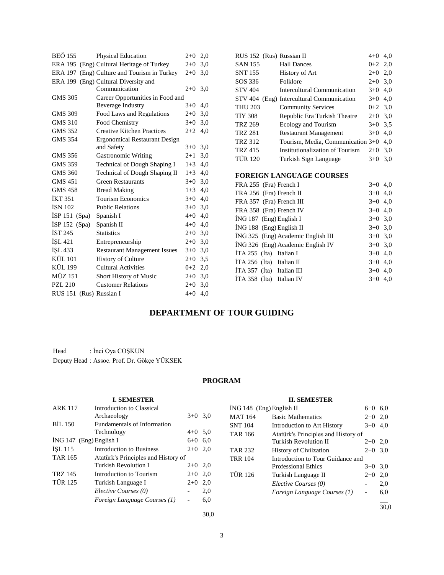| <b>Physical Education</b>                             | $2+0$   | 2,0                              |
|-------------------------------------------------------|---------|----------------------------------|
| ERA 195 (Eng) Cultural Heritage of Turkey             | $2+0$   | 3,0                              |
| ERA 197 (Eng) Culture and Tourism in Turkey           | $2 + 0$ | 3,0                              |
| ERA 199 (Eng) Cultural Diversity and<br>Communication | $2+0$   | 3,0                              |
|                                                       |         |                                  |
| Beverage Industry                                     | $3+0$   | 4,0                              |
| Food Laws and Regulations                             | $2+0$   | 3,0                              |
| Food Chemistry                                        | $3+0$   | 3,0                              |
| <b>Creative Kitchen Practices</b>                     | $2+2$   | 4,0                              |
| <b>Ergonomical Restaurant Design</b>                  |         |                                  |
| and Safety                                            | $3+0$   | 3,0                              |
| <b>Gastronomic Writing</b>                            | $2+1$   | 3,0                              |
| <b>Technical of Dough Shaping I</b>                   | $1 + 3$ | 4,0                              |
| Technical of Dough Shaping II                         | $1 + 3$ | 4,0                              |
| <b>Green Restaurants</b>                              | $3+0$   | 3,0                              |
| <b>Bread Making</b>                                   | $1 + 3$ | 4,0                              |
| <b>Tourism Economics</b>                              | $3+0$   | 4,0                              |
| <b>Public Relations</b>                               | $3+0$   | 3,0                              |
| Spanish I                                             | $4+0$   | 4,0                              |
| Spanish II                                            | $4 + 0$ | 4,0                              |
| <b>Statistics</b>                                     | $2+0$   | 3,0                              |
| Entrepreneurship                                      | $2+0$   | 3,0                              |
| <b>Restaurant Management Issues</b>                   | $3+0$   | 3,0                              |
| <b>History of Culture</b>                             | $2+0$   | 3.5                              |
| <b>Cultural Activities</b>                            | $0+2$   | 2,0                              |
| Short History of Music                                | $2+0$   | 3,0                              |
| <b>Customer Relations</b>                             | $2+0$   | 3,0                              |
| (Rus) Russian I                                       | $4 + 0$ | 4,0                              |
|                                                       |         | Career Opportunities in Food and |

| RUS 152 (Rus) Russian II                                       | $4 + 0$                                     | 4,0       |
|----------------------------------------------------------------|---------------------------------------------|-----------|
| <b>SAN 155</b><br><b>Hall Dances</b>                           | $0 + 2$                                     | 2,0       |
| <b>SNT 155</b>                                                 | History of Art                              | $2+0$ 2,0 |
| Folklore<br>SOS 336                                            | $2+0$                                       | 3,0       |
| <b>STV 404</b>                                                 | <b>Intercultural Communication</b><br>$3+0$ | 4,0       |
| STV 404 (Eng) Intercultural Communication                      | $3+0$                                       | 4,0       |
| <b>THU 203</b>                                                 | <b>Community Services</b><br>$0+2$          | 3,0       |
| <b>TIY 308</b>                                                 | Republic Era Turkish Theatre<br>$2+0$       | 3,0       |
| <b>TRZ 269</b>                                                 | <b>Ecology and Tourism</b><br>$3+0$         | 3,5       |
| <b>TRZ 281</b>                                                 | <b>Restaurant Management</b><br>$3+0$       | 4,0       |
| TRZ 312                                                        | Tourism, Media, Communication 3+0           | 4,0       |
| <b>TRZ 415</b>                                                 | Institutionalization of Tourism<br>$2+0$    | 3,0       |
| <b>TÜR 120</b>                                                 | Turkish Sign Language<br>$3+0$              | 3,0       |
|                                                                |                                             |           |
|                                                                |                                             |           |
| FOREIGN LANGUAGE COURSES                                       |                                             |           |
| FRA 255 (Fra) French I                                         | $3+0$                                       | 4,0       |
| FRA 256 (Fra) French II                                        | $3+0$                                       | 4,0       |
| FRA 357 (Fra) French III                                       |                                             | $3+0$ 4,0 |
| FRA 358 (Fra) French IV                                        | $3+0$                                       | 4,0       |
|                                                                | $3+0$                                       | 3,0       |
| İNG 187 (Eng) English I                                        | $3+0$                                       | 3,0       |
| İNG 188 (Eng) English II<br>ING 325 (Eng) Academic English III | $3+0$                                       | 3,0       |
|                                                                | $3+0$                                       | 3,0       |
| İNG 326 (Eng) Academic English IV<br>$ITA 255$ (Ita) Italian I | $3+0$                                       | 4,0       |
| İTA 256 (İta) Italian II                                       | $3+0$                                       | 4,0       |
| $ITA 357$ (Ita) Italian III                                    | $3+0$                                       | 4,0       |

# **DEPARTMENT OF TOUR GUIDING**

Head : İnci Oya COŞKUN Deputy Head : Assoc. Prof. Dr. Gökçe YÜKSEK

# **PROGRAM**

|                         | <b>I. SEMESTER</b>                  |           |     |
|-------------------------|-------------------------------------|-----------|-----|
| <b>ARK 117</b>          | Introduction to Classical           |           |     |
|                         | Archaeology                         | $3+0$ 3.0 |     |
| <b>BIL 150</b>          | <b>Fundamentals of Information</b>  |           |     |
|                         | Technology                          | $4+0$ 5,0 |     |
| ING 147 (Eng) English I |                                     | $6+0$ 6.0 |     |
| ISL 115                 | Introduction to Business            | $2+0$ 2,0 |     |
| <b>TAR 165</b>          | Atatürk's Principles and History of |           |     |
|                         | <b>Turkish Revolution I</b>         | $2+0$ 2.0 |     |
| <b>TRZ 145</b>          | Introduction to Tourism             | $2+0$ 2.0 |     |
| <b>TÜR 125</b>          | Turkish Language I                  | $2+0$     | 2,0 |
|                         | Elective Courses (0)                |           | 2,0 |
|                         | Foreign Language Courses (1)        |           | 6,0 |
|                         |                                     |           |     |

# **II. SEMESTER**

| $ING 148$ (Eng) English II |                                     | $6 + 0$ | 6,0  |
|----------------------------|-------------------------------------|---------|------|
| MAT 164                    | <b>Basic Mathematics</b>            | $2+0$   | 2,0  |
| SNT 104                    | Introduction to Art History         | $3+0$   | 4,0  |
| TAR 166                    | Atatürk's Principles and History of |         |      |
|                            | Turkish Revolution II               | $2+0$   | 2,0  |
| TAR 232                    | <b>History of Civilzation</b>       | $2+0$   | 3.0  |
| TRR 104                    | Introduction to Tour Guidance and   |         |      |
|                            | <b>Professional Ethics</b>          | $3+0$   | 3,0  |
| TÜR 126                    | Turkish Language II                 | $2+0$   | 2,0  |
|                            | Elective Courses (0)                |         | 2,0  |
|                            | Foreign Language Courses (1)        |         | 6,0  |
|                            |                                     |         | 30.0 |

30,0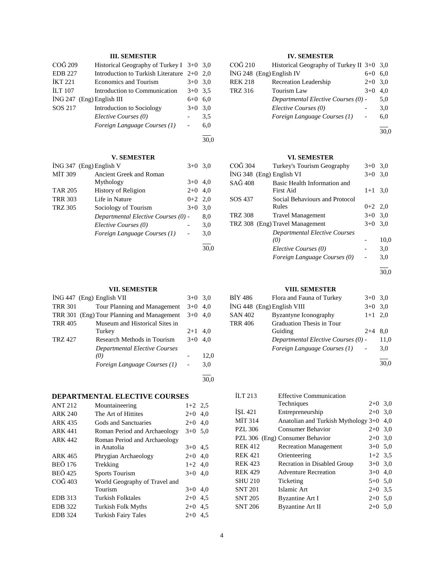# **III. SEMESTER**

| COG 209        | Historical Geography of Turkey I $3+0$ 3,0 |           |     |
|----------------|--------------------------------------------|-----------|-----|
| <b>EDB 227</b> | Introduction to Turkish Literature 2+0 2,0 |           |     |
| <b>İKT 221</b> | <b>Economics and Tourism</b>               | $3+0$ 3.0 |     |
| <b>ILT 107</b> | Introduction to Communication              | $3+0$ 3.5 |     |
|                | $ING 247$ (Eng) English III                | 6+0       | 6.0 |
| SOS 217        | Introduction to Sociology                  | $3+0$     | 3.0 |
|                | Elective Courses (0)                       |           | 3.5 |
|                | Foreign Language Courses (1)               |           | 6.0 |
|                |                                            |           |     |

#### l 30,0

## **V. SEMESTER**

|                | $ING 347$ (Eng) English V           | $3+0$ 3.0 |      |
|----------------|-------------------------------------|-----------|------|
| MIT 309        | Ancient Greek and Roman             |           |      |
|                | Mythology                           | $3+0$     | 4,0  |
| <b>TAR 205</b> | History of Religion                 | $2+0$ 4,0 |      |
| <b>TRR 303</b> | Life in Nature                      | $0+2$ 2,0 |      |
| <b>TRZ 305</b> | Sociology of Tourism                | $3+0$     | 3,0  |
|                | Departmental Elective Courses (0) - |           | 8,0  |
|                | Elective Courses (0)                |           | 3,0  |
|                | Foreign Language Courses (1)        |           | 3,0  |
|                |                                     |           | 30.0 |

## **VII. SEMESTER**

|                | $ING 447$ (Eng) English VII                | $3+0$             | 3.0  |
|----------------|--------------------------------------------|-------------------|------|
| <b>TRR 301</b> | Tour Planning and Management               | $3+0$             | 4.0  |
|                | TRR 301 (Eng) Tour Planning and Management | $3+0$             | 4.0  |
| <b>TRR 405</b> | Museum and Historical Sites in             |                   |      |
|                | Turkey                                     | $2+1$             | 4.0  |
| TRZ 427        | Research Methods in Tourism                | $3+0$             | 4.0  |
|                | Departmental Elective Courses              |                   |      |
|                | (0)                                        |                   | 12,0 |
|                | Foreign Language Courses (1)               | $\qquad \qquad -$ | 3,0  |
|                |                                            |                   |      |

# **DEPARTMENTAL ELECTIVE COURSES**

| <b>ANT 212</b> | Mountaineering                | $1+2$ 2.5 |     |
|----------------|-------------------------------|-----------|-----|
| <b>ARK 240</b> | The Art of Hittites           | $2+0$     | 4,0 |
| <b>ARK 435</b> | Gods and Sanctuaries          | $2+0$     | 4.0 |
| <b>ARK 441</b> | Roman Period and Archaeology  | $3+0$ 5.0 |     |
| <b>ARK 442</b> | Roman Period and Archaeology  |           |     |
|                | in Anatolia                   | $3+0$ 4.5 |     |
| ARK 465        | Phrygian Archaeology          | $2+0$     | 4.0 |
| <b>BEÖ 176</b> | Trekking                      | $1+2$ 4.0 |     |
| <b>BEÖ</b> 425 | Sports Tourism                | $3+0$ 4.0 |     |
| COG 403        | World Geography of Travel and |           |     |
|                | Tourism                       | $3+0$     | 4.0 |
| <b>EDB</b> 313 | Turkish Folktales             | $2+0$     | 4.5 |
| <b>EDB</b> 322 | <b>Turkish Folk Myths</b>     | $2+0$     | 4,5 |
| <b>EDB</b> 324 | <b>Turkish Fairy Tales</b>    | $2+0$     | 4.5 |
|                |                               |           |     |

# **IV. SEMESTER**

| CO <sub>G</sub> 210        | Historical Geography of Turkey II $3+0$ 3,0 |       |     |
|----------------------------|---------------------------------------------|-------|-----|
| $ING 248$ (Eng) English IV |                                             | $6+0$ | 6.0 |
| <b>REK 218</b>             | Recreation Leadership                       | $2+0$ | 3,0 |
| <b>TRZ 316</b>             | Tourism Law                                 | $3+0$ | 4.0 |
|                            | Departmental Elective Courses (0) -         |       | 5,0 |
|                            | Elective Courses (0)                        |       | 3,0 |
|                            | Foreign Language Courses (1)                |       | 6,0 |
|                            |                                             |       |     |

30,0

## **VI. SEMESTER**

| COĞ 304                  | Turkey's Tourism Geography           | $3+0$ 3.0 |      |
|--------------------------|--------------------------------------|-----------|------|
| ING 348 (Eng) English VI |                                      | $3+0$     | 3,0  |
| SAĞ 408                  | Basic Health Information and         |           |      |
|                          | First Aid                            | $1+1$ 3.0 |      |
| SOS 437                  | Social Behaviours and Protocol       |           |      |
|                          | Rules                                | $0+2$ 2,0 |      |
| <b>TRZ 308</b>           | <b>Travel Management</b>             | $3+0$ 3.0 |      |
|                          | TRZ 308 (Eng) Travel Management      | $3+0$ 3.0 |      |
|                          | <b>Departmental Elective Courses</b> |           |      |
|                          | (0)                                  |           | 10,0 |
|                          | Elective Courses (0)                 |           | 3,0  |
|                          | Foreign Language Courses (0)         |           | 3,0  |

l 30,0

## **VIII. SEMESTER**

| BİY 486                    | Flora and Fauna of Turkey           | $3+0$ 3,0 |      |
|----------------------------|-------------------------------------|-----------|------|
| ING 448 (Eng) English VIII |                                     | $3+0$     | 3,0  |
| SAN 402                    | Byzantyne Iconography               | $1+1$ 2,0 |      |
| TRR 406                    | Graduation Thesis in Tour           |           |      |
|                            | Guiding                             | $2+4$     | 8.0  |
|                            | Departmental Elective Courses (0) - |           | 11,0 |
|                            | Foreign Language Courses (1)        |           | 3,0  |
|                            |                                     |           |      |
|                            |                                     |           | 30.0 |

| $\overline{11}$ T 213 | <b>Effective Communication</b>      |           |     |
|-----------------------|-------------------------------------|-----------|-----|
|                       | Techniques                          | $2+0$ 3,0 |     |
| <b>ISL 421</b>        | Entrepreneurship                    | $2+0$ 3,0 |     |
| <b>MIT 314</b>        | Anatolian and Turkish Mythology 3+0 |           | 4.0 |
| <b>PZL 306</b>        | Consumer Behavior                   | $2+0$ 3,0 |     |
|                       | PZL 306 (Eng) Consumer Behavior     | $2+0$ 3,0 |     |
| <b>REK 412</b>        | <b>Recreation Management</b>        | $3+0$ 5.0 |     |
| <b>REK 421</b>        | Orienteering                        | $1+2$ 3.5 |     |
| <b>REK 423</b>        | Recration in Disabled Group         | $3+0$ 3.0 |     |
| <b>REK 429</b>        | <b>Adventure Recreation</b>         | $3+0$ 4,0 |     |
| <b>SHU 210</b>        | Ticketing                           | $5+0$ 5.0 |     |
| <b>SNT 201</b>        | Islamic Art                         | $2+0$ 3.5 |     |
| <b>SNT 205</b>        | Byzantine Art I                     | $2+0$ 5.0 |     |
| <b>SNT 206</b>        | <b>Byzantine Art II</b>             | $2+0$ 5.0 |     |
|                       |                                     |           |     |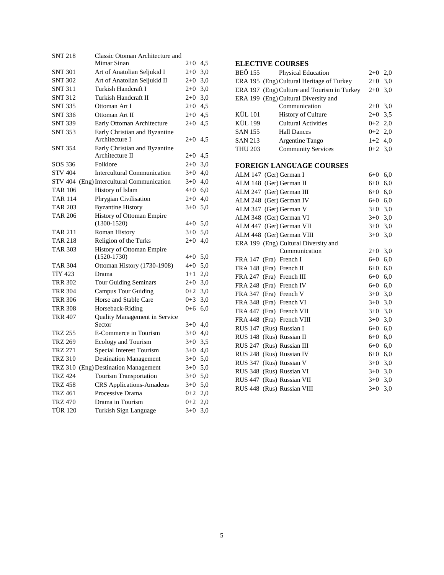| <b>SNT 218</b> | Classic Otoman Architecture and              |         |     |
|----------------|----------------------------------------------|---------|-----|
|                | Mimar Sinan                                  | $2+0$   | 4,5 |
| <b>SNT 301</b> | Art of Anatolian Seljukid I                  | $2+0$   | 3,0 |
| <b>SNT 302</b> | Art of Anatolian Seljukid II                 | $2 + 0$ | 3,0 |
| <b>SNT 311</b> | Turkish Handcraft I                          | $2+0$   | 3,0 |
| <b>SNT 312</b> | Turkish Handcraft II                         | $2+0$   | 3,0 |
| SNT 335        | Ottoman Art I                                | $2+0$   | 4,5 |
| <b>SNT 336</b> | Ottoman Art II                               | $2 + 0$ | 4,5 |
| <b>SNT 339</b> | Early Ottoman Architecture                   | $2+0$   | 4,5 |
| <b>SNT 353</b> | Early Christian and Byzantine                |         |     |
|                | Architecture I                               | $2+0$   | 4,5 |
| <b>SNT 354</b> | Early Christian and Byzantine                |         |     |
|                | Architecture II                              | $2 + 0$ | 4,5 |
| SOS 336        | Folklore                                     | $2+0$   | 3,0 |
| <b>STV 404</b> | <b>Intercultural Communication</b>           | $3+0$   | 4,0 |
| STV 404        | (Eng) Intercultural Communication            | $3+0$   | 4,0 |
| <b>TAR 106</b> | History of Islam                             | $4 + 0$ | 6,0 |
| <b>TAR 114</b> | Phrygian Civilisation                        | $2+0$   | 4,0 |
| <b>TAR 203</b> | <b>Byzantine History</b>                     | $3+0$   | 5,0 |
| <b>TAR 206</b> | History of Ottoman Empire                    |         |     |
|                | $(1300-1520)$                                | $4 + 0$ | 5,0 |
| <b>TAR 211</b> | <b>Roman History</b>                         | $3+0$   | 5,0 |
| <b>TAR 218</b> | Religion of the Turks                        | $2 + 0$ | 4,0 |
| <b>TAR 303</b> | History of Ottoman Empire<br>$(1520 - 1730)$ | $4 + 0$ | 5,0 |
| <b>TAR 304</b> | Ottoman History (1730-1908)                  | $4 + 0$ | 5,0 |
| <b>TIY 423</b> | Drama                                        | $1+1$   | 2,0 |
| <b>TRR 302</b> | <b>Tour Guiding Seminars</b>                 | $2 + 0$ | 3,0 |
| <b>TRR 304</b> | <b>Campus Tour Guiding</b>                   | $0 + 2$ | 3,0 |
| <b>TRR 306</b> | Horse and Stable Care                        | $0 + 3$ | 3,0 |
| <b>TRR 308</b> | Horseback-Riding                             | $0 + 6$ | 6,0 |
| <b>TRR 407</b> | Quality Management in Service                |         |     |
|                | Sector                                       | $3+0$   | 4,0 |
| <b>TRZ 255</b> | E-Commerce in Tourism                        | $3+0$   | 4,0 |
| <b>TRZ 269</b> | Ecology and Tourism                          | $3+0$   | 3,5 |
| <b>TRZ 271</b> | Special Interest Tourism                     | $3+0$   | 4,0 |
| <b>TRZ 310</b> | <b>Destination Management</b>                | $3+0$   | 5,0 |
|                | TRZ 310 (Eng) Destination Management         | $3+0$   | 5,0 |
| <b>TRZ 424</b> | <b>Tourism Transportation</b>                | $3+0$   | 5,0 |
| <b>TRZ 458</b> | <b>CRS</b> Applications-Amadeus              | $3+0$   | 5,0 |
| <b>TRZ 461</b> | Processive Drama                             | $0 + 2$ | 2,0 |
| <b>TRZ 470</b> | Drama in Tourism                             | $0 + 2$ | 2,0 |
| <b>TÜR 120</b> | Turkish Sign Language                        | $3+0$   | 3,0 |
|                |                                              |         |     |

# **ELECTIVE COURSES**

| BEÖ 155        | <b>Physical Education</b>                   | $2+0$     | 2,0 |
|----------------|---------------------------------------------|-----------|-----|
|                | ERA 195 (Eng) Cultural Heritage of Turkey   | $2+0$     | 3,0 |
|                | ERA 197 (Eng) Culture and Tourism in Turkey | $2+0$     | 3,0 |
|                | ERA 199 (Eng) Cultural Diversity and        |           |     |
|                | Communication                               | $2+0$ 3,0 |     |
| <b>KÜL 101</b> | <b>History of Culture</b>                   | $2+0$ 3.5 |     |
| <b>KÜL 199</b> | <b>Cultural Activities</b>                  | $0+2$ 2,0 |     |
| <b>SAN 155</b> | <b>Hall Dances</b>                          | $0+2$ 2,0 |     |
| <b>SAN 213</b> | Argentine Tango                             | $1+2$ 4,0 |     |
| <b>THU 203</b> | <b>Community Services</b>                   | $0+2$ 3.0 |     |
|                |                                             |           |     |
|                |                                             |           |     |

# **FOREIGN LANGUAGE COURSES**

| ALM 147 (Ger) German I     |                                      | $6 + 0$   | 6,0 |
|----------------------------|--------------------------------------|-----------|-----|
| ALM 148 (Ger) German II    |                                      | $6+0$     | 6,0 |
| ALM 247 (Ger) German III   |                                      | 6+0       | 6,0 |
| ALM 248 (Ger) German IV    |                                      | $6+0$ 6,0 |     |
| ALM 347 (Ger) German V     |                                      | $3+0$ 3.0 |     |
| ALM 348 (Ger) German VI    |                                      | $3+0$ 3,0 |     |
| ALM 447 (Ger) German VII   |                                      | $3+0$ 3,0 |     |
| ALM 448 (Ger) German VIII  |                                      | $3+0$ 3,0 |     |
|                            | ERA 199 (Eng) Cultural Diversity and |           |     |
|                            | Communication                        | $2+0$ 3,0 |     |
| FRA 147 (Fra) French I     |                                      | $6 + 0$   | 6,0 |
| FRA 148 (Fra) French II    |                                      | $6+0$ 6,0 |     |
| FRA 247 (Fra) French III   |                                      | $6+0$ 6,0 |     |
| FRA 248 (Fra) French IV    |                                      | $6+0$ 6,0 |     |
| FRA 347 (Fra) French V     |                                      | $3+0$ 3,0 |     |
| FRA 348 (Fra) French VI    |                                      | $3+0$ 3,0 |     |
| FRA 447 (Fra) French VII   |                                      | $3+0$ 3,0 |     |
| FRA 448 (Fra) French VIII  |                                      | $3+0$ 3,0 |     |
| RUS 147 (Rus) Russian I    |                                      | $6+0$ 6,0 |     |
| RUS 148 (Rus) Russian II   |                                      | $6+0$     | 6,0 |
| RUS 247 (Rus) Russian III  |                                      | $6 + 0$   | 6,0 |
| RUS 248 (Rus) Russian IV   |                                      | $6 + 0$   | 6,0 |
| RUS 347 (Rus) Russian V    |                                      | $3+0$ 3,0 |     |
| RUS 348 (Rus) Russian VI   |                                      | $3+0$ 3,0 |     |
| RUS 447 (Rus) Russian VII  |                                      | $3+0$ 3.0 |     |
| RUS 448 (Rus) Russian VIII |                                      | $3+0$     | 3,0 |
|                            |                                      |           |     |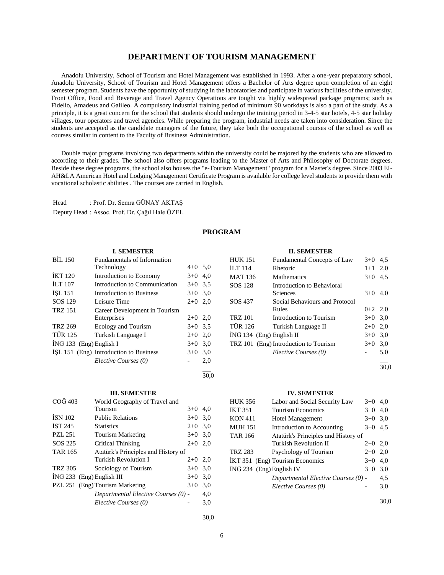# **DEPARTMENT OF TOURISM MANAGEMENT**

 Anadolu University, School of Tourism and Hotel Management was established in 1993. After a one-year preparatory school, Anadolu University, School of Tourism and Hotel Management offers a Bachelor of Arts degree upon completion of an eight semester program. Students have the opportunity of studying in the laboratories and participate in various facilities of the university. Front Office, Food and Beverage and Travel Agency Operations are tought via highly widespread package programs; such as Fidelio, Amadeus and Galileo. A compulsory industrial training period of minimum 90 workdays is also a part of the study. As a principle, it is a great concern for the school that students should undergo the training period in 3-4-5 star hotels, 4-5 star holiday villages, tour operators and travel agencies. While preparing the program, industrial needs are taken into consideration. Since the students are accepted as the candidate managers of the future, they take both the occupational courses of the school as well as courses similar in content to the Faculty of Business Administration.

 Double major programs involving two departments within the university could be majored by the students who are allowed to according to their grades. The school also offers programs leading to the Master of Arts and Philosophy of Doctorate degrees. Beside these degree programs, the school also houses the "e-Tourism Management" program for a Master's degree. Since 2003 EI-AH&LA American Hotel and Lodging Management Certificate Program is available for college level students to provide them with vocational scholastic abilities . The courses are carried in English.

Head : Prof. Dr. Semra GÜNAY AKTAŞ Deputy Head : Assoc. Prof. Dr. Çağıl Hale ÖZEL

## **PROGRAM**

## **I. SEMESTER**

| <b>BIL 150</b>          | <b>Fundamentals of Information</b>     |           |     |
|-------------------------|----------------------------------------|-----------|-----|
|                         | Technology                             | $4+0$ 5,0 |     |
| <b>IKT 120</b>          | Introduction to Economy                | $3+0$ 4,0 |     |
| <b>ILT 107</b>          | Introduction to Communication          | $3+0$ 3.5 |     |
| ISL 151                 | <b>Introduction to Business</b>        | $3+0$ 3,0 |     |
| SOS 129                 | Leisure Time                           | $2+0$ 2,0 |     |
| <b>TRZ 151</b>          | Career Development in Tourism          |           |     |
|                         | Enterprises                            | $2+0$ 2,0 |     |
| <b>TRZ 269</b>          | Ecology and Tourism                    | $3+0$ 3.5 |     |
| <b>TÜR 125</b>          | Turkish Language I                     | $2+0$     | 2,0 |
| ING 133 (Eng) English I |                                        | $3+0$     | 3,0 |
|                         | ISL 151 (Eng) Introduction to Business | $3+0$     | 3,0 |
|                         | Elective Courses (0)                   |           | 2,0 |
|                         |                                        |           |     |

| ٦<br>œ | I<br>٩ | I<br>٩ |
|--------|--------|--------|

## **III. SEMESTER**

| COG 403        | World Geography of Travel and       |           |     |
|----------------|-------------------------------------|-----------|-----|
|                | Tourism                             | $3+0$     | 4,0 |
| <b>ISN 102</b> | <b>Public Relations</b>             | $3+0$     | 3,0 |
| IST245         | <b>Statistics</b>                   | $2+0$     | 3,0 |
| <b>PZL 251</b> | <b>Tourism Marketing</b>            | $3+0$ 3.0 |     |
| SOS 225        | Critical Thinking                   | $2+0$     | 2,0 |
| <b>TAR 165</b> | Atatürk's Principles and History of |           |     |
|                | Turkish Revolution I                | $2+0$     | 2,0 |
| <b>TRZ 305</b> | Sociology of Tourism                | $3+0$     | 3,0 |
|                | $ING 233$ (Eng) English III         | $3+0$     | 3,0 |
|                | PZL 251 (Eng) Tourism Marketing     | $3+0$     | 3,0 |
|                | Departmental Elective Courses (0) - |           | 4,0 |
|                | Elective Courses (0)                |           | 3,0 |
|                |                                     |           |     |

6

## **II. SEMESTER**

| <b>HUK 151</b>             | Fundamental Concepts of Law           | $3+0$     | 4.5 |
|----------------------------|---------------------------------------|-----------|-----|
| $\overline{L}$ T 114       | Rhetoric                              | $1+1$     | 2,0 |
| <b>MAT 136</b>             | <b>Mathematics</b>                    | $3+0$     | 4,5 |
| SOS 128                    | Introduction to Behavioral            |           |     |
|                            | Sciences                              | $3+0$     | 4,0 |
| SOS 437                    | Social Behaviours and Protocol        |           |     |
|                            | Rules                                 | $0+2$ 2.0 |     |
| <b>TRZ 101</b>             | Introduction to Tourism               | $3+0$ 3.0 |     |
| <b>TÜR 126</b>             | Turkish Language II                   | $2+0$     | 2.0 |
| $ING 134$ (Eng) English II |                                       | $3+0$     | 3,0 |
|                            | TRZ 101 (Eng) Introduction to Tourism | $3+0$     | 3,0 |
|                            | Elective Courses (0)                  |           | 5,0 |
|                            |                                       |           |     |

 $\frac{1}{30.0}$ 

#### **IV. SEMESTER**

| HUK 356                  | Labor and Social Security Law       | $3+0$     | 4,0 |
|--------------------------|-------------------------------------|-----------|-----|
| İKT 351                  | <b>Tourism Economics</b>            | $3+0$     | 4,0 |
| KON 411                  | <b>Hotel Management</b>             | $3+0$ 3.0 |     |
| MUH 151                  | Introduction to Accounting          | $3+0$     | 4,5 |
| TAR 166                  | Atatürk's Principles and History of |           |     |
|                          | <b>Turkish Revolution II</b>        | $2+0$ 2,0 |     |
| TRZ 283                  | Psychology of Tourism               | $2+0$     | 2,0 |
|                          | IKT 351 (Eng) Tourism Economics     | $3+0$     | 4,0 |
| ING 234 (Eng) English IV |                                     | $3+0$     | 3,0 |
|                          | Departmental Elective Courses (0) - |           | 4,5 |
|                          | Elective Courses (0)                |           | 3,0 |
|                          |                                     |           |     |

30,0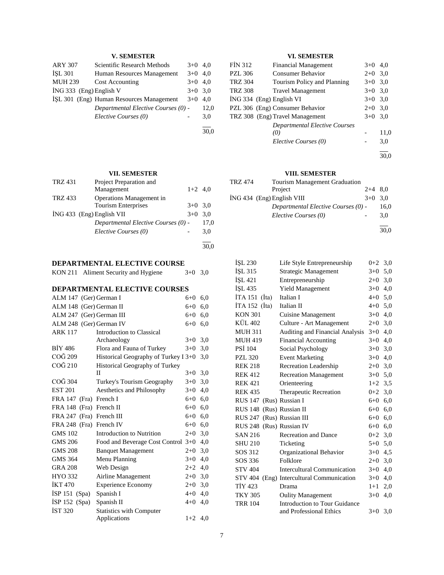# **V. SEMESTER**

| <b>ARY 307</b>          | Scientific Research Methods              | $3+0$     | 4.0  |
|-------------------------|------------------------------------------|-----------|------|
| <b>İSL 301</b>          | Human Resources Management               | $3+0$     | 4.0  |
| <b>MUH 239</b>          | Cost Accounting                          | $3+0$     | 4.0  |
| ING 333 (Eng) English V |                                          | $3+0$ 3.0 |      |
|                         | ISL 301 (Eng) Human Resources Management | $3+0$     | 4.0  |
|                         | Departmental Elective Courses (0) -      |           | 12,0 |
|                         | Elective Courses (0)                     |           | 3,0  |
|                         |                                          |           |      |

**VII. SEMESTER**

30,0

| <b>TRZ 431</b> | Project Preparation and             |           |      |
|----------------|-------------------------------------|-----------|------|
|                | Management                          | $1+2$ 4.0 |      |
| <b>TRZ 433</b> | Operations Management in            |           |      |
|                | <b>Tourism Enterprises</b>          | $3+0$ 3.0 |      |
|                | $ING 433$ (Eng) English VII         | $3+0$     | 3.0  |
|                | Departmental Elective Courses (0) - |           | 17,0 |
|                | Elective Courses (0)                |           | 3,0  |
|                |                                     |           |      |

# **DEPARTMENTAL ELECTIVE COURSE**

| KON 211 Aliment Security and Hygiene | $3+0$ 3,0 |  |
|--------------------------------------|-----------|--|
|                                      |           |  |

# **DEPARTMENTAL ELECTIVE COURSES**

| ALM 147 (Ger) German I   |                                       | $6 + 0$   | 6,0 |
|--------------------------|---------------------------------------|-----------|-----|
| ALM 148 (Ger) German II  |                                       | $6 + 0$   | 6,0 |
| ALM 247 (Ger) German III |                                       | $6 + 0$   | 6,0 |
| ALM 248 (Ger) German IV  |                                       | $6 + 0$   | 6,0 |
| <b>ARK 117</b>           | Introduction to Classical             |           |     |
|                          | Archaeology                           | $3+0$     | 3,0 |
| <b>BIY 486</b>           | Flora and Fauna of Turkey             | $3+0$     | 3,0 |
| COĞ 209                  | Historical Geography of Turkey I 3+0  |           | 3,0 |
| COĞ 210                  | <b>Historical Geography of Turkey</b> |           |     |
|                          | П                                     | $3+0$     | 3,0 |
| COG 304                  | Turkey's Tourism Geography            | $3+0$     | 3,0 |
| <b>EST 201</b>           | Aesthetics and Philosophy             | $3+0$     | 4,0 |
| FRA 147 (Fra) French I   |                                       | $6 + 0$   | 6,0 |
| FRA 148 (Fra) French II  |                                       | $6 + 0$   | 6,0 |
| FRA 247 (Fra) French III |                                       | $6+0$     | 6,0 |
| FRA 248 (Fra) French IV  |                                       | $6 + 0$   | 6,0 |
| <b>GMS 102</b>           | Introduction to Nutrition             | $2+0$     | 3,0 |
| <b>GMS 206</b>           | Food and Beverage Cost Control 3+0    |           | 4,0 |
| <b>GMS 208</b>           | <b>Banquet Management</b>             | $2+0$     | 3,0 |
| <b>GMS 364</b>           | Menu Planning                         | $3+0$     | 4,0 |
| <b>GRA 208</b>           | Web Design                            | $2+2$     | 4,0 |
| HYO 332                  | Airline Management                    | $2+0$     | 3,0 |
| <b>İKT470</b>            | <b>Experience Economy</b>             | $2+0$     | 3,0 |
| ISP 151 (Spa)            | Spanish I                             | $4 + 0$   | 4,0 |
| ISP $152$ (Spa)          | Spanish II                            | $4 + 0$   | 4,0 |
| IST 320                  | <b>Statistics with Computer</b>       |           |     |
|                          | Applications                          | $1+2$ 4.0 |     |

# **VI. SEMESTER**

| <b>FIN 312</b> | <b>Financial Management</b>          | $3+0$ 4,0 |      |
|----------------|--------------------------------------|-----------|------|
| <b>PZL 306</b> | <b>Consumer Behavior</b>             | $2+0$ 3,0 |      |
| <b>TRZ 304</b> | Tourism Policy and Planning          | $3+0$ 3.0 |      |
| <b>TRZ 308</b> | <b>Travel Management</b>             | $3+0$ 3,0 |      |
|                | ING 334 (Eng) English VI             | $3+0$ 3.0 |      |
|                | PZL 306 (Eng) Consumer Behavior      | $2+0$ 3,0 |      |
|                | TRZ 308 (Eng) Travel Management      | $3+0$ 3.0 |      |
|                | <b>Departmental Elective Courses</b> |           |      |
|                | (0)                                  |           | 11,0 |
|                | Elective Courses (0)                 |           | 3,0  |
|                |                                      |           |      |

l 30,0

## **VIII. SEMESTER**

| TRZ 474 | <b>Tourism Management Graduation</b> |           |      |
|---------|--------------------------------------|-----------|------|
|         | Project                              | $2+4$ 8.0 |      |
|         | $ING 434$ (Eng) English VIII         | $3+0$ 3.0 |      |
|         | Departmental Elective Courses (0) -  |           | 16.0 |
|         | Elective Courses (0)                 |           | 3.0  |
|         |                                      |           |      |

30,0

| <b>ISL 230</b>            | Life Style Entrepreneurship               | $0+2$ 3,0 |     |
|---------------------------|-------------------------------------------|-----------|-----|
| <b>ISL 315</b>            | Strategic Management                      | $3+0$     | 5,0 |
| İŞL 421                   | Entrepreneurship                          | $2+0$     | 3,0 |
| ISL 435                   | <b>Yield Management</b>                   | $3+0$ 4,0 |     |
| İTA 151 (İta)             | Italian I                                 | $4+0$ 5,0 |     |
| İTA 152 (İta)             | Italian II                                | $4 + 0$   | 5,0 |
| <b>KON 301</b>            | <b>Cuisine Management</b>                 | $3+0$     | 4,0 |
| KÜL 402                   | Culture - Art Management                  | $2+0$ 3,0 |     |
| <b>MUH 311</b>            | Auditing and Financial Analysis           | $3+0$     | 4,0 |
| <b>MUH 419</b>            | <b>Financial Accounting</b>               | $3+0$     | 4,0 |
| <b>PSI 104</b>            | Social Psychology                         | $3+0$     | 3,0 |
| <b>PZL 320</b>            | <b>Event Marketing</b>                    | $3+0$     | 4,0 |
| <b>REK 218</b>            | <b>Recreation Leadership</b>              | $2+0$ 3,0 |     |
| <b>REK 412</b>            | <b>Recreation Management</b>              | $3+0$     | 5,0 |
| <b>REK 421</b>            | Orienteering                              | $1+2$ 3.5 |     |
| <b>REK 435</b>            | Therapeutic Recreation                    | $0+2$ 3,0 |     |
| RUS 147 (Rus) Russian I   |                                           | $6+0$ 6,0 |     |
| RUS 148                   | (Rus) Russian II                          | $6 + 0$   | 6,0 |
| RUS 247 (Rus) Russian III |                                           | $6+0$ 6,0 |     |
| RUS 248 (Rus) Russian IV  |                                           | $6+0$ 6,0 |     |
| <b>SAN 216</b>            | <b>Recreation and Dance</b>               | $0+2$ 3,0 |     |
| <b>SHU 210</b>            | Ticketing                                 | $5 + 0$   | 5,0 |
| SOS 312                   | Organizational Behavior                   | $3+0$     | 4,5 |
| SOS 336                   | Folklore                                  | $2+0$ 3,0 |     |
| <b>STV 404</b>            | <b>Intercultural Communication</b>        | $3+0$     | 4,0 |
|                           | STV 404 (Eng) Intercultural Communication | $3+0$     | 4,0 |
| TİY 423                   | Drama                                     | $1+1$     | 2,0 |
| <b>TKY 305</b>            | <b>Oulity Management</b>                  | $3+0$     | 4,0 |
| <b>TRR 104</b>            | <b>Introduction to Tour Guidance</b>      |           |     |
|                           | and Professional Ethics                   | $3+0$     | 3,0 |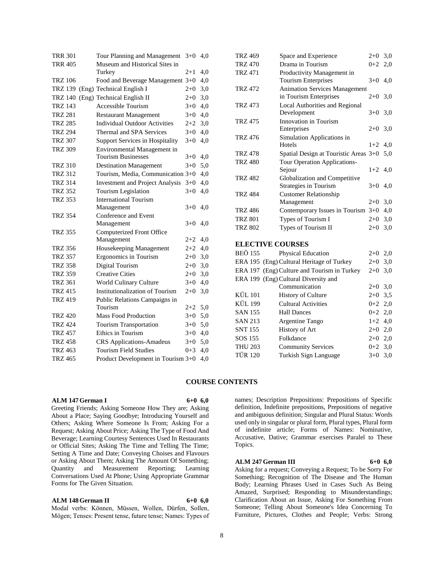| <b>TRR 301</b> | Tour Planning and Management           | $3+0$   | 4,0 |
|----------------|----------------------------------------|---------|-----|
| <b>TRR 405</b> | Museum and Historical Sites in         |         |     |
|                | Turkey                                 | $2+1$   | 4,0 |
| <b>TRZ 106</b> | Food and Beverage Management 3+0       |         | 4,0 |
| <b>TRZ 139</b> | (Eng) Technical English I              | $2+0$   | 3,0 |
| <b>TRZ 140</b> | (Eng) Technical English II             | $2+0$   | 3,0 |
| <b>TRZ 143</b> | <b>Accessible Tourism</b>              | $3+0$   | 4,0 |
| <b>TRZ 281</b> | <b>Restaurant Management</b>           | $3+0$   | 4,0 |
| <b>TRZ 285</b> | <b>Individual Outdoor Activities</b>   | $2+2$   | 3,0 |
| <b>TRZ 294</b> | Thermal and SPA Services               | $3+0$   | 4,0 |
| <b>TRZ 307</b> | <b>Support Services in Hospitality</b> | $3+0$   | 4,0 |
| <b>TRZ 309</b> | Environmental Management in            |         |     |
|                | <b>Tourism Businesses</b>              | $3+0$   | 4,0 |
| <b>TRZ 310</b> | <b>Destination Management</b>          | $3+0$   | 5,0 |
| <b>TRZ 312</b> | Tourism, Media, Communication 3+0      |         | 4,0 |
| <b>TRZ 314</b> | <b>Investment and Project Analysis</b> | $3+0$   | 4,0 |
| <b>TRZ 352</b> | Tourism Legislation                    | $3+0$   | 4,0 |
| <b>TRZ 353</b> | <b>International Tourism</b>           |         |     |
|                | Management                             | $3+0$   | 4,0 |
| <b>TRZ 354</b> | Conference and Event                   |         |     |
|                | Management                             | $3+0$   | 4,0 |
| <b>TRZ 355</b> | Computerized Front Office              |         |     |
|                | Management                             | 2+2     | 4,0 |
| <b>TRZ 356</b> | Housekeeping Management                | $2+2$   | 4,0 |
| <b>TRZ 357</b> | <b>Ergonomics</b> in Tourism           | $2+0$   | 3,0 |
| <b>TRZ 358</b> | Digital Tourism                        | $2+0$   | 3,0 |
| <b>TRZ 359</b> | <b>Creative Cities</b>                 | $2+0$   | 3,0 |
| <b>TRZ 361</b> | World Culinary Culture                 | $3+0$   | 4,0 |
| <b>TRZ 415</b> | Institutionalization of Tourism        | $2 + 0$ | 3,0 |
| <b>TRZ 419</b> | Public Relations Campaigns in          |         |     |
|                | Tourism                                | $2+2$   | 5,0 |
| <b>TRZ 420</b> | <b>Mass Food Production</b>            | $3+0$   | 5,0 |
| <b>TRZ 424</b> | <b>Tourism Transportation</b>          | $3+0$   | 5,0 |
| <b>TRZ 457</b> | Ethics in Tourism                      | $3+0$   | 4,0 |
| <b>TRZ 458</b> | <b>CRS</b> Applications-Amadeus        | $3+0$   | 5,0 |
| <b>TRZ 463</b> | <b>Tourism Field Studies</b>           | $0 + 3$ | 4,0 |
| <b>TRZ 465</b> | Product Development in Tourism 3+0     |         | 4,0 |

| <b>TRZ 469</b> | Space and Experience                      | $2 + 0$   | 3,0 |
|----------------|-------------------------------------------|-----------|-----|
| <b>TRZ 470</b> | Drama in Tourism                          | $0 + 2$   | 2,0 |
| <b>TRZ 471</b> | Productivity Management in                |           |     |
|                | Tourism Enterprises                       | $3+0$ 4,0 |     |
| <b>TRZ 472</b> | <b>Animation Services Management</b>      |           |     |
|                | in Tourism Enterprises                    | $2+0$     | 3,0 |
| <b>TRZ 473</b> | Local Authorities and Regional            |           |     |
|                | Development                               | $3+0$     | 3,0 |
| <b>TRZ 475</b> | Innovation in Tourism                     |           |     |
|                | Enterprises                               | $2+0$     | 3,0 |
| <b>TRZ 476</b> | Simulation Applications in                |           |     |
|                | Hotels                                    | $1+2$     | 4,0 |
| <b>TRZ 478</b> | Spatial Design at Touristic Areas 3+0     |           | 5,0 |
| <b>TRZ 480</b> | Tour Operation Applications-              |           |     |
|                | Sejour                                    | $1+2$     | 4,0 |
| <b>TRZ 482</b> | Globalization and Competitive             |           |     |
|                | Strategies in Tourism                     | $3+0$     | 4.0 |
| <b>TRZ 484</b> | <b>Customer Relationship</b>              |           |     |
|                | Management                                | $2+0$     | 3,0 |
| <b>TRZ 486</b> | Contemporary Issues in Tourism 3+0        |           | 4,0 |
| <b>TRZ 801</b> | Types of Tourism I                        | $2+0$     | 3,0 |
| <b>TRZ 802</b> | Types of Tourism II                       | $2+0$     | 3,0 |
|                |                                           |           |     |
|                | <b>ELECTIVE COURSES</b>                   |           |     |
| <b>BEÖ</b> 155 | Physical Education                        | $2+0$     | 2,0 |
|                | ERA 195 (Eng) Cultural Heritage of Turkey | $2+0$     | 3,0 |
| ERA 197        | (Eng) Culture and Tourism in Turkey       | $2 + 0$   | 3,0 |
|                | ERA 199 (Eng) Cultural Diversity and      |           |     |
|                | Communication                             | $2+0$     | 3,0 |
| <b>KÜL</b> 101 | <b>History of Culture</b>                 | $2+0$ 3,5 |     |
| <b>KÜL 199</b> | <b>Cultural Activities</b>                | $0+2$ 2,0 |     |
| <b>SAN 155</b> | <b>Hall Dances</b>                        | $0 + 2$   | 2,0 |
| <b>SAN 213</b> | Argentine Tango                           | $1+2$     | 4,0 |

## **COURSE CONTENTS**

## **ALM 147 German I 6+0 6,0**

Greeting Friends; Asking Someone How They are; Asking About a Place; Saying Goodbye; Introducing Yourself and Others; Asking Where Someone Is From; Asking For a Request; Asking About Price; Asking The Type of Food And Beverage; Learning Courtesy Sentences Used In Restaurants or Official Sites; Asking The Time and Telling The Time; Setting A Time and Date; Conveying Choises and Flavours or Asking About Them; Asking The Amount Of Something; Quantity and Measurement Reporting; Learning Conversations Used At Phone; Using Appropriate Grammar Forms for The Given Situation.

**ALM 148 German II 6+0 6,0**

Modal verbs: Können, Müssen, Wollen, Dürfen, Sollen, Mögen; Tenses: Present tense, future tense; Names: Types of names; Description Prepositions: Prepositions of Specific definition, Indefinite prepositions, Prepositions of negative and ambiguous definition; Singular and Plural Status: Words used only in singular or plural form, Plural types, Plural form of indefinite article; Forms of Names: Nominative, Accusative, Dative; Grammar exercises Paralel to These Topics.

 $SNT 155$  History of Art  $2+0$  2,0 SOS 155 Folkdance 2+0 2,0 THU 203 Community Services 0+2 3,0 TÜR 120 Turkish Sign Language 3+0 3,0

#### **ALM 247 German III 6+0 6,0**

Asking for a request; Conveying a Request; To be Sorry For Something; Recognition of The Disease and The Human Body; Learning Phrases Used in Cases Such As Being Amazed, Surprised; Responding to Misunderstandings; Clarification About an Issue, Asking For Something From Someone; Telling About Someone's Idea Concerning To Furniture, Pictures, Clothes and People; Verbs: Strong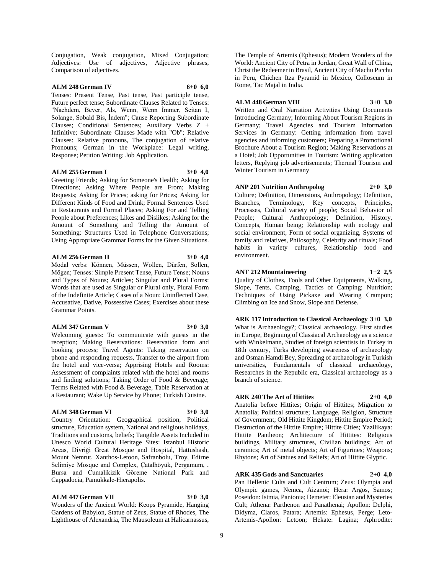Conjugation, Weak conjugation, Mixed Conjugation; Adjectives: Use of adjectives, Adjective phrases, Comparison of adjectives.

## **ALM 248 German IV 6+0 6,0**

Tenses: Present Tense, Past tense, Past participle tense, Future perfect tense; Subordinate Clauses Related to Tenses: "Nachdem, Bever, Als, Wenn, Wenn İmmer, Seitan I, Solange, Sobald Bis, İndem"; Cause Reporting Subordinate Clauses; Conditional Sentences; Auxiliary Verbs Z + Infinitive; Subordinate Clauses Made with "Ob"; Relative Clauses: Relative pronouns, The conjugation of relative Pronouns; German in the Workplace: Legal writing, Response; Petition Writing; Job Application.

#### **ALM 255 German I 3+0 4,0**

Greeting Friends; Asking for Someone's Health; Asking for Directions; Asking Where People are From; Making Requests; Asking for Prices; asking for Prices; Asking for Different Kinds of Food and Drink; Formal Sentences Used in Restaurants and Formal Places; Asking For and Telling People about Preferences; Likes and Dislikes; Asking for the Amount of Something and Telling the Amount of Something: Structures Used in Telephone Conversations; Using Appropriate Grammar Forms for the Given Situations.

## **ALM 256 German II 3+0 4,0**

Modal verbs: Können, Müssen, Wollen, Dürfen, Sollen, Mögen; Tenses: Simple Present Tense, Future Tense; Nouns and Types of Nouns; Articles; Singular and Plural Forms: Words that are used as Singular or Plural only, Plural Form of the Indefinite Article; Cases of a Noun: Uninflected Case, Accusative, Dative, Possessive Cases; Exercises about these Grammar Points.

## **ALM 347 German V 3+0 3,0**

Welcoming guests: To communicate with guests in the reception; Making Reservations: Reservation form and booking process; Travel Agents: Taking reservation on phone and responding requests, Transfer to the airport from the hotel and vice-versa; Apprising Hotels and Rooms: Assessment of complaints related with the hotel and rooms and finding solutions; Taking Order of Food & Beverage; Terms Related with Food & Beverage, Table Reservation at a Restaurant; Wake Up Service by Phone; Turkish Cuisine.

#### **ALM 348 German VI 3+0 3,0**

Country Orientation: Geographical position, Political structure, Education system, National and religious holidays, Traditions and customs, beliefs; Tangible Assets Included in Unesco World Cultural Heritage Sites: Istanbul Historic Areas, Divriği Great Mosque and Hospital, Hattushash, Mount Nemrut, Xanthos-Letoon, Safranbolu, Troy, Edirne Selimiye Mosque and Complex, Çatalhöyük, Pergamum, ,

#### **ALM 447 German VII 3+0 3,0**

Cappadocia, Pamukkale-Hierapolis.

Wonders of the Ancient World: Keops Pyramide, Hanging Gardens of Babylon, Statue of Zeus, Statue of Rhodes, The Lighthouse of Alexandria, The Mausoleum at Halicarnassus,

Bursa and Cumalikizik Göreme National Park and

The Temple of Artemis (Ephesus); Modern Wonders of the World: Ancient City of Petra in Jordan, Great Wall of China, Christ the Redeemer in Brasil, Ancient City of Machu Picchu in Peru, Chichen Itza Pyramid in Mexico, Colloseum in Rome, Tac Majal in India.

## **ALM 448 German VIII 3+0 3,0**

Written and Oral Narration Activities Using Documents Introducing Germany; Informing About Tourism Regions in Germany; Travel Agencies and Tourism Information Services in Germany: Getting information from travel agencies and informing customers; Preparing a Promotional Brochure About a Tourism Region; Making Reservations at a Hotel; Job Opportunities in Tourism: Writing application letters, Replying job advertisements; Thermal Tourism and Winter Tourism in Germany

## **ANP 201 Nutrition Anthropolog 2+0 3,0**

Culture; Definition, Dimensions, Anthropology; Definition, Branches, Terminology, Key concepts, Principles, Processes, Cultural variety of people; Social Behavior of People; Cultural Anthropology; Definition, History, Concepts, Human being; Relationship with ecology and social environment, Form of social organizing, Systems of family and relatives, Philosophy, Celebrity and rituals; Food habits in variety cultures, Relationship food and environment.

## **ANT 212 Mountaineering 1+2 2,5**

Quality of Clothes, Tools and Other Equipments, Walking, Slope, Tents, Camping, Tactics of Camping; Nutrition; Techniques of Using Pickaxe and Wearing Crampon; Climbing on Ice and Snow, Slope and Defense.

**ARK 117 Introduction to Classical Archaeology 3+0 3,0** What is Archaeology?; Classical archaeology, First studies in Europe, Beginning of Classiacal Archaeology as a science with Winkelmann, Studies of foreign scientists in Turkey in 18th century, Turks developing awareness of archaeology and Osman Hamdi Bey, Spreading of archaeology in Turkish universities, Fundamentals of classical archaeology, Researches in the Republic era, Classical archaeology as a branch of science.

## **ARK 240 The Art of Hittites 2+0 4,0**

Anatolia before Hittites; Origin of Hittites; Migration to Anatolia; Political structure; Language, Religion, Structure of Government; Old Hittite Kingdom; Hittite Empire Period; Destruction of the Hittite Empire; Hittite Cities; Yazilikaya: Hittite Pantheon; Architecture of Hittites: Religious buildings, Military structures, Civilian buildings; Art of ceramics; Art of metal objects; Art of Figurines; Weapons; Rhytons; Art of Statues and Reliefs; Art of Hittite Glyptic.

## **ARK 435 Gods and Sanctuaries 2+0 4,0**

Pan Hellenic Cults and Cult Centrum; Zeus: Olympia and Olympic games, Nemea, Aizanoi; Hera: Argos, Samos; Poseidon: Istmia, Panionia; Demeter: Eleusian and Mysteries Cult; Athena: Parthenon and Panathenai; Apollon: Delphi, Didyma, Claros, Patara; Artemis: Ephesus, Perge; Leto-Artemis-Apollon: Letoon; Hekate: Lagina; Aphrodite: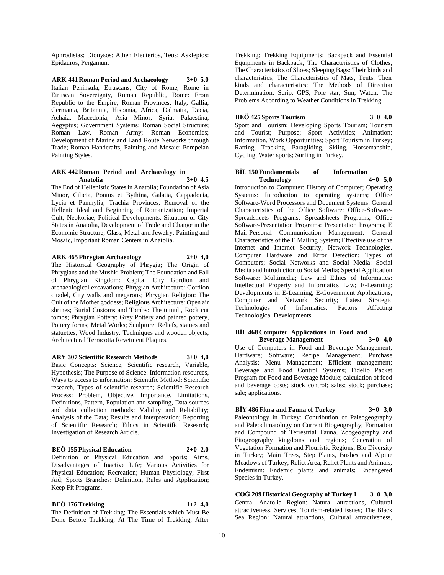Aphrodisias; Dionysos: Athen Eleuterios, Teos; Asklepios: Epidauros, Pergamun.

**ARK 441 Roman Period and Archaeology 3+0 5,0** Italian Peninsula, Etruscans, City of Rome, Rome in Etruscan Sovereignty, Roman Republic, Rome: From Republic to the Empire; Roman Provinces: Italy, Gallia, Germania, Britannia, Hispania, Africa, Dalmatia, Dacia, Achaia, Macedonia, Asia Minor, Syria, Palaestina, Aegyptus; Government Systems; Roman Social Structure; Roman Law, Roman Army; Roman Economics; Development of Marine and Land Route Networks through Trade; Roman Handcrafts, Painting and Mosaic: Pompeian Painting Styles.

## **ARK 442 Roman Period and Archaeology in Anatolia 3+0 4,5**

The End of Hellenistic States in Anatolia; Foundation of Asia Minor, Cilicia, Pontus et Bythina, Galatia, Cappadocia, Lycia et Pamhylia, Trachia Provinces, Removal of the Hellenic Ideal and Beginning of Romanization; Imperial Cult; Neokoriae, Political Developments, Situation of City States in Anatolia, Development of Trade and Change in the Economic Structure; Glass, Metal and Jewelry; Painting and Mosaic, Important Roman Centers in Anatolia.

## **ARK 465 Phrygian Archaeology 2+0 4,0**

The Historical Geography of Phrygia; The Origin of Phrygians and the Mushki Problem; The Foundation and Fall of Phrygian Kingdom: Capital City Gordion and archaeological excavations; Phrygian Architecture: Gordion citadel, City walls and megarons; Phrygian Religion: The Cult of the Mother goddess; Religious Architecture: Open air shrines; Burial Customs and Tombs: The tumuli, Rock cut tombs; Phrygian Pottery: Grey Pottery and painted pottery, Pottery forms; Metal Works; Sculpture: Reliefs, statues and statuettes; Wood Industry: Techniques and wooden objects; Architectural Terracotta Revetment Plaques.

## **ARY 307 Scientific Research Methods 3+0 4,0**

Basic Concepts: Science, Scientific research, Variable, Hypothesis; The Purpose of Science: Information resources, Ways to access to information; Scientific Method: Scientific research, Types of scientific research; Scientific Research Process: Problem, Objective, Importance, Limitations, Definitions, Pattern, Population and sampling, Data sources and data collection methods; Validity and Reliability; Analysis of the Data; Results and Interpretation; Reporting of Scientific Research; Ethics in Scientific Research; Investigation of Research Article.

## **BEÖ 155 Physical Education 2+0 2,0**

Definition of Physical Education and Sports; Aims, Disadvantages of Inactive Life; Various Activities for Physical Education; Recreation; Human Physiology; First Aid; Sports Branches: Definition, Rules and Application; Keep Fit Programs.

## **BEÖ 176 Trekking 1+2 4,0**

The Definition of Trekking; The Essentials which Must Be Done Before Trekking, At The Time of Trekking, After Trekking; Trekking Equipments; Backpack and Essential Equipments in Backpack; The Characteristics of Clothes; The Characteristics of Shoes; Sleeping Bags: Their kinds and characteristics; The Characteristics of Mats; Tents: Their kinds and characteristics; The Methods of Direction Determination: Scrip, GPS, Pole star, Sun, Watch; The Problems According to Weather Conditions in Trekking.

## **BEÖ 425 Sports Tourism 3+0 4,0**

Sport and Tourism; Developing Sports Tourism; Tourism and Tourist; Purpose; Sport Activities; Animation; Information, Work Opportunities; Sport Tourism in Turkey; Rafting, Tracking, Paragliding, Skiing, Horsemanship, Cycling, Water sports; Surfing in Turkey.

## **BİL 150 Fundamentals of Information Technology 4+0 5,0**

Introduction to Computer: History of Computer; Operating Systems: Introduction to operating systems; Office Software-Word Processors and Document Systems: General Characteristics of the Office Software; Office-Software-Spreadsheets Programs: Spreadsheets Programs; Office Software-Presentation Programs: Presentation Programs; E Mail-Personal Communication Management: General Characteristics of the E Mailing System; Effective use of the Internet and Internet Security; Network Technologies. Computer Hardware and Error Detection: Types of Computers; Social Networks and Social Media: Social Media and Introduction to Social Media; Special Application Software: Multimedia; Law and Ethics of Informatics: Intellectual Property and Informatics Law; E-Learning: Developments in E-Learning; E-Government Applications; Computer and Network Security; Latest Strategic Technologies of Informatics: Factors Affecting Technological Developments.

#### **BİL 468 Computer Applications in Food and Beverage Management 3+0 4,0**

Use of Computers in Food and Beverage Management; Hardware; Software; Recipe Management; Purchase Analysis; Menu Management; Efficient management; Beverage and Food Control Systems; Fidelio Packet Program for Food and Beverage Module; calculation of food and beverage costs; stock control; sales; stock; purchase; sale; applications.

## **BİY 486 Flora and Fauna of Turkey 3+0 3,0**

Paleontology in Turkey: Contribution of Paleogeography and Paleoclimatology on Current Biogeography; Formation and Compound of Terrestrial Fauna, Zoogeography and Fitogeography kingdoms and regions; Generation of Vegetation Formation and Flouristic Regions; Bio Diversity in Turkey; Main Trees, Step Plants, Bushes and Alpine Meadows of Turkey; Relict Area, Relict Plants and Animals; Endemism: Endemic plants and animals; Endangered Species in Turkey.

**COĞ 209 Historical Geography of Turkey I 3+0 3,0** Central Anatolia Region: Natural attractions, Cultural attractiveness, Services, Tourism-related issues; The Black Sea Region: Natural attractions, Cultural attractiveness,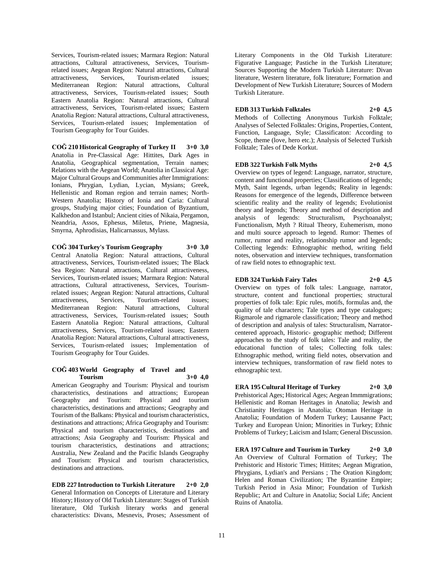Services, Tourism-related issues; Marmara Region: Natural attractions, Cultural attractiveness, Services, Tourismrelated issues; Aegean Region: Natural attractions, Cultural attractiveness, Services, Tourism-related issues; Mediterranean Region: Natural attractions, Cultural attractiveness, Services, Tourism-related issues; South Eastern Anatolia Region: Natural attractions, Cultural attractiveness, Services, Tourism-related issues; Eastern Anatolia Region: Natural attractions, Cultural attractiveness, Services, Tourism-related issues; Implementation of Tourism Geography for Tour Guides.

**COĞ 210 Historical Geography of Turkey II 3+0 3,0** Anatolia in Pre-Classical Age: Hittites, Dark Ages in Anatolia, Geographical segmentation, Terrain names; Relations with the Aegean World; Anatolia in Classical Age: Major Cultural Groups and Communities after Immigrations: Ionians, Phrygian, Lydian, Lycian, Mysians; Greek, Hellenistic and Roman region and terrain names; North-Western Anatolia; History of Ionia and Caria: Cultural groups, Studying major cities; Foundation of Byzantium, Kalkhedon and Istanbul; Ancient cities of Nikaia, Pergamon, Neandria, Assos, Ephesus, Miletus, Priene, Magnesia, Smyrna, Aphrodisias, Halicarnassus, Mylass.

## **COĞ 304 Turkey's Tourism Geography 3+0 3,0**

Central Anatolia Region: Natural attractions, Cultural attractiveness, Services, Tourism-related issues; The Black Sea Region: Natural attractions, Cultural attractiveness, Services, Tourism-related issues; Marmara Region: Natural attractions, Cultural attractiveness, Services, Tourismrelated issues; Aegean Region: Natural attractions, Cultural attractiveness, Services, Tourism-related issues; Mediterranean Region: Natural attractions, Cultural attractiveness, Services, Tourism-related issues; South Eastern Anatolia Region: Natural attractions, Cultural attractiveness, Services, Tourism-related issues; Eastern Anatolia Region: Natural attractions, Cultural attractiveness, Services, Tourism-related issues; Implementation of Tourism Geography for Tour Guides.

#### **COĞ 403 World Geography of Travel and Tourism 3+0 4,0**

American Geography and Tourism: Physical and tourism characteristics, destinations and attractions; European Geography and Tourism: Physical and tourism characteristics, destinations and attractions; Geography and Tourism of the Balkans: Physical and tourism characteristics, destinations and attractions; Africa Geography and Tourism: Physical and tourism characteristics, destinations and attractions; Asia Geography and Tourism: Physical and tourism characteristics, destinations and attractions; Australia, New Zealand and the Pacific Islands Geography and Tourism: Physical and tourism characteristics, destinations and attractions.

## **EDB 227 Introduction to Turkish Literature 2+0 2,0** General Information on Concepts of Literature and Literary History; History of Old Turkish Literature: Stages of Turkish literature, Old Turkish literary works and general characteristics: Divans, Mesnevis, Proses; Assessment of

Literary Components in the Old Turkish Literature: Figurative Language; Pastiche in the Turkish Literature; Sources Supporting the Modern Turkish Literature: Divan literature, Western literature, folk literature; Formation and Development of New Turkish Literature; Sources of Modern Turkish Literature.

#### **EDB 313 Turkish Folktales 2+0 4,5**

Methods of Collecting Anonymous Turkish Folktale; Analyses of Selected Folktales: Origins, Properties, Content, Function, Language, Style; Classificaton: According to Scope, theme (love, hero etc.); Analysis of Selected Turkish Folktale; Tales of Dede Korkut.

## **EDB 322 Turkish Folk Myths 2+0 4,5**

Overview on types of legend: Language, narrator, structure, content and functional properties; Classifications of legends; Myth, Saint legends, urban legends; Reality in legends: Reasons for emergence of the legends, Difference between scientific reality and the reality of legends; Evolutionist theory and legends; Theory and method of description and analysis of legends: Structuralism, Psychoanalyst; Functionalism, Myth ? Ritual Theory, Euhemerism, mono and multi source approach to legend. Rumor: Themes of rumor, rumor and reality, relationship rumor and legends; Collecting legends: Ethnographic method, writing field notes, observation and interview techniques, transformation of raw field notes to ethnographic text.

## **EDB 324 Turkish Fairy Tales 2+0 4,5**

Overview on types of folk tales: Language, narrator, structure, content and functional properties; structural properties of folk tale: Epic rules, motifs, formulas and, the quality of tale characters; Tale types and type catalogues; Rigmarole and rigmarole classification; Theory and method of description and analysis of tales: Structuralism, Narratorcentered approach, Historic- geographic method; Different approaches to the study of folk tales: Tale and reality, the educational function of tales; Collecting folk tales: Ethnographic method, writing field notes, observation and interview techniques, transformation of raw field notes to ethnographic text.

# **ERA 195 Cultural Heritage of Turkey 2+0 3,0**

Prehistorical Ages; Historical Ages; Aegean Immmigrations; Hellenistic and Roman Heritages in Anatolia; Jewish and Christianity Heritages in Anatolia; Otoman Heritage in Anatolia; Foundation of Modern Turkey; Lausanne Pact; Turkey and European Union; Minorities in Turkey; Ethnic Problems of Turkey; Laicism and Islam; General Discussion.

**ERA 197 Culture and Tourism in Turkey 2+0 3,0** An Overview of Cultural Formation of Turkey; The Prehistoric and Historic Times; Hittites; Aegean Migration, Phrygians, Lydian's and Persians ; The Oration Kingdom; Helen and Roman Civilization; The Byzantine Empire; Turkish Period in Asia Minor; Foundation of Turkish Republic; Art and Culture in Anatolia; Social Life; Ancient Ruins of Anatolia.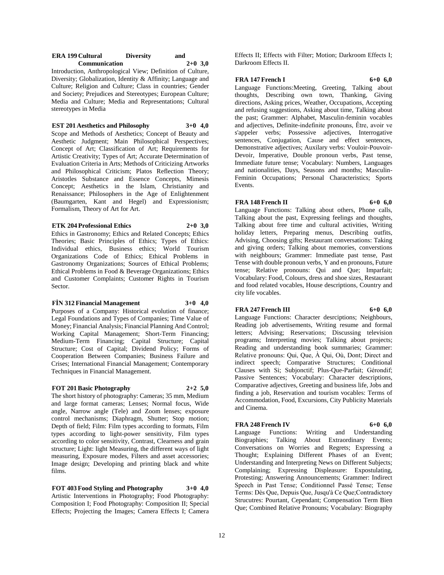#### **ERA 199 Cultural Diversity** and<br> **Communication** 2+0 3.0 **Communication 2+0 3,0**

Introduction, Anthropological View; Definition of Culture, Diversity; Globalization, Identity & Affinity; Language and Culture; Religion and Culture; Class in countries; Gender and Society; Prejudices and Stereotypes; European Culture; Media and Culture; Media and Representations; Cultural stereotypes in Media

## **EST 201 Aesthetics and Philosophy 3+0 4,0**

Scope and Methods of Aesthetics; Concept of Beauty and Aesthetic Judgment; Main Philosophical Perspectives; Concept of Art; Classification of Art; Requirements for Artistic Creativity; Types of Art; Accurate Determination of Evaluation Criteria in Arts; Methods of Criticizing Artworks and Philosophical Criticism; Platos Reflection Theory; Aristotles Substance and Essence Concepts, Mimesis Concept; Aesthetics in the Islam, Christianity and Renaissance; Philosophers in the Age of Enlightenment (Baumgarten, Kant and Hegel) and Expressionism; Formalism, Theory of Art for Art.

#### **ETK 204 Professional Ethics 2+0 3,0**

Ethics in Gastronomy; Ethics and Related Concepts; Ethics Theories; Basic Principles of Ethics; Types of Ethics: Individual ethics, Business ethics; World Tourism Organizations Code of Ethics; Ethical Problems in Gastronomy Organizations; Sources of Ethical Problems; Ethical Problems in Food & Beverage Organizations; Ethics and Customer Complaints; Customer Rights in Tourism Sector.

## **FİN 312 Financial Management 3+0 4,0**

Purposes of a Company: Historical evolution of finance; Legal Foundations and Types of Companies; Time Value of Money; Financial Analysis; Financial Planning And Control; Working Capital Management; Short-Term Financing; Medium-Term Financing; Capital Structure; Capital Structure; Cost of Capital; Dividend Policy; Forms of Cooperation Between Companies; Business Failure and Crises; International Financial Management; Contemporary Techniques in Financial Management.

## **FOT 201 Basic Photography 2+2 5,0**

The short history of photography: Cameras; 35 mm, Medium and large format cameras; Lenses; Normal focus, Wide angle, Narrow angle (Tele) and Zoom lenses; exposure control mechanisms; Diaphragm, Shutter; Stop motion; Depth of field; Film: Film types according to formats, Film types according to light-power sensitivity, Film types according to color sensitivity, Contrast, Clearness and grain structure; Light: light Measuring, the different ways of light measuring, Exposure modes, Filters and asset accessories; Image design; Developing and printing black and white films.

**FOT 403 Food Styling and Photography 3+0 4,0** Artistic Interventions in Photography; Food Photography: Composition I; Food Photography: Composition II; Special Effects; Projecting the Images; Camera Effects I; Camera

Effects II; Effects with Filter; Motion; Darkroom Effects I; Darkroom Effects II.

## **FRA 147 French I 6+0 6,0**

Language Functions:Meeting, Greeting, Talking about thoughts, Describing own town, Thanking, Giving directions, Asking prices, Weather, Occupations, Accepting and refusing suggestions, Asking about time, Talking about the past; Grammer: Alphabet, Masculin-feminin vocables and adjectives, Definite-indefinite pronouns, Être, avoir ve s'appeler verbs; Possessive adjectives, Interrogative sentences, Conjugation, Cause and effect sentences, Demonstrative adjectives; Auxilary verbs: Vouloir-Pouvoir-Devoir, Imperative, Double pronoun verbs, Past tense, Immediate future tense; Vocabulary: Numbers, Languages and nationalities, Days, Seasons and months; Masculin-Feminin Occupations; Personal Characteristics; Sports Events.

## **FRA** 148 French II 6+0 **6.0**

Language Functions: Talking about others, Phone calls, Talking about the past, Expressing feelings and thoughts, Talking about free time and cultural activities, Writing holiday letters, Preparing menus, Describing outfits, Advising, Choosing gifts; Restaurant conversations: Taking and giving orders; Talking about memories, converstions with neighbours; Grammer: Immediate past tense, Past Tense with double pronoun verbs, Y and en pronouns, Future tense; Relative pronouns: Qui and Que; Imparfait; Vocabulary: Food, Colours, dress and shoe sizes, Restaurant and food related vocables, House descriptions, Country and city life vocables.

#### **FRA** 247 French III 6+0 6,0

Language Functions: Character desrciptions; Neighbours, Reading job advertisements, Writing resume and formal letters; Advising; Reservations; Discussing television programs; Interpreting movies; Talking about projects; Reading and understanding book summaries; Grammer: Relative pronouns: Qui, Que, À Qui, Où, Dont; Direct and indirect speech; Comparative Structures; Conditional Clauses with Si; Subjonctif; Plus-Que-Parfait; Gérondif; Passive Sentences; Vocabulary: Character descriptions, Comparative adjectives, Greeting and business life, Jobs and finding a job, Reservation and tourism vocables: Terms of Accommodation, Food, Excursions, City Publicity Materials and Cinema.

#### **FRA** 248 French IV 6+0 6.0

Language Functions: Writing and Understanding Biographies; Talking About Extraordinary Events; Conversations on Worries and Regrets; Expressing a Thought; Explaining Different Phases of an Event; Understanding and Interpreting News on Different Subjects; Complaining; Expressing Displeasure: Expostulating, Protesting; Answering Announcements; Grammer: Indirect Speech in Past Tense; Conditionnel Passé Tense; Tense Terms: Dès Que, Depuis Que, Jusqu'à Ce Que;Contradictory Strucutres: Pourtant, Cependant; Compensation Term Bien Que; Combined Relative Pronouns; Vocabulary: Biography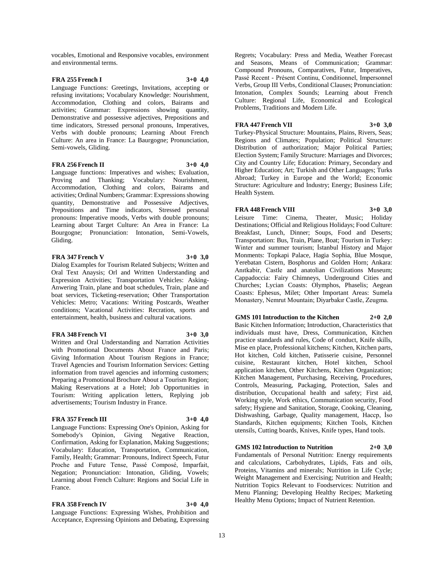vocables, Emotional and Responsive vocables, environment and environmental terms.

## **FRA 255 French I 3+0 4,0**

Language Functions: Greetings, Invitations, accepting or refusing invitations; Vocabulary Knowledge: Nourishment, Accommodation, Clothing and colors, Bairams and activities; Grammar: Expressions showing quantity, Demonstrative and possessive adjectives, Prepositions and time indicators, Stressed personal pronouns, Imperatives, Verbs with double pronouns; Learning About French Culture: An area in France: La Baurgogne; Pronunciation, Semi-vowels, Gliding.

## **FRA 256 French II 3+0 4,0**

Language functions: Imperatives and wishes; Evaluation, Proving and Thanking; Vocabulary: Nourishment, Accommodation, Clothing and colors, Bairams and activities; Ordinal Numbers; Grammar: Expressions showing quantity, Demonstrative and Possessive Adjectives, Prepositions and Time indicators, Stressed personal pronouns: Imperative moods, Verbs with double pronouns; Learning about Target Culture: An Area in France: La Bourgogne; Pronunciation: Intonation, Semi-Vowels, Gliding.

## **FRA** 347 French V 3+0 3.0

Dialog Examples for Tourism Related Subjects; Written and Oral Text Anaysis; Orl and Written Understanding and Expression Activities; Transportation Vehicles: Asking-Anwering Train, plane and boat schedules, Train, plane and boat services, Ticketing-reservation; Other Transportation Vehicles: Metro; Vacations: Writing Postcards, Weather conditions; Vacational Activities: Recration, sports and entertainment, health, business and cultural vacations.

#### **FRA 348 French VI 3+0 3,0**

Written and Oral Understanding and Narration Activities with Promotional Documents About France and Paris; Giving Information About Tourism Regions in France; Travel Agencies and Tourism Information Services: Getting information from travel agencies and informing customers; Preparing a Promotional Brochure About a Tourism Region; Making Reservations at a Hotel; Job Opportunities in Tourism: Writing application letters, Replying job advertisements; Tourism Industry in France.

## **FRA 357 French III 3+0 4,0**

Language Functions: Expressing One's Opinion, Asking for Somebody's Opinion, Giving Negative Reaction, Confirmation, Asking for Explanation, Making Suggestions; Vocabulary: Education, Transportation, Communication, Family, Health; Grammar: Pronouns, Indirect Speech, Futur Proche and Future Tense, Passé Composé, Imparfait, Negation; Pronunciation: Intonation, Gliding, Vowels; Learning about French Culture: Regions and Social Life in France.

**FRA 358 French IV 3+0 4,0**

Language Functions: Expressing Wishes, Prohibition and Acceptance, Expressing Opinions and Debating, Expressing

Regrets; Vocabulary: Press and Media, Weather Forecast and Seasons, Means of Communication; Grammar: Compound Pronouns, Comparatives, Futur, Imperatives, Passé Recent - Présent Continu, Conditionnel, Impersonnel Verbs, Group III Verbs, Conditional Clauses; Pronunciation: Intonation, Complex Sounds; Learning about French Culture: Regional Life, Economical and Ecological Problems, Traditions and Modern Life.

## **FRA** 447 French VII 3+0 3,0

Turkey-Physical Structure: Mountains, Plains, Rivers, Seas; Regions and Climates; Population; Political Structure: Distribution of authorization; Major Political Parties; Election System; Family Structure: Marriages and Divorces; City and Country Life; Education: Primary, Secondary and Higher Education; Art; Turkish and Other Languages; Turks Abroad; Turkey in Europe and the World; Economic Structure: Agriculture and Industry; Energy; Business Life; Health System.

## **FRA 448 French VIII 3+0 3,0**

Leisure Time: Cinema, Theater, Music; Holiday Destinations; Official and Religious Holidays; Food Culture: Breakfast, Lunch, Dinner; Soups, Food and Deserts; Transportation: Bus, Train, Plane, Boat; Tourism in Turkey: Winter and summer tourism; İstanbul History and Major Monments: Topkapi Palace, Hagia Sophia, Blue Mosque, Yerebatan Cistern, Bosphorus and Golden Horn; Ankara: Anıtkabir, Castle and anatolian Civilizations Museum; Cappadoccia: Fairy Chimneys, Underground Cities and Churches; Lycian Coasts: Olymphos, Phaselis; Aegean Coasts: Ephesus, Milet; Other Important Areas: Sumela Monastery, Nemrut Mountain; Diyarbakır Castle, Zeugma.

## **GMS 101 Introduction to the Kitchen 2+0 2,0**

Basic Kitchen Information; Introduction, Characteristics that individuals must have, Dress, Communication, Kitchen practice standards and rules, Code of conduct, Knife skills, Mise en place, Professional kitchens; Kitchen, Kitchen parts, Hot kitchen, Cold kitchen, Patisserie cuisine, Personnel cuisine, Restaurant kitchen, Hotel kitchen, School application kitchen, Other Kitchens, Kitchen Organization; Kitchen Management, Purchasing, Receiving, Procedures, Controls, Measuring, Packaging, Protection, Sales and distribution, Occupational health and safety; First aid, Working style, Work ethics, Communication security, Food safety; Hygiene and Sanitation, Storage, Cooking, Cleaning, Dishwashing, Garbage, Quality management, Haccp, İso Standards, Kitchen equipments; Kitchen Tools, Kitchen utensils, Cutting boards, Knives, Knife types, Hand tools.

#### **GMS 102 Introduction to Nutrition 2+0 3,0**

Fundamentals of Personal Nutrition: Energy requirements and calculations, Carbohydrates, Lipids, Fats and oils, Proteins, Vitamins and minerals; Nutrition in Life Cycle; Weight Management and Exercising; Nutrition and Health; Nutrition Topics Relevant to Foodservices: Nutrition and Menu Planning; Developing Healthy Recipes; Marketing Healthy Menu Options; Impact of Nutrient Retention.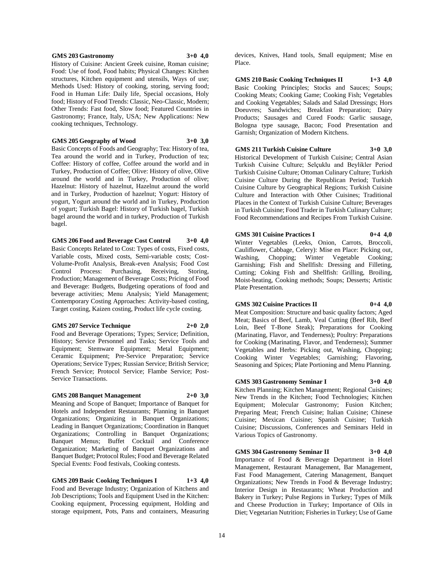#### **GMS 203 Gastronomy 3+0 4,0**

History of Cuisine: Ancient Greek cuisine, Roman cuisine; Food: Use of food, Food habits; Physical Changes: Kitchen structures, Kitchen equipment and utensils, Ways of use; Methods Used: History of cooking, storing, serving food; Food in Human Life: Daily life, Special occasions, Holy food; History of Food Trends: Classic, Neo-Classic, Modern; Other Trends: Fast food, Slow food; Featured Countries in Gastronomy; France, Italy, USA; New Applications: New cooking techniques, Technology.

#### **GMS 205 Geography of Wood 3+0 3,0**

Basic Concepts of Foods and Geography; Tea: History of tea, Tea around the world and in Turkey, Production of tea; Coffee: History of coffee, Coffee around the world and in Turkey, Production of Coffee; Olive: History of olive, Olive around the world and in Turkey, Production of olive; Hazelnut: History of hazelnut, Hazelnut around the world and in Turkey, Production of hazelnut; Yogurt: History of yogurt, Yogurt around the world and in Turkey, Production of yogurt; Turkish Bagel: History of Turkish bagel, Turkish bagel around the world and in turkey, Production of Turkish bagel.

**GMS 206 Food and Beverage Cost Control 3+0 4,0** Basic Concepts Related to Cost: Types of costs, Fixed costs, Variable costs, Mixed costs, Semi-variable costs; Cost-Volume-Profit Analysis, Break-even Analysis; Food Cost Control Process: Purchasing, Receiving, Storing, Production; Management of Beverage Costs; Pricing of Food and Beverage: Budgets, Budgeting operations of food and beverage activities; Menu Analysis; Yield Management; Contemporary Costing Approaches: Activity-based costing, Target costing, Kaizen costing, Product life cycle costing.

#### **GMS 207 Service Technique 2+0 2,0**

Food and Beverage Operations; Types; Service; Definition, History; Service Personnel and Tasks; Service Tools and Equipment; Stemware Equipment; Metal Equipment; Ceramic Equipment; Pre-Service Preparation; Service Operations; Service Types; Russian Service; British Service; French Service; Protocol Service; Flambe Service; Post-Service Transactions.

#### **GMS 208 Banquet Management 2+0 3,0**

Meaning and Scope of Banquet; Importance of Banquet for Hotels and Independent Restaurants; Planning in Banquet Organizations; Organizing in Banquet Organizations; Leading in Banquet Organizations; Coordination in Banquet Organizations; Controlling in Banquet Organizations; Banquet Menus; Buffet Cocktail and Conference Organization; Marketing of Banquet Organizations and Banquet Budget; Protocol Rules; Food and Beverage Related Special Events: Food festivals, Cooking contests.

**GMS 209 Basic Cooking Techniques I 1+3 4,0** Food and Beverage Industry; Organization of Kitchens and Job Descriptions; Tools and Equipment Used in the Kitchen: Cooking equipment, Processing equipment, Holding and storage equipment, Pots, Pans and containers, Measuring

devices, Knives, Hand tools, Small equipment; Mise en Place.

**GMS 210 Basic Cooking Techniques II 1+3 4,0** Basic Cooking Principles; Stocks and Sauces; Soups; Cooking Meats; Cooking Game; Cooking Fish; Vegetables and Cooking Vegetables; Salads and Salad Dressings; Hors Doeuvres; Sandwiches; Breakfast Preparation; Dairy Products; Sausages and Cured Foods: Garlic sausage, Bologna type sausage, Bacon; Food Presentation and Garnish; Organization of Modern Kitchens.

## **GMS 211 Turkish Cuisine Culture 3+0 3,0**

Historical Development of Turkish Cuisine; Central Asian Turkish Cuisine Culture; Selçuklu and Beylikler Period Turkish Cuisine Culture; Ottoman Culinary Culture; Turkish Cuisine Culture During the Republican Period; Turkish Cuisine Culture by Geographical Regions; Turkish Cuisine Culture and Interaction with Other Cuisines; Traditional Places in the Context of Turkish Cuisine Culture; Beverages in Turkish Cuisine; Food Trader in Turkish Culinary Culture; Food Recommendations and Recipes From Turkish Cuisine.

#### **GMS 301 Cuisine Practices I 0+4 4,0**

Winter Vegetables (Leeks, Onion, Carrots, Broccoli, Cauliflower, Cabbage, Celery): Mise en Place: Picking out, Washing, Chopping; Winter Vegetable Cooking; Garnishing; Fish and Shellfish: Dressing and Filleting, Cutting; Coking Fish and Shellfish: Grilling, Broiling, Moist-heating, Cooking methods; Soups; Desserts; Artistic Plate Presentation.

#### **GMS 302 Cuisine Practices II 0+4 4,0**

Meat Composition: Structure and basic quality factors; Aged Meat; Basics of Beef, Lamb, Veal Cutting (Beef Rib, Beef Loin, Beef T-Bone Steak); Preparations for Cooking (Marinating, Flavor, and Tenderness); Poultry: Preparations for Cooking (Marinating, Flavor, and Tenderness); Summer Vegetables and Herbs: Picking out, Washing, Chopping; Cooking Winter Vegetables; Garnishing; Flavoring, Seasoning and Spices; Plate Portioning and Menu Planning.

#### **GMS 303 Gastronomy Seminar I 3+0 4,0**

Kitchen Planning; Kitchen Management; Regional Cuisines; New Trends in the Kitchen; Food Technologies; Kitchen Equipment; Molecular Gastronomy; Fusion Kitchen; Preparing Meat; French Cuisine; Italian Cuisine; Chinese Cuisine; Mexican Cuisine; Spanish Cuisine; Turkish Cuisine; Discussions, Conferences and Seminars Held in Various Topics of Gastronomy.

**GMS 304 Gastronomy Seminar II 3+0 4,0** Importance of Food & Beverage Department in Hotel Management, Restaurant Management, Bar Management, Fast Food Management, Catering Management, Banquet Organizations; New Trends in Food & Beverage Industry; Interior Design in Restaurants; Wheat Production and Bakery in Turkey; Pulse Regions in Turkey; Types of Milk and Cheese Production in Turkey; Importance of Oils in Diet; Vegetarian Nutrition; Fisheries in Turkey; Use of Game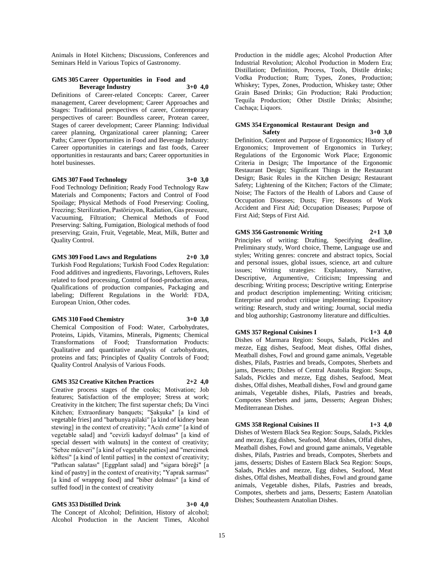Animals in Hotel Kitchens; Discussions, Conferences and Seminars Held in Various Topics of Gastronomy.

## **GMS 305 Career Opportunities in Food and Beverage Industry 3+0 4,0**

Definitions of Career-related Concepts: Career, Career management, Career development; Career Approaches and Stages: Traditional perspectives of career, Contemporary perspectives of career: Boundless career, Protean career, Stages of career development; Career Planning: Individual career planning, Organizational career planning; Career Paths; Career Opportunities in Food and Beverage Industry: Career opportunities in caterings and fast foods, Career opportunities in restaurants and bars; Career opportunities in hotel businesses.

#### **GMS 307 Food Technology 3+0 3,0**

Food Technology Definition; Ready Food Technology Raw Materials and Components; Factors and Control of Food Spoilage; Physical Methods of Food Preserving: Cooling, Freezing; Sterilization, Pastörizyon, Radiation, Gas pressure, Vacuuming, Filtration; Chemical Methods of Food Preserving: Salting, Fumigation, Biological methods of food preserving; Grain, Fruit, Vegetable, Meat, Milk, Butter and Quality Control.

## **GMS 309 Food Laws and Regulations 2+0 3,0**

Turkish Food Regulations; Turkish Food Codex Regulation: Food additives and ingredients, Flavorings, Leftovers, Rules related to food processing, Control of food-production areas, Qualifications of production companies, Packaging and labeling; Different Regulations in the World: FDA, European Union, Other codes.

#### **GMS 310 Food Chemistry 3+0 3,0**

Chemical Composition of Food: Water, Carbohydrates, Proteins, Lipids, Vitamins, Minerals, Pigments; Chemical Transformations of Food; Transformation Products: Qualitative and quantitative analysis of carbohydrates, proteins and fats; Principles of Quality Controls of Food; Quality Control Analysis of Various Foods.

#### **GMS 352 Creative Kitchen Practices 2+2 4,0**

Creative process stages of the cooks; Motivation; Job features; Satisfaction of the employee; Stress at work; Creativity in the kitchen; The first superstar chefs; Da Vinci Kitchen; Extraordinary banquets; "Şakşuka" [a kind of vegetable fries] and "barbunya pilaki" [a kind of kidney bean stewing] in the context of creativity; "Acılı ezme" [a kind of vegetable salad] and "cevizli kadayıf dolması" [a kind of special dessert with walnuts] in the context of creativity; "Sebze mücveri" [a kind of vegetable patties] and "mercimek köftesi" [a kind of lentil patties] in the context of creativity; "Patlıcan salatası" [Eggplant salad] and "sigara böreği" [a kind of pastry] in the context of creativity; "Yaprak sarması" [a kind of wrappng food] and "biber dolması" [a kind of suffed food] in the context of creativity

## **GMS 353 Distilled Drink 3+0 4,0**

The Concept of Alcohol; Definition, History of alcohol; Alcohol Production in the Ancient Times, Alcohol Production in the middle ages; Alcohol Production After Industrial Revolution; Alcohol Production in Modern Era; Distillation; Definition, Process, Tools, Distile drinks; Vodka Production; Rum; Types, Zones, Production; Whiskey; Types, Zones, Production, Whiskey taste; Other Grain Based Drinks; Gin Production; Raki Production; Tequila Production; Other Distile Drinks; Absinthe; Cachaça; Liquors.

#### **GMS 354 Ergonomical Restaurant Design and Safety 3+0 3,0**

Definition, Content and Purpose of Ergonomics; History of Ergonomics; Improvement of Ergonomics in Turkey; Regulations of the Ergonomic Work Place; Ergonomic Criteria in Design; The Importance of the Ergonomic Restaurant Design; Significant Things in the Restaurant Design; Basic Rules in the Kitchen Design; Restaurant Safety; Lightening of the Kitchen; Factors of the Climate; Noise; The Factors of the Health of Labors and Cause of Occupation Diseases; Dusts; Fire; Reasons of Work Accident and First Aid; Occupation Diseases; Purpose of First Aid; Steps of First Aid.

## **GMS 356 Gastronomic Writing 2+1 3,0**

Principles of writing: Drafting, Specifying deadline, Preliminary study, Word choice, Theme, Language use and styles; Writing genres: concrete and abstract topics, Social and personal issues, global issues, science, art and culture issues; Writing strategies: Explanatory, Narrative, Descriptive, Argumentive, Criticism; Impressing and describing; Writing process; Descriptive writing; Enterprise and product description implementing; Writing criticism; Enterprise and product critique implementing; Expository writing: Research, study and writing; Journal, social media and blog authorship; Gastronomy literature and difficulties.

# **GMS 357 Regional Cuisines I 1+3 4,0**

Dishes of Marmara Region: Soups, Salads, Pickles and mezze, Egg dishes, Seafood, Meat dishes, Offal dishes, Meatball dishes, Fowl and ground game animals, Vegetable dishes, Pilafs, Pastries and breads, Compotes, Sherbets and jams, Desserts; Dishes of Central Anatolia Region: Soups, Salads, Pickles and mezze, Egg dishes, Seafood, Meat dishes, Offal dishes, Meatball dishes, Fowl and ground game animals, Vegetable dishes, Pilafs, Pastries and breads, Compotes Sherbets and jams, Desserts; Aegean Dishes; Mediterranean Dishes.

## **GMS 358 Regional Cuisines II 1+3 4,0**

Dishes of Western Black Sea Region: Soups, Salads, Pickles and mezze, Egg dishes, Seafood, Meat dishes, Offal dishes, Meatball dishes, Fowl and ground game animals, Vegetable dishes, Pilafs, Pastries and breads, Compotes, Sherbets and jams, desserts; Dishes of Eastern Black Sea Region: Soups, Salads, Pickles and mezze, Egg dishes, Seafood, Meat dishes, Offal dishes, Meatball dishes, Fowl and ground game animals, Vegetable dishes, Pilafs, Pastries and breads, Compotes, sherbets and jams, Desserts; Eastern Anatolian Dishes; Southeastern Anatolian Dishes.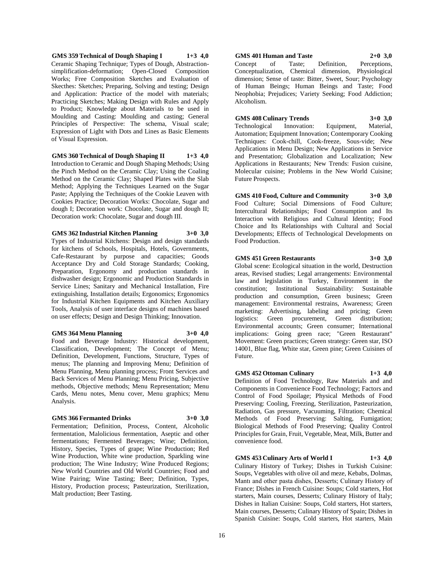**GMS 359 Technical of Dough Shaping I 1+3 4,0** Ceramic Shaping Technique; Types of Dough, Abstractionsimplification-deformation; Open-Closed Composition Works; Free Composition Sketches and Evaluation of Skecthes: Sketches; Preparing, Solving and testing; Design and Application: Practice of the model with materials; Practicing Sketches; Making Design with Rules and Apply to Product; Knowledge about Materials to be used in Moulding and Casting: Moulding and casting; General Principles of Perspective: The schema, Visual scale; Expression of Light with Dots and Lines as Basic Elements of Visual Expression.

**GMS 360 Technical of Dough Shaping II 1+3 4,0**

Introduction to Ceramic and Dough Shaping Methods; Using the Pinch Method on the Ceramic Clay; Using the Coaling Method on the Ceramic Clay; Shaped Plates with the Slab Method; Applying the Techniques Learned on the Sugar Paste; Applying the Techniques of the Cookie Leaven with Cookies Practice; Decoration Works: Chocolate, Sugar and dough I; Decoration work: Chocolate, Sugar and dough II; Decoration work: Chocolate, Sugar and dough III.

**GMS 362 Industrial Kitchen Planning 3+0 3,0**

Types of Industrial Kitchens: Design and design standards for kitchens of Schools, Hospitals, Hotels, Governments, Cafe-Restaurant by purpose and capacities; Goods Acceptance Dry and Cold Storage Standards; Cooking, Preparation, Ergonomy and production standards in dishwasher design; Ergonomic and Production Standards in Service Lines; Sanitary and Mechanical Installation, Fire extinguishing, Installation details; Ergonomics; Ergonomics for Industrial Kitchen Equipments and Kitchen Auxiliary Tools, Analysis of user interface designs of machines based on user effects; Design and Design Thinking; Innovation.

#### **GMS 364 Menu Planning 3+0 4,0**

Food and Beverage Industry: Historical development, Classification, Development; The Concept of Menu; Definition, Development, Functions, Structure, Types of menus; The planning and Improving Menu; Definition of Menu Planning, Menu planning process; Front Services and Back Services of Menu Planning; Menu Pricing, Subjective methods, Objective methods; Menu Representation; Menu Cards, Menu notes, Menu cover, Menu graphics; Menu Analysis.

#### **GMS 366 Fermanted Drinks 3+0 3,0**

Fermentation; Definition, Process, Content, Alcoholic fermentation, Malolicious fermentation, Aseptic and other fermentations; Fermented Beverages; Wine; Definition, History, Species, Types of grape; Wine Production; Red Wine Production, White wine production, Sparkling wine production; The Wine Industry; Wine Produced Regions; New World Countries and Old World Countries; Food and Wine Pairing; Wine Tasting; Beer; Definition, Types, History, Production process; Pasteurization, Sterilization, Malt production; Beer Tasting.

## **GMS 401 Human and Taste 2+0 3,0** Concept of Taste; Definition, Perceptions, Conceptualization, Chemical dimension, Physiological dimension; Sense of taste: Bitter, Sweet, Sour; Psychology of Human Beings; Human Beings and Taste; Food Neophobia; Prejudices; Variety Seeking; Food Addiction; Alcoholism.

**GMS 408 Culinary Trends 3+0 3,0** Technological Innovation: Equipment, Material, Automation; Equipment Innovation; Contemporary Cooking Techniques: Cook-chill, Cook-freeze, Sous-vide; New Applications in Menu Design; New Applications in Service and Presentation; Globalization and Localization; New Applications in Restaurants; New Trends: Fusion cuisine, Molecular cuisine; Problems in the New World Cuisine; Future Prospects.

**GMS 410 Food, Culture and Community 3+0 3,0** Food Culture; Social Dimensions of Food Culture; Intercultural Relationships; Food Consumption and Its Interaction with Religious and Cultural Identity; Food Choice and Its Relationships with Cultural and Social Developments; Effects of Technological Developments on Food Production.

## **GMS 451 Green Restaurants 3+0 3,0**

Global scene: Ecological situation in the world, Destruction areas, Revised studies; Legal arrangements: Environmental law and legislation in Turkey, Environment in the constitution; Institutional Sustainability: Sustainable production and consumption, Green business; Green management: Environmental restrains, Awareness; Green marketing: Advertising, labeling and pricing; Green logistics: Green procurement, Green distribution; Environmental accounts; Green consumer; International implications: Going green race; "Green Restaurant" Movement: Green practices; Green strategy: Green star, ISO 14001, Blue flag, White star, Green pine; Green Cuisines of Future.

## **GMS 452 Ottoman Culinary 1+3 4,0**

Definition of Food Technology, Raw Materials and and Components in Convenience Food Technology; Factors and Control of Food Spoilage; Physical Methods of Food Preserving: Cooling, Freezing, Sterilization, Pasteurization, Radiation, Gas pressure, Vacuuming, Filtration; Chemical Methods of Food Preserving: Salting, Fumigation; Biological Methods of Food Preserving; Quality Control Principles for Grain, Fruit, Vegetable, Meat, Milk, Butter and convenience food.

**GMS 453 Culinary Arts of World I 1+3 4,0** Culinary History of Turkey; Dishes in Turkish Cuisine: Soups, Vegetables with olive oil and meze, Kebabs, Dolmas, Mantı and other pasta dishes, Desserts; Culinary History of France; Dishes in French Cuisine: Soups; Cold starters, Hot starters, Main courses, Desserts; Culinary History of Italy; Dishes in Italian Cuisine: Soups, Cold starters, Hot starters, Main courses, Desserts; Culinary History of Spain; Dishes in Spanish Cuisine: Soups, Cold starters, Hot starters, Main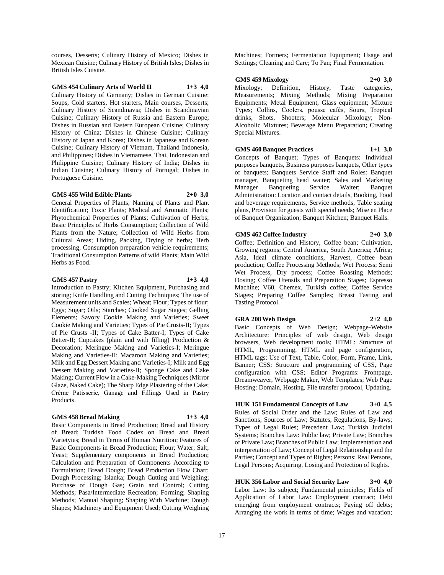courses, Desserts; Culinary History of Mexico; Dishes in Mexican Cuisine; Culinary History of British Isles; Dishes in British Isles Cuisine.

## **GMS 454 Culinary Arts of World II 1+3 4,0**

Culinary History of Germany; Dishes in German Cuisine: Soups, Cold starters, Hot starters, Main courses, Desserts; Culinary History of Scandinavia; Dishes in Scandinavian Cuisine; Culinary History of Russia and Eastern Europe; Dishes in Russian and Eastern European Cuisine; Culinary History of China; Dishes in Chinese Cuisine; Culinary History of Japan and Korea; Dishes in Japanese and Korean Cuisine; Culinary History of Vietnam, Thailand Indonesia, and Philippines; Dishes in Vietnamese, Thai, Indonesian and Philippine Cuisine; Culinary History of India; Dishes in Indian Cuisine; Culinary History of Portugal; Dishes in Portuguese Cuisine.

#### **GMS 455 Wild Edible Plants 2+0 3,0**

General Properties of Plants; Naming of Plants and Plant Identification; Toxic Plants; Medical and Aromatic Plants; Phytochemical Properties of Plants; Cultivation of Herbs; Basic Principles of Herbs Consumption; Collection of Wild Plants from the Nature; Collection of Wild Herbs from Cultural Areas; Hiding, Packing, Drying of herbs; Herb processing, Consumption preparation vehicle requirements; Traditional Consumption Patterns of wild Plants; Main Wild Herbs as Food.

## **GMS 457 Pastry 1+3 4,0**

Introduction to Pastry; Kitchen Equipment, Purchasing and storing; Knife Handling and Cutting Techniques; The use of Measurement units and Scales; Wheat; Flour; Types of flour; Eggs; Sugar; Oils; Starches; Cooked Sugar Stages; Gelling Elements; Savory Cookie Making and Varieties; Sweet Cookie Making and Varieties; Types of Pie Crusts-II; Types of Pie Crusts -II; Types of Cake Batter-I; Types of Cake Batter-II; Cupcakes (plain and with filling) Production & Decoration; Meringue Making and Varieties-I; Meringue Making and Varieties-II; Macaroon Making and Varieties; Milk and Egg Dessert Making and Varieties-I; Milk and Egg Dessert Making and Varieties-II; Sponge Cake and Cake Making; Current Flow in a Cake-Making Techniques (Mirror Glaze, Naked Cake); The Sharp Edge Plastering of the Cake; Crème Patisserie, Ganage and Fillings Used in Pastry Products.

#### **GMS 458 Bread Making 1+3 4,0**

Basic Components in Bread Production; Bread and History of Bread; Turkish Food Codex on Bread and Bread Varietyies; Bread in Terms of Human Nutrition; Features of Basic Components in Bread Production; Flour; Water; Salt; Yeast; Supplementary components in Bread Production; Calculation and Preparation of Components According to Formulation; Bread Dough; Bread Production Flow Chart; Dough Processing; Islanka; Dough Cutting and Weighing; Purchase of Dough Gas; Grain and Control; Cutting Methods; Pasa/Intermediate Recreation; Forming; Shaping Methods; Manual Shaping; Shaping With Machine; Dough Shapes; Machinery and Equipment Used; Cutting Weighing

Machines; Formers; Fermentation Equipment; Usage and Settings; Cleaning and Care; To Pan; Final Fermentation.

#### **GMS 459 Mixology 2+0 3,0**

Mixology; Definition, History, Taste categories, Measurements; Mixing Methods; Mixing Preparation Equipments; Metal Equipment, Glass equipment; Mixture Types; Collins, Coolers, pousse cafés, Sours, Tropical drinks, Shots, Shooters; Molecular Mixology; Non-Alcoholic Mixtures; Beverage Menu Preparation; Creating Special Mixtures.

# **GMS 460 Banquet Practices 1+1 3,0** Concepts of Banquet; Types of Banquets: Individual

purposes banquets, Business purposes banquets, Other types of banquets; Banquets Service Staff and Roles: Banquet manager, Banqueting head waiter; Sales and Marketing Manager Banqueting Service Waiter; Banquet Administration: Location and contact details, Booking, Food and beverage requirements, Service methods, Table seating plans, Provision for guests with special needs; Mise en Place of Banquet Organization; Banquet Kitchen; Banquet Halls.

## **GMS 462 Coffee Industry 2+0 3,0**

Coffee; Definition and History, Coffee bean; Cultivation, Growing regions; Central America, South America; Africa; Asia, Ideal climate conditions, Harvest, Coffee bean production; Coffee Processing Methods; Wet Process; Semi Wet Process, Dry process; Coffee Roasting Methods; Dosing; Coffee Utensils and Preparation Stages; Espresso Machine; V60, Chemex, Turkish coffee; Coffee Service Stages; Preparing Coffee Samples; Breast Tasting and Tasting Protocol.

## **GRA 208 Web Design 2+2 4,0**

Basic Concepts of Web Design; Webpage-Website Architecture: Principles of web design, Web design browsers, Web development tools; HTML: Structure of HTML, Programming, HTML and page configuration, HTML tags: Use of Text, Table, Color, Form, Frame, Link, Banner; CSS: Structure and programming of CSS, Page configuration with CSS; Editor Programs: Frontpage, Dreamweaver, Webpage Maker, Web Templates; Web Page

**HUK 151 Fundamental Concepts of Law 3+0 4,5** Rules of Social Order and the Law; Rules of Law and Sanctions; Sources of Law; Statutes, Regulations, By-laws; Types of Legal Rules; Precedent Law; Turkish Judicial Systems; Branches Law: Public law; Private Law; Branches of Private Law; Branches of Public Law; Implementation and interpretation of Law; Concept of Legal Relationship and the Parties; Concept and Types of Rights; Persons: Real Persons, Legal Persons; Acquiring, Losing and Protection of Rights.

Hosting: Domain, Hosting, File transfer protocol, Updating.

**HUK 356 Labor and Social Security Law 3+0 4,0** Labor Law: Its subject; Fundamental principles; Fields of Application of Labor Law: Employment contract; Debt emerging from employment contracts; Paying off debts; Arranging the work in terms of time; Wages and vacation;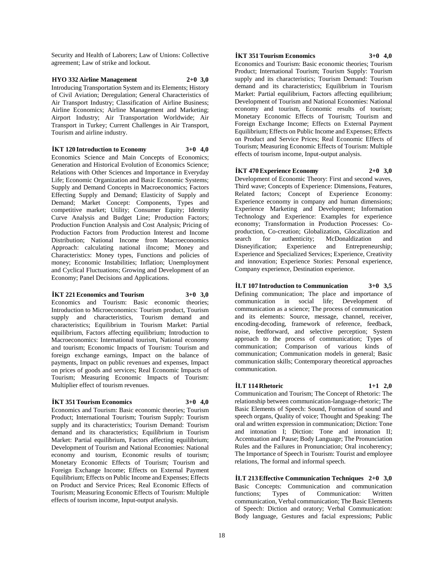Security and Health of Laborers; Law of Unions: Collective agreement; Law of strike and lockout.

## **HYO 332 Airline Management 2+0 3,0** Introducing Transportation System and its Elements; History of Civil Aviation; Deregulation; General Characteristics of Air Transport Industry; Classification of Airline Business; Airline Economics; Airline Management and Marketing; Airport Industry; Air Transportation Worldwide; Air Transport in Turkey; Current Challenges in Air Transport, Tourism and airline industry.

**İKT 120 Introduction to Economy 3+0 4,0**

Economics Science and Main Concepts of Economics; Generation and Historical Evolution of Economics Science; Relations with Other Sciences and Importance in Everyday Life; Economic Organization and Basic Economic Systems; Supply and Demand Concepts in Macroeconomics; Factors Effecting Supply and Demand; Elasticity of Supply and Demand; Market Concept: Components, Types and competitive market; Utility; Consumer Equity; Identity Curve Analysis and Budget Line; Production Factors; Production Function Analysis and Cost Analysis; Pricing of Production Factors from Production Interest and Income Distribution; National Income from Macroeconomics Approach: calculating national iIncome; Money and Characteristics: Money types, Functions and policies of money; Economic Instabilities; Inflation; Unemployment and Cyclical Fluctuations; Growing and Development of an Economy; Panel Decisions and Applications.

## **İKT 221 Economics and Tourism 3+0 3,0**

Economics and Tourism: Basic economic theories; Introduction to Microeconomics: Tourism product, Tourism supply and characteristics, Tourism demand and characteristics; Equilibrium in Tourism Market: Partial equilibrium, Factors affecting equilibrium; Introduction to Macroeconomics: International tourism, National economy and tourism; Economic Impacts of Tourism: Tourism and foreign exchange earnings, Impact on the balance of payments, Impact on public revenues and expenses, Impact on prices of goods and services; Real Economic Impacts of Tourism; Measuring Economic Impacts of Tourism: Multiplier effect of tourism revenues.

#### **İKT 351 Tourism Economics 3+0 4,0**

Economics and Tourism: Basic economic theories; Tourism Product; International Tourism; Tourism Supply: Tourism supply and its characteristics; Tourism Demand: Tourism demand and its characteristics; Equilibrium in Tourism Market: Partial equilibrium, Factors affecting equilibrium; Development of Tourism and National Economies: National economy and tourism, Economic results of tourism; Monetary Economic Effects of Tourism; Tourism and Foreign Exchange Income; Effects on External Payment Equilibrium; Effects on Public Income and Expenses; Effects on Product and Service Prices; Real Economic Effects of Tourism; Measuring Economic Effects of Tourism: Multiple effects of tourism income, Input-output analysis.

### **İKT 351 Tourism Economics 3+0 4,0**

Economics and Tourism: Basic economic theories; Tourism Product; International Tourism; Tourism Supply: Tourism supply and its characteristics; Tourism Demand: Tourism demand and its characteristics; Equilibrium in Tourism Market: Partial equilibrium, Factors affecting equilibrium; Development of Tourism and National Economies: National economy and tourism, Economic results of tourism; Monetary Economic Effects of Tourism; Tourism and Foreign Exchange Income; Effects on External Payment Equilibrium; Effects on Public Income and Expenses; Effects on Product and Service Prices; Real Economic Effects of Tourism; Measuring Economic Effects of Tourism: Multiple effects of tourism income, Input-output analysis.

**İKT 470 Experience Economy 2+0 3,0**

Development of Economic Theory: First and second waves, Third wave; Concepts of Experience: Dimensions, Features, Related factors: Concept of Experience Economy: Experience economy in company and human dimensions; Experience Marketing and Development; Information Technology and Experience: Examples for experience economy; Transformation in Production Processes: Coproduction, Co-creation; Globalization, Glocalization and search for authenticity; McDonaldization and Disneyification; Experience and Entrepreneurship; Experience and Specialized Services; Experience, Creativity and innovation; Experience Stories: Personal experience, Company experience, Destination experience.

## **İLT 107 Introduction to Communication 3+0 3,5**

Defining communication; The place and importance of communication in social life; Development of communication as a science; The process of communication and its elements: Source, message, channel, receiver, encoding-decoding, framework of reference, feedback, noise, feedforward, and selective perception; System approach to the process of communication; Types of communication; Comparison of various kinds of communication; Communication models in general; Basic communication skills; Contemporary theoretical approaches communication.

#### **İLT 114 Rhetoric 1+1 2,0**

Communication and Tourism; The Concept of Rhetoric: The relationship between communication-language-rhetoric; The Basic Elements of Speech: Sound, Formation of sound and speech organs, Quality of voice; Thought and Speaking: The oral and written expression in communication; Diction: Tone and intonation I; Diction: Tone and intonation II; Accentuation and Pause; Body Language; The Pronunciation Rules and the Failures in Pronunciation; Oral incoherency; The Importance of Speech in Tourism: Tourist and employee relations, The formal and informal speech.

**İLT 213 Effective Communication Techniques 2+0 3,0** Basic Concepts: Communication and communication functions; Types of Communication: Written communication, Verbal communication; The Basic Elements of Speech: Diction and oratory; Verbal Communication: Body language, Gestures and facial expressions; Public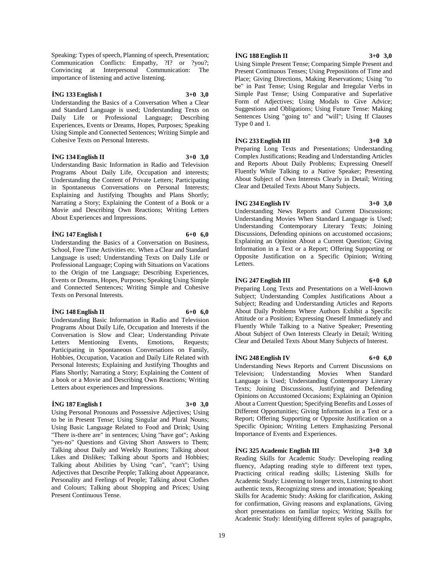Speaking: Types of speech, Planning of speech, Presentation; Communication Conflicts: Empathy, ?I? or ?you?; Convincing at Interpersonal Communication: The importance of listening and active listening.

## **İNG 133 English I 3+0 3,0**

Understanding the Basics of a Conversation When a Clear and Standard Language is used; Understanding Texts on Daily Life or Professional Language; Describing Experiences, Events or Dreams, Hopes, Purposes; Speaking Using Simple and Connected Sentences; Writing Simple and Cohesive Texts on Personal Interests.

#### **İNG 134 English II 3+0 3,0**

Understanding Basic Information in Radio and Television Programs About Daily Life, Occupation and interests; Understanding the Content of Private Letters; Participating in Spontaneous Conversations on Personal Interests; Explaining and Justifying Thoughts and Plans Shortly; Narrating a Story; Explaining the Content of a Book or a Movie and Describing Own Reactions; Writing Letters About Experiences and Impressions.

## **İNG 147 English I 6+0 6,0**

Understanding the Basics of a Conversation on Business, School, Free Time Activities etc. When a Clear and Standard Language is used; Understanding Texts on Daily Life or Professional Language; Coping with Situations on Vacations to the Origin of tne Language; Describing Experiences, Events or Dreams, Hopes, Purposes; Speaking Using Simple and Connected Sentences; Writing Simple and Cohesive Texts on Personal Interests.

#### **İNG 148 English II 6+0 6,0**

Understanding Basic Information in Radio and Television Programs About Daily Life, Occupation and Interests if the Conversation is Slow and Clear; Understanding Private Letters Mentioning Events, Emotions, Requests; Participating in Spontaneous Conversations on Family, Hobbies, Occupation, Vacation and Daily Life Related with Personal Interests; Explaining and Justifying Thoughts and Plans Shortly; Narrating a Story; Explaining the Content of a book or a Movie and Describing Own Reactions; Writing Letters about experiences and Impressions.

## **İNG 187 English I 3+0 3,0**

Present Continuous Tense.

Using Personal Pronouns and Possessive Adjectives; Using to be in Present Tense; Using Singular and Plural Nouns; Using Basic Language Related to Food and Drink; Using "There is-there are" in sentences; Using "have got"; Asking "yes-no" Questions and Giving Short Answers to Them; Talking about Daily and Weekly Routines; Talking about Likes and Dislikes; Talking about Sports and Hobbies; Talking about Abilities by Using "can", "can't"; Using Adjectives that Describe People; Talking about Appearance, Personality and Feelings of People; Talking about Clothes and Colours; Talking about Shopping and Prices; Using

## **İNG 188 English II 3+0 3,0**

Using Simple Present Tense; Comparing Simple Present and Present Continuous Tenses; Using Prepositions of Time and Place; Giving Directions, Making Reservations; Using "to be" in Past Tense; Using Regular and Irregular Verbs in Simple Past Tense; Using Comparative and Superlative Form of Adjectives; Using Modals to Give Advice; Suggestions and Obligations; Using Future Tense: Making Sentences Using "going to" and "will"; Using If Clauses Type 0 and 1.

**İNG 233 English III 3+0 3,0** Preparing Long Texts and Presentations; Understanding Complex Justifications; Reading and Understanding Articles and Reports About Daily Problems; Expressing Oneself Fluently While Talking to a Native Speaker; Presenting About Subject of Own Interests Clearly in Detail; Writing

Clear and Detailed Texts About Many Subjects.

## **İNG 234 English IV 3+0 3,0**

Understanding News Reports and Current Discussions; Understanding Movies When Standard Language is Used; Understanding Contemporary Literary Texts; Joining Discussions, Defending opinions on accustomed occasions; Explaining an Opinion About a Current Question; Giving Information in a Text or a Report; Offering Supporting or Opposite Justification on a Specific Opinion; Writing Letters.

## **İNG 247 English III 6+0 6,0**

Preparing Long Texts and Presentations on a Well-known Subject; Understanding Complex Justifications About a Subject; Reading and Understanding Articles and Reports About Daily Problems Where Authors Exhibit a Specific Attitude or a Position; Expressing Oneself Immediately and Fluently While Talking to a Native Speaker; Presenting About Subject of Own Interests Clearly in Detail; Writing

Clear and Detailed Texts About Many Subjects of Interest.

## **İNG 248 English IV 6+0 6,0**

Understanding News Reports and Current Discussions on Television; Understanding Movies When Standard Language is Used; Understanding Contemporary Literary Texts; Joining Discussions, Justifying and Defending Opinions on Accustomed Occasions; Explaining an Opinion About a Current Question; Specifying Benefits and Losses of Different Opportunities; Giving Information in a Text or a Report; Offering Supporting or Opposite Justification on a Specific Opinion; Writing Letters Emphasizing Personal Importance of Events and Experiences.

#### **İNG 325 Academic English III 3+0 3,0**

Reading Skills for Academic Study: Developing reading fluency, Adapting reading style to different text types, Practicing critical reading skills; Listening Skills for Academic Study: Listening to longer texts, Listening to short authentic texts, Recognizing stress and intonation; Speaking Skills for Academic Study: Asking for clarification, Asking for confirmation, Giving reasons and explanations, Giving short presentations on familiar topics; Writing Skills for Academic Study: Identifying different styles of paragraphs,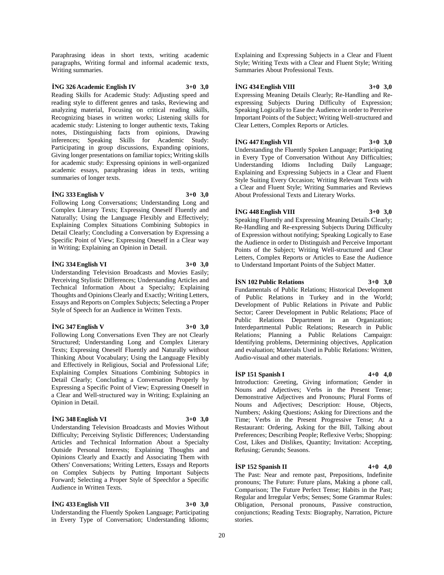Paraphrasing ideas in short texts, writing academic paragraphs, Writing formal and informal academic texts, Writing summaries.

## **İNG 326 Academic English IV 3+0 3,0**

Reading Skills for Academic Study: Adjusting speed and reading style to different genres and tasks, Reviewing and analyzing material, Focusing on critical reading skills, Recognizing biases in written works; Listening skills for academic study: Listening to longer authentic texts, Taking notes, Distinguishing facts from opinions, Drawing inferences; Speaking Skills for Academic Study: Participating in group discussions, Expanding opinions, Giving longer presentations on familiar topics; Writing skills for academic study: Expressing opinions in well-organized academic essays, paraphrasing ideas in texts, writing summaries of longer texts.

#### **İNG 333 English V 3+0 3,0**

Following Long Conversations; Understanding Long and Complex Literary Texts; Expressing Oneself Fluently and Naturally; Using the Language Flexibly and Effectively; Explaining Complex Situations Combining Subtopics in Detail Clearly; Concluding a Conversation by Expressing a Specific Point of View; Expressing Oneself in a Clear way in Writing; Explaining an Opinion in Detail.

#### **İNG 334 English VI 3+0 3,0**

Understanding Television Broadcasts and Movies Easily; Perceiving Stylistic Differences; Understanding Articles and Technical Information About a Specialty; Explaining Thoughts and Opinions Clearly and Exactly; Writing Letters, Essays and Reports on Complex Subjects; Selecting a Proper Style of Speech for an Audience in Written Texts.

## **İNG 347 English V 3+0 3,0**

Following Long Conversations Even They are not Clearly Structured; Understanding Long and Complex Literary Texts; Expressing Oneself Fluently and Naturally without Thinking About Vocabulary; Using the Language Flexibly and Effectively in Religious, Social and Professional Life; Explaining Complex Situations Combining Subtopics in Detail Clearly; Concluding a Conversation Properly by Expressing a Specific Point of View; Expressing Oneself in a Clear and Well-structured way in Writing; Explaining an Opinion in Detail.

### **İNG 348 English VI 3+0 3,0**

Understanding Television Broadcasts and Movies Without Difficulty; Perceiving Stylistic Differences; Understanding Articles and Technical Information About a Specialty Outside Personal Interests; Explaining Thoughts and Opinions Clearly and Exactly and Associating Them with Others' Conversations; Writing Letters, Essays and Reports on Complex Subjects by Putting Important Subjects Forward; Selecting a Proper Style of Speechfor a Specific Audience in Written Texts.

#### **İNG 433 English VII 3+0 3,0**

Understanding the Fluently Spoken Language; Participating in Every Type of Conversation; Understanding Idioms;

Explaining and Expressing Subjects in a Clear and Fluent Style; Writing Texts with a Clear and Fluent Style; Writing Summaries About Professional Texts.

#### **İNG 434 English VIII 3+0 3,0**

Expressing Meaning Details Clearly; Re-Handling and Reexpressing Subjects During Difficulty of Expression; Speaking Logically to Ease the Audience in order to Perceive Important Points of the Subject; Writing Well-structured and Clear Letters, Complex Reports or Articles.

## **İNG 447 English VII 3+0 3,0**

Understanding the Fluently Spoken Language; Participating in Every Type of Conversation Without Any Difficulties; Understanding Idioms Including Daily Language; Explaining and Expressing Subjects in a Clear and Fluent Style Suiting Every Occasion; Writing Relevant Texts with a Clear and Fluent Style; Writing Summaries and Reviews About Professional Texts and Literary Works.

## **İNG 448 English VIII 3+0 3,0**

Speaking Fluently and Expressing Meaning Details Clearly; Re-Handling and Re-expressing Subjects During Difficulty of Expression without notifying; Speaking Logically to Ease the Audience in order to Distinguish and Perceive Important Points of the Subject; Writing Well-structured and Clear Letters, Complex Reports or Articles to Ease the Audience to Understand Important Points of the Subject Matter.

## **İSN 102 Public Relations 3+0 3,0**

Fundamentals of Public Relations; Historical Development of Public Relations in Turkey and in the World; Development of Public Relations in Private and Public Sector; Career Development in Public Relations; Place of Public Relations Department in an Organization; Interdepartmental Public Relations; Research in Public Relations; Planning a Public Relations Campaign: Identifying problems, Determining objectives, Application and evaluation; Materials Used in Public Relations: Written, Audio-visual and other materials.

### **İSP 151 Spanish I 4+0 4,0**

Introduction: Greeting, Giving information; Gender in Nouns and Adjectives; Verbs in the Present Tense; Demonstrative Adjectives and Pronouns; Plural Forms of Nouns and Adjectives; Description: House, Objects, Numbers; Asking Questions; Asking for Directions and the Time; Verbs in the Present Progressive Tense; At a Restaurant: Ordering, Asking for the Bill, Talking about Preferences; Describing People; Reflexive Verbs; Shopping: Cost, Likes and Dislikes, Quantity; Invitation: Accepting, Refusing; Gerunds; Seasons.

## **İSP 152 Spanish II 4+0 4,0**

The Past: Near and remote past, Prepositions, Indefinite pronouns; The Future: Future plans, Making a phone call, Comparison; The Future Perfect Tense; Habits in the Past; Regular and Irregular Verbs; Senses; Some Grammar Rules: Obligation, Personal pronouns, Passive construction, conjunctions; Reading Texts: Biography, Narration, Picture stories.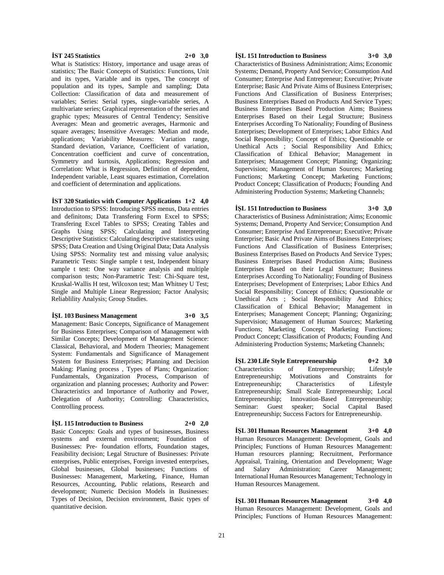### **İST 245 Statistics 2+0 3,0**

What is Statistics: History, importance and usage areas of statistics; The Basic Concepts of Statistics: Functions, Unit and its types, Variable and its types, The concept of population and its types, Sample and sampling; Data Collection: Classification of data and measurement of variables; Series: Serial types, single-variable series, A multivariate series; Graphical representation of the series and graphic types; Measures of Central Tendency; Sensitive Averages: Mean and geometric averages, Harmonic and square averages; Insensitive Averages: Median and mode, applications; Variability Measures: Variation range, Standard deviation, Variance, Coefficient of variation, Concentration coefficient and curve of concentration, Symmetry and kurtosis, Applications; Regression and Correlation: What is Regression, Definition of dependent, Independent variable, Least squares estimation, Correlation and coefficient of determination and applications.

## **İST 320 Statistics with Computer Applications 1+2 4,0**

Introduction to SPSS: Introducing SPSS menus, Data entries and definitons; Data Transfering Form Excel to SPSS; Transfering Excel Tables to SPSS; Creating Tables and Graphs Using SPSS; Calculating and Interpreting Descriptive Statistics: Calculating descriptive statistics using SPSS; Data Creation and Using Original Data; Data Analysis Using SPSS: Normality test and missing value analysis; Parametric Tests: Single sample t test, Independent binary sample t test: One way variance analysis and multiple comparison tests; Non-Parametric Test: Chi-Square test, Kruskal-Wallis H test, Wilcoxon test; Man Whitney U Test; Single and Multiple Linear Regression; Factor Analysis; Reliablility Analysis; Group Studies.

#### **İŞL 103 Business Management 3+0 3,5**

Management: Basic Concepts, Significance of Management for Business Enterprises; Comparison of Management with Similar Concepts; Development of Management Science: Classical, Behavioral, and Modern Theories; Management System: Fundamentals and Significance of Management System for Business Enterprises; Planning and Decision Making: Planing process , Types of Plans; Organization: Fundamentals, Organization Process, Comparison of organization and planning processes; Authority and Power: Characteristics and Importance of Authority and Power, Delegation of Authority; Controlling: Characteristics, Controlling process.

## **İŞL 115 Introduction to Business 2+0 2,0**

Basic Concepts: Goals and types of businesses, Business systems and external environment; Foundation of Businesses: Pre- foundation efforts, Foundation stages, Feasibility decision; Legal Structure of Businesses: Private enterprises, Public enterprises, Foreign invested enterprises, Global businesses, Global businesses; Functions of Businesses: Management, Marketing, Finance, Human Resources, Accounting, Public relations, Research and development; Numeric Decision Models in Businesses: Types of Decision, Decision environment, Basic types of quantitative decision.

#### **İŞL 151 Introduction to Business 3+0 3,0**

Characteristics of Business Administration; Aims; Economic Systems; Demand, Property And Service; Consumption And Consumer; Enterprise And Entrepreneur; Executive; Private Enterprise; Basic And Private Aims of Business Enterprises; Functions And Classification of Business Enterprises; Business Enterprises Based on Products And Service Types; Business Enterprises Based Production Aims; Business Enterprises Based on their Legal Structure; Business Enterprises According To Nationality; Founding of Business Enterprises; Development of Enterprises; Labor Ethics And Social Responsibility; Concept of Ethics; Questionable or Unethical Acts ; Social Responsibility And Ethics; Classification of Ethical Behavior; Management in Enterprises; Management Concept; Planning; Organizing; Supervision; Management of Human Sources; Marketing Functions; Marketing Concept; Marketing Functions; Product Concept; Classification of Products; Founding And Administering Production Systems; Marketing Channels;

## **İŞL 151 Introduction to Business 3+0 3,0**

Characteristics of Business Administration; Aims; Economic Systems; Demand, Property And Service; Consumption And Consumer; Enterprise And Entrepreneur; Executive; Private Enterprise; Basic And Private Aims of Business Enterprises; Functions And Classification of Business Enterprises; Business Enterprises Based on Products And Service Types; Business Enterprises Based Production Aims; Business Enterprises Based on their Legal Structure; Business Enterprises According To Nationality; Founding of Business Enterprises; Development of Enterprises; Labor Ethics And Social Responsibility; Concept of Ethics; Questionable or Unethical Acts ; Social Responsibility And Ethics; Classification of Ethical Behavior; Management in Enterprises; Management Concept; Planning; Organizing; Supervision; Management of Human Sources; Marketing Functions; Marketing Concept; Marketing Functions; Product Concept; Classification of Products; Founding And Administering Production Systems; Marketing Channels;

**İŞL 230 Life Style Entrepreneurship 0+2 3,0** Characteristics of Entrepreneurship; Lifestyle Entrepreneurship; Motivations and Constraints for Entrepreneurship; Characteristics of Lifestyle Entrepreneurship; Small Scale Entrepreneurship; Local Entrepreneurship; Innovation-Based Entrepreneurship; Seminar: Guest speaker; Social Capital Based Entrepreneurship; Success Factors for Entrepreneurship.

**İŞL 301 Human Resources Management 3+0 4,0** Human Resources Management: Development, Goals and Principles; Functions of Human Resources Management: Human resources planning; Recruitment, Performance Appraisal, Training, Orientation and Development; Wage and Salary Administration; Career Management; International Human Resources Management; Technology in Human Resources Management.

**İŞL 301 Human Resources Management 3+0 4,0** Human Resources Management: Development, Goals and Principles; Functions of Human Resources Management: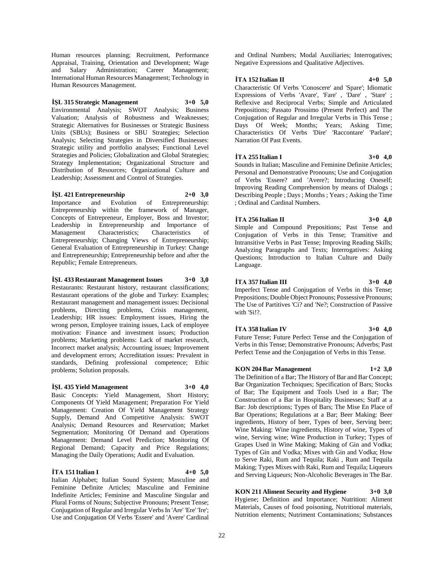Human resources planning; Recruitment, Performance Appraisal, Training, Orientation and Development; Wage and Salary Administration; Career Management; International Human Resources Management; Technology in Human Resources Management.

## **İŞL 315 Strategic Management 3+0 5,0**

Environmental Analysis; SWOT Analysis; Business Valuation; Analysis of Robustness and Weaknesses; Strategic Alternatives for Businesses or Strategic Business Units (SBUs); Business or SBU Strategies; Selection Analysis; Selecting Strategies in Diversified Businesses: Strategic utility and portfolio analyses; Functional Level Strategies and Policies; Globalization and Global Strategies; Strategy Implementation; Organizational Structure and Distribution of Resources; Organizational Culture and Leadership; Assessment and Control of Strategies.

## **İŞL 421 Entrepreneurship 2+0 3,0**

Importance and Evolution of Entrepreneurship: Entrepreneurship within the framework of Manager, Concepts of Entrepreneur, Employer, Boss and Investor; Leadership in Entrepreneurship and Importance of Management Characteristics; Characteristics of Entrepreneurship; Changing Views of Entrepreneurship; General Evaluation of Entrepreneurship in Turkey: Change and Entrepreneurship; Entrepreneurship before and after the Republic; Female Entrepreneurs.

## **İŞL 433 Restaurant Management Issues 3+0 3,0**

Restaurants: Restaurant history, restaurant classifications; Restaurant operations of the globe and Turkey: Examples; Restaurant management and management issues: Decisional problems, Directing problems, Crisis management, Leadership; HR issues: Employment issues, Hiring the wrong person, Employee training issues, Lack of employee motivation: Finance and investment issues; Production problems; Marketing problems: Lack of market research, Incorrect market analysis; Accounting issues; Improvement and development errors; Accreditation issues: Prevalent in standards, Defining professional competence; Ethic problems; Solution proposals.

## **İŞL 435 Yield Management 3+0 4,0**

Basic Concepts: Yield Management, Short History; Components Of Yield Management; Preparation For Yield Management: Creation Of Yield Management Strategy Supply, Demand And Competitive Analysis: SWOT Analysis; Demand Resources and Reservation; Market Segmentation; Monitoring Of Demand and Operations Management: Demand Level Prediction; Monitoring Of Regional Demand; Capacity and Price Regulations; Managing the Daily Operations; Audit and Evaluation.

## **İTA 151 Italian I 4+0 5,0**

Italian Alphabet; Italian Sound System; Masculine and Feminine Definite Articles; Masculine and Feminine Indefinite Articles; Feminine and Masculine Singular and Plural Forms of Nouns; Subjective Pronouns; Present Tense; Conjugation of Regular and Irregular Verbs In 'Are' 'Ere' 'Ire'; Use and Conjugation Of Verbs 'Essere' and 'Avere' Cardinal

and Ordinal Numbers; Modal Auxiliaries; Interrogatives; Negative Expressions and Qualitative Adjectives.

#### **İTA 152 Italian II 4+0 5,0**

Characteristic Of Verbs 'Conoscere' and 'Spare'; Idiomatic Expressions of Verbs 'Avare', 'Fare' , 'Dare' , 'Stare' ; Reflexive and Reciprocal Verbs; Simple and Articulated Prepositions; Passato Prossimo (Present Perfect) and The Conjugation of Regular and Irregular Verbs in This Tense ; Days Of Week; Months; Years; Asking Time; Characteristics Of Verbs 'Dire' 'Raccontare' 'Parlare'; Narration Of Past Events.

## **İTA 255 Italian I 3+0 4,0**

Sounds in Italian; Masculine and Feminine Definite Articles; Personal and Demonstrative Pronouns; Use and Conjugation of Verbs 'Essere? and 'Avere?; Introducing Oneself; Improving Reading Comprehension by means of Dialogs ; Describing People ; Days ; Months ; Years ; Asking the Time ; Ordinal and Cardinal Numbers.

# **İTA 256 Italian II 3+0 4,0**

Simple and Compound Prepositions; Past Tense and Conjugation of Verbs in this Tense; Transitive and Intransitive Verbs in Past Tense; Improving Reading Skills; Analyzing Paragraphs and Texts; Interrogatives: Asking Questions; Introduction to Italian Culture and Daily Language.

## **İTA 357 Italian III 3+0 4,0**

Imperfect Tense and Conjugation of Verbs in this Tense; Prepositions; Double Object Pronouns; Possessive Pronouns; The Use of Partitives 'Ci? and 'Ne?; Construction of Passive with 'Si!?.

## **İTA 358 Italian IV 3+0 4,0**

Future Tense; Future Perfect Tense and the Conjugation of Verbs in this Tense; Demonstrative Pronouns; Adverbs; Past Perfect Tense and the Conjugation of Verbs in this Tense.

#### **KON 204 Bar Management 1+2 3,0**

The Definition of a Bar; The History of Bar and Bar Concept; Bar Organization Techniques; Specification of Bars; Stocks of Bar; The Equipment and Tools Used in a Bar; The Construction of a Bar in Hospitality Businesses; Staff at a Bar: Job descriptions; Types of Bars; The Mise En Place of Bar Operations; Regulations at a Bar; Beer Making: Beer ingredients, History of beer, Types of beer, Serving beer; Wine Making: Wine ingredients, History of wine, Types of wine, Serving wine; Wine Production in Turkey; Types of Grapes Used in Wine Making; Making of Gin and Vodka; Types of Gin and Vodka; Mixes with Gin and Vodka; How to Serve Raki, Rum and Tequila; Raki , Rum and Tequila Making; Types Mixes with Raki, Rum and Tequila; Liqueurs and Serving Liqueurs; Non-Alcoholic Beverages in The Bar.

**KON 211 Aliment Security and Hygiene 3+0 3,0** Hygiene; Definition and Importance; Nutrition: Aliment Materials, Causes of food poisoning, Nutritional materials, Nutrition elements; Nutriment Contaminations; Substances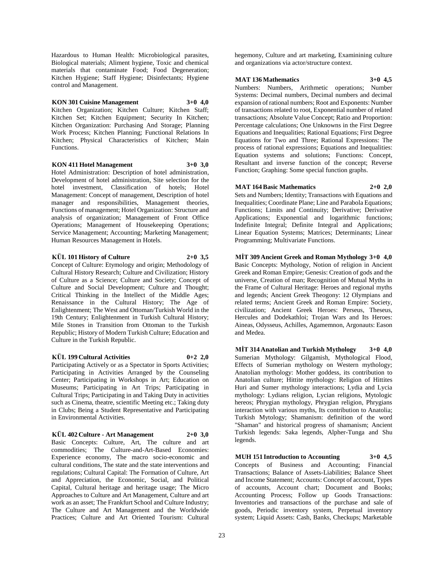Hazardous to Human Health: Microbiological parasites, Biological materials; Aliment hygiene, Toxic and chemical materials that contaminate Food; Food Degeneration; Kitchen Hygiene; Staff Hygiene; Disinfectants; Hygiene control and Management.

## **KON 301 Cuisine Management 3+0 4,0**

Kitchen Organization; Kitchen Culture; Kitchen Staff; Kitchen Set; Kitchen Equipment; Security In Kitchen; Kitchen Organization: Purchasing And Storage; Planning Work Process; Kitchen Planning; Functional Relations In Kitchen; Physical Characteristics of Kitchen; Main Functions.

## **KON 411 Hotel Management 3+0 3,0**

Hotel Administration: Description of hotel administration, Development of hotel administration, Site selection for the hotel investment, Classification of hotels; Hotel Management: Concept of management, Description of hotel manager and responsibilities, Management theories, Functions of management; Hotel Organization: Structure and analysis of organization; Management of Front Office Operations; Management of Housekeeping Operations; Service Management; Accounting; Marketing Management; Human Resources Management in Hotels.

## **KÜL 101 History of Culture 2+0 3,5**

Concept of Culture: Etymology and origin; Methodology of Cultural History Research; Culture and Civilization; History of Culture as a Science; Culture and Society; Concept of Culture and Social Development; Culture and Thought; Critical Thinking in the Intellect of the Middle Ages; Renaissance in the Cultural History; The Age of Enlightenment; The West and Ottoman/Turkish World in the 19th Century; Enlightenment in Turkish Cultural History; Mile Stones in Transition from Ottoman to the Turkish Republic; History of Modern Turkish Culture; Education and Culture in the Turkish Republic.

## **KÜL 199 Cultural Activities 0+2 2,0**

Participating Actively or as a Spectator in Sports Activities; Participating in Activities Arranged by the Counseling Center; Participating in Workshops in Art; Education on Museums; Participating in Art Trips; Participating in Cultural Trips; Participating in and Taking Duty in activities such as Cinema, theatre, scientific Meeting etc.; Taking duty in Clubs; Being a Student Representative and Participating in Environmental Activities.

## **KÜL 402 Culture - Art Management 2+0 3,0**

Basic Concepts: Culture, Art, The culture and art commodities; The Culture-and-Art-Based Economies: Experience economy, The macro socio-economic and cultural conditions, The state and the state interventions and regulations; Cultural Capital: The Formation of Culture, Art and Appreciation, the Economic, Social, and Political Capital, Cultural heritage and heritage usage; The Micro Approaches to Culture and Art Management, Culture and art work as an asset: The Frankfurt School and Culture Industry: The Culture and Art Management and the Worldwide Practices; Culture and Art Oriented Tourism: Cultural

hegemony, Culture and art marketing, Examinining culture and organizations via actor/structure context.

## **MAT 136 Mathematics 3+0 4,5**

Numbers: Numbers, Arithmetic operations; Number Systems: Decimal numbers, Decimal numbers and decimal expansion of rational numbers; Root and Exponents: Number of transactions related to root, Exponential number of related transactions; Absolute Value Concept; Ratio and Proportion: Percentage calculations; One Unknowns in the First Degree Equations and Inequalities; Rational Equations; First Degree Equations for Two and Three; Rational Expressions: The process of rational expressions; Equations and Inequalities: Equation systems and solutions; Functions: Concept, Resultant and inverse function of the concept; Reverse Function; Graphing: Some special function graphs.

## **MAT 164 Basic Mathematics 2+0 2,0**

Sets and Numbers; Identity; Transactions with Equations and Inequalities; Coordinate Plane; Line and Parabola Equations; Functions; Limits and Continuity; Derivative; Derivative Applications; Exponential and logarithmic functions; Indefinite Integral; Definite Integral and Applications; Linear Equation Systems; Matrices; Determinants; Linear Programming; Multivariate Functions.

## **MİT 309 Ancient Greek and Roman Mythology 3+0 4,0**

Basic Concepts: Mythology, Notion of religion in Ancient Greek and Roman Empire; Genesis: Creation of gods and the universe, Creation of man; Recognition of Mutual Myths in the Frame of Cultural Heritage: Heroes and regional myths and legends; Ancient Greek Theogony: 12 Olympians and related terms; Ancient Greek and Roman Empire: Society, civilization; Ancient Greek Heroes: Perseus, Theseus, Hercules and Dodekathloi; Trojan Wars and Its Heroes: Aineas, Odysseus, Achilles, Agamemnon, Argonauts: Eason and Medea.

**MİT 314 Anatolian and Turkish Mythology 3+0 4,0** Sumerian Mythology: Gilgamish, Mythological Flood, Effects of Sumerian mythology on Western mythology; Anatolian mythology: Mother goddess, its contribution to Anatolian culture; Hittite mythology: Religion of Hittites Huri and Sumer mythology interactions; Lydia and Lycia mythology: Lydians religion, Lycian religions, Mytologic hereos; Phrygian mythology, Phrygian religion, Phrygians interaction with various myths, Its contribution to Anatolia; Turkish Mytology; Shamanism: definition of the word "Shaman" and historical progress of shamanism; Ancient Turkish legends: Saka legends, Alpher-Tunga and Shu legends.

**MUH 151 Introduction to Accounting 3+0 4,5** Concepts of Business and Accounting; Financial Transactions; Balance of Assets-Liabilities; Balance Sheet and Income Statement; Accounts: Concept of account, Types of accounts, Account chart; Document and Books; Accounting Process; Follow up Goods Transactions: Inventories and transactions of the purchase and sale of goods, Periodic inventory system, Perpetual inventory system; Liquid Assets: Cash, Banks, Checkups; Marketable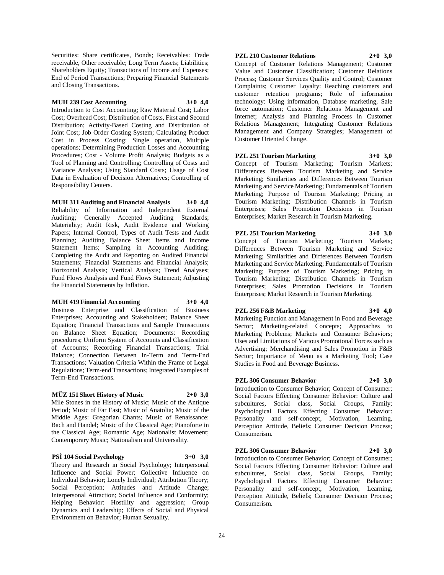Securities: Share certificates, Bonds; Receivables: Trade receivable, Other receivable; Long Term Assets; Liabilities; Shareholders Equity; Transactions of Income and Expenses; End of Period Transactions; Preparing Financial Statements and Closing Transactions.

### **MUH 239 Cost Accounting 3+0 4,0**

Introduction to Cost Accounting; Raw Material Cost; Labor Cost; Overhead Cost; Distribution of Costs, First and Second Distribution; Activity-Based Costing and Distribution of Joint Cost; Job Order Costing System; Calculating Product Cost in Process Costing: Single operation, Multiple operations; Determining Production Losses and Accounting Procedures; Cost - Volume Profit Analysis; Budgets as a Tool of Planning and Controlling; Controlling of Costs and Variance Analysis; Using Standard Costs; Usage of Cost Data in Evaluation of Decision Alternatives; Controlling of Responsibility Centers.

**MUH 311 Auditing and Financial Analysis 3+0 4,0** Reliability of Information and Independent External Auditing; Generally Accepted Auditing Standards; Materiality; Audit Risk, Audit Evidence and Working Papers; Internal Control, Types of Audit Tests and Audit Planning; Auditing Balance Sheet Items and Income Statement Items; Sampling in Accounting Auditing; Completing the Audit and Reporting on Audited Financial Statements; Financial Statements and Financial Analysis; Horizontal Analysis; Vertical Analysis; Trend Analyses; Fund Flows Analysis and Fund Flows Statement; Adjusting the Financial Statements by Inflation.

#### **MUH 419 Financial Accounting 3+0 4,0**

Business Enterprise and Classification of Business Enterprises; Accounting and Stakeholders; Balance Sheet Equation; Financial Transactions and Sample Transactions on Balance Sheet Equation; Documents: Recording procedures; Uniform System of Accounts and Classification of Accounts; Recording Financial Transactions; Trial Balance; Connection Between In-Term and Term-End Transactions; Valuation Criteria Within the Frame of Legal Regulations; Term-end Transactions; Integrated Examples of Term-End Transactions.

## **MÜZ 151 Short History of Music 2+0 3,0**

Mile Stones in the History of Music; Music of the Antique Period; Music of Far East; Music of Anatolia; Music of the Middle Ages: Gregorian Chants; Music of Renaissance: Bach and Handel; Music of the Classical Age; Pianoforte in the Classical Age; Romantic Age; Nationalist Movement; Contemporary Music; Nationalism and Universality.

## **PSİ 104 Social Psychology 3+0 3,0**

Theory and Research in Social Psychology; Interpersonal Influence and Social Power; Collective Influence on Individual Behavior; Lonely Individual; Attribution Theory; Social Perception; Attitudes and Attitude Change; Interpersonal Attraction; Social Influence and Conformity; Helping Behavior: Hostility and aggression; Group Dynamics and Leadership; Effects of Social and Physical Environment on Behavior; Human Sexuality.

## **PZL 210 Customer Relations 2+0 3,0**

Concept of Customer Relations Management; Customer Value and Customer Classification; Customer Relations Process; Customer Services Quality and Control; Customer Complaints; Customer Loyalty: Reaching customers and customer retention programs; Role of information technology: Using information, Database marketing, Sale force automation; Customer Relations Management and Internet; Analysis and Planning Process in Customer Relations Management; Integrating Customer Relations Management and Company Strategies; Management of Customer Oriented Change.

## **PZL 251 Tourism Marketing 3+0 3,0**

Concept of Tourism Marketing; Tourism Markets; Differences Between Tourism Marketing and Service Marketing; Similarities and Differences Between Tourism Marketing and Service Marketing; Fundamentals of Tourism Marketing; Purpose of Tourism Marketing; Pricing in Tourism Marketing; Distribution Channels in Tourism Enterprises; Sales Promotion Decisions in Tourism Enterprises; Market Research in Tourism Marketing.

## **PZL 251 Tourism Marketing 3+0 3,0**

Concept of Tourism Marketing; Tourism Markets; Differences Between Tourism Marketing and Service Marketing; Similarities and Differences Between Tourism Marketing and Service Marketing; Fundamentals of Tourism Marketing; Purpose of Tourism Marketing; Pricing in Tourism Marketing; Distribution Channels in Tourism Enterprises; Sales Promotion Decisions in Tourism Enterprises; Market Research in Tourism Marketing.

Studies in Food and Beverage Business.

**PZL 256 F&B Marketing 3+0 4,0** Marketing Function and Management in Food and Beverage Sector; Marketing-related Concepts; Approaches to Marketing Problems; Markets and Consumer Behaviors; Uses and Limitations of Various Promotional Forces such as Advertising; Merchandising and Sales Promotion in F&B Sector; Importance of Menu as a Marketing Tool; Case

## **PZL 306 Consumer Behavior 2+0 3,0**

Introduction to Consumer Behavior; Concept of Consumer; Social Factors Effecting Consumer Behavior: Culture and subcultures, Social class, Social Groups, Family; Psychological Factors Effecting Consumer Behavior: Personality and self-concept, Motivation, Learning, Perception Attitude, Beliefs; Consumer Decision Process; Consumerism.

## **PZL 306 Consumer Behavior 2+0 3,0**

Introduction to Consumer Behavior; Concept of Consumer; Social Factors Effecting Consumer Behavior: Culture and subcultures, Social class, Social Groups, Family; Psychological Factors Effecting Consumer Behavior: Personality and self-concept, Motivation, Learning, Perception Attitude, Beliefs; Consumer Decision Process; Consumerism.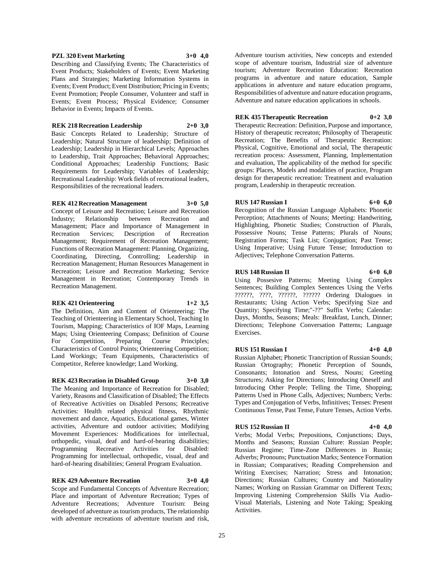25

Russian Regime; Time-Zone Differences in Russia; Adverbs; Pronouns; Punctuation Marks; Sentence Formation in Russian; Comparatives; Reading Comprehension and Writing Exercises; Narration; Stress and Intonation; Directions; Russian Cultures; Country and Nationality Names; Working on Russian Grammar on Different Texts; Improving Listening Comprehension Skills Via Audio-Visual Materials, Listening and Note Taking; Speaking Activities.

Continuous Tense, Past Tense, Future Tenses, Action Verbs.

Introducing Other People; Telling the Time, Shopping; Patterns Used in Phone Calls, Adjectives; Numbers; Verbs: Types and Conjugation of Verbs, Infinitives; Tenses: Present

**RUS 152 Russian II 4+0 4,0** Verbs; Modal Verbs; Prepositions, Conjunctions; Days, Months and Seasons; Russian Culture: Russian People;

Directions; Telephone Conversation Patterns; Language Exercises. **RUS 151 Russian I 4+0 4,0** Russian Alphabet; Phonetic Trancription of Russian Sounds; Russian Ortography; Phonetic Perception of Sounds, Consonants; Intonation and Stress, Nouns; Greeting Structures; Asking for Directions; Introducing Oneself and

Registration Forms; Task List; Conjugation; Past Tense; Using Imperative; Using Future Tense; Introduction to Adjectives; Telephone Conversation Patterns. **RUS 148 Russian II 6+0 6,0** Using Possesive Patterns; Meeting Using Complex Sentences; Building Complex Sentences Using the Verbs ??????, ????, ??????, ?????? Ordering Dialogues in

Restaurants; Using Action Verbs; Specifying Size and Quantity; Specifying Time;"-??" Suffix Verbs; Calendar: Days, Months, Seasons; Meals: Breakfast, Lunch, Dinner;

program, Leadership in therapeutic recreation. **RUS 147 Russian I 6+0 6,0** Recognition of the Russian Language Alphabets: Phonetic Perception; Attachments of Nouns; Meeting: Handwriting, Highlighting, Phonetic Studies; Construction of Plurals. Possessive Nouns; Tense Patterns; Plurals of Nouns;

**REK 435 Therapeutic Recreation 0+2 3,0** Therapeutic Recreation: Definition, Purpose and importance, History of therapeutic recreaton; Philosophy of Therapeutic Recreation; The Benefits of Therapeutic Recreation: Physical, Cognitive, Emotional and social, The therapeutic recreation process: Assessment, Planning, Implementation

**REK 218 Recreation Leadership 2+0 3,0** Basic Concepts Related to Leadership; Structure of

Leadership; Natural Structure of leadership; Definition of Leadership; Leadership in Hierarchical Levels; Approaches to Leadership, Trait Approaches; Behavioral Approaches; Conditional Approaches; Leadership Functions; Basic Requirements for Leadership; Variables of Leadership; Recreational Leadership: Work fields of recreational leaders, Responsibilities of the recreational leaders.

# **REK 412 Recreation Management 3+0 5,0**

Concept of Leisure and Recreation; Leisure and Recreation Industry; Relationship between Recreation and Management; Place and Importance of Management in Recreation Services; Description of Recreation Management; Requirement of Recreation Management; Functions of Recreation Management: Planning, Organizing, Coordinating, Directing, Controlling; Leadership in Recreation Management; Human Resources Management in Recreation; Leisure and Recreation Marketing; Service Management in Recreation; Contemporary Trends in Recreation Management.

# **REK 421 Orienteering 1+2 3,5**

The Definition, Aim and Content of Orienteering; The Teaching of Orienteering in Elementary School, Teaching In Tourism, Mapping; Characteristics of IOF Maps, Learning Maps; Using Orienteering Compass; Definition of Course For Competition, Preparing Course Principles; Characteristics of Control Points; Orienteering Competition; Land Workings; Team Equipments, Characteristics of Competitor, Referee knowledge; Land Working.

# **REK 423 Recration in Disabled Group 3+0 3,0**

The Meaning and Importance of Recreation for Disabled; Variety, Reasons and Classification of Disabled; The Effects of Recreative Activities on Disabled Persons; Recreative Activities: Health related physical fitness, Rhythmic movement and dance, Aquatics, Educational games, Winter activities, Adventure and outdoor activities; Modifying Movement Experiences: Modifications for intellectual, orthopedic, visual, deaf and hard-of-hearing disabilities; Programming Recreative Activities for Disabled: Programming for intellectual, orthopedic, visual, deaf and hard-of-hearing disabilities; General Program Evaluation.

# **REK 429 Adventure Recreation 3+0 4,0**

Scope and Fundamental Concepts of Adventure Recreation; Place and important of Adventure Recreation; Types of Adventure Recreations; Adventure Tourism: Being developed of adventure as tourism products, The relationship with adventure recreations of adventure tourism and risk,

**PZL 320 Event Marketing 3+0 4,0**

Describing and Classifying Events; The Characteristics of Event Products; Stakeholders of Events; Event Marketing Plans and Strategies; Marketing Information Systems in Events; Event Product; Event Distribution; Pricing in Events; Event Promotion; People Consumer, Volunteer and staff in Events; Event Process; Physical Evidence; Consumer Adventure tourism activities, New concepts and extended scope of adventure tourism, Industrial size of adventure tourism; Adventure Recreation Education: Recreation programs in adventure and nature education, Sample applications in adventure and nature education programs, Responsibilities of adventure and nature education programs, Adventure and nature education applications in schools.

Behavior in Events; Impacts of Events.

and evaluation, The applicability of the method for specific groups: Places, Models and modalities of practice, Program design for therapeutic recreation: Treatment and evaluation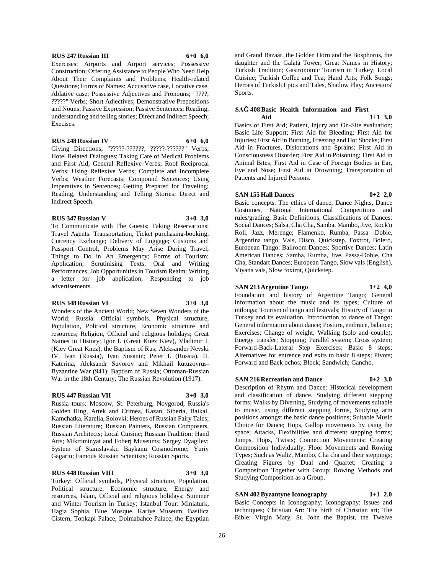#### **RUS 247 Russian III 6+0 6,0**

Exercises: Airports and Airport services; Possessive Construction; Offering Assistance to People Who Need Help About Their Complaints and Problems; Health-related Questions; Forms of Names: Accusative case, Locative case, Ablative case; Possessive Adjectives and Pronouns; "????, ?????" Verbs; Short Adjectives; Demonstrative Prepositions and Nouns; Passive Expression; Passive Sentences; Reading, understanding and telling stories; Direct and Indirect Speech; Execises.

**RUS 248 Russian IV 6+0 6,0**

Giving Directions; "?????-??????, ?????-??????" Verbs; Hotel Related Dialogues; Taking Care of Medical Problems and First Aid; General Reflexive Verbs; Roof Reciprocal Verbs; Using Reflexive Verbs; Complete and Incomplete Verbs; Weather Forecasts; Compound Sentences; Using Imperatives in Sentences; Getting Prepared for Traveling; Reading, Understanding and Telling Stories; Direct and Indirect Speech.

#### **RUS 347 Russian V 3+0 3,0**

To Communicate with The Guests; Taking Reservations; Travel Agents: Transportation, Ticket purchasing-booking; Currency Exchange; Delivery of Luggage; Customs and Passport Control; Problems May Arise During Travel; Things to Do in An Emergency; Forms of Tourism; Application; Scrutinising Texts; Oral and Writing Performances; Job Opportunities in Tourism Realm: Writing a letter for job application, Responding to job advertisements.

#### **RUS 348 Russian VI 3+0 3,0**

Wonders of the Ancient World; New Seven Wonders of the World; Russia: Official symbols, Physical structure, Population, Political structure, Economic structure and resources; Religion, Official and religious holidays; Great Names in History; Igor I. (Great Knez Kiev), Vladimir I. (Kiev Great Knez), the Baptism of Rus; Aleksander Nevski IV. Ivan (Russia), Ivan Susanin; Peter I. (Russia), II. Katerina; Aleksandr Suvorov and Mikhail kutuzovrus-Byzantine War (941); Baptism of Russia; Ottoman-Russian War in the 18th Century; The Russian Revolution (1917).

#### **RUS 447 Russian VII 3+0 3,0**

Russia tours: Moscow, St. Peterburg, Novgorod, Russia's Golden Ring, Artek and Crimea, Kazan, Siberia, Baikal, Kamchatka, Karelia, Solovki; Heroes of Russian Fairy Tales; Russian Literature; Russian Painters, Russian Composers, Russian Architects; Local Cuisine; Russian Tradition; Hand Arts; Mikrominyat and Foberj Museums; Sergey Dyagilev; System of Stanislavski; Baykanu Cosmodrome; Yuriy Gagarin; Famous Russian Scientists; Russian Sports.

#### **RUS 448 Russian VIII 3+0 3,0**

Turkey: Official symbols, Physical structure, Population, Political structure, Economic structure, Energy and resources, Islam, Official and religious holidays; Summer and Winter Tourism in Turkey; Istanbul Tour: Miniaturk, Hagia Sophia, Blue Mosque, Kariye Museum, Basilica Cistern, Topkapi Palace, Dolmabahce Palace, the Egyptian

and Grand Bazaar, the Golden Horn and the Bosphorus, the daughter and the Galata Tower; Great Names in History; Turkish Tradition; Gastronomic Tourism in Turkey; Local Cuisine; Turkish Coffee and Tea; Hand Arts; Folk Songs; Heroes of Turkish Epics and Tales, Shadow Play; Ancestors' Sports.

#### **SAĞ 408 Basic Health Information and First Aid 1+1 3,0**

Basics of First Aid; Patient, Injury and On-Site evaluation; Basic Life Support; First Aid for Bleeding; First Aid for Injuries; First Aid in Burning, Freezing and Hot Shocks; First Aid in Fractures, Dislocations and Sprains; First Aid in Consciousness Disorder; First Aid in Poisoning; First Aid in Animal Bites; First Aid in Case of Foreign Bodies in Ear, Eye and Nose; First Aid in Drowning; Transportation of Patients and Injured Persons.

## **SAN 155 Hall Dances 0+2 2,0**

Basic concepts. The ethics of dance, Dance Nights, Dance Costumes, National International Competitions and rules/grading, Basic Definitions, Classifications of Dances: Social Dances; Salsa, Cha Cha, Samba, Mambo, Jive, Rock'n Roll, Jazz, Merenge; Flamenko, Rumba, Passa -Doble, Argentina tango, Vals, Disco, Quickstep, Foxtrot, Bolero, European Tango: Ballroom Dances; Sportive Dances; Latin American Dances; Samba, Rumba, Jive, Passa-Doble, Cha Cha, Standart Dances; European Tango, Slow vals (English), Viyana vals, Slow foxtrot, Quickstep.

## **SAN 213 Argentine Tango 1+2 4,0**

Foundation and history of Argentine Tango; General information about the music and its types; Culture of milonga; Tourism of tango and festivals; History of Tango in Turkey and its evaluation. Introduction to dance of Tango: General information about dance; Posture, embrace, balance; Exercises; Change of weight; Walking (solo and couple); Energy transfer; Stopping; Parallel system; Cross system; Forward-Back-Lateral Step Exercises; Basic 8 steps; Alternatives for entrence and exits to basic 8 steps; Pivots; Forward and Back ochos; Block; Sandwich; Gancho.

## **SAN 216 Recreation and Dance 0+2 3,0**

Description of Rhytm and Dance: Historical development and classification of dance. Studying different stepping forms; Walks by Diverting, Studying of movements suitable to music, using different stepping forms, Studying arm positions amongst the basic dance positions; Suitable Music Choice for Dance; Hops, Gallop movements by using the space; Attacks, Flexibilities and different stepping forms; Jumps, Hops, Twists; Connection Movements; Creating Composition Individually; Floor Movements and Rowing Types; Such as Waltz, Mambo, Cha cha and their steppings; Creating Figures by Dual and Quartet; Creating a Composition Together with Group; Rowing Methods and Studying Composition as a Group.

## **SAN 402 Byzantyne Iconography 1+1 2,0**

Basic Concepts in Iconography; Iconography: Issues and techniques; Christian Art: The birth of Christian art; The Bible: Virgin Mary, St. John the Baptist, the Twelve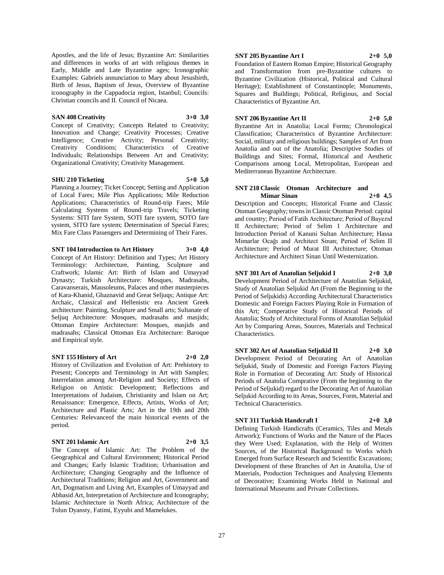Apostles, and the life of Jesus; Byzantine Art: Similarities and differences in works of art with religious themes in Early, Middle and Late Byzantine ages; Iconographic Examples: Gabriels annunciation to Mary about Jesusbirth, Birth of Jesus, Baptism of Jesus, Overview of Byzantine iconography in the Cappadocia region, Istanbul; Councils: Christian councils and II. Council of Nicaea.

#### **SAN 408 Creativity 3+0 3,0**

Concept of Creativity; Concepts Related to Creativity; Innovation and Change; Creativity Processes; Creative Intelligence; Creative Activity; Personal Creativity; Creativity Conditions; Characteristics of Creative Individuals; Relationships Between Art and Creativity; Organizational Creativity; Creativity Management.

## **SHU 210 Ticketing 5+0 5,0**

Planning a Journey; Ticket Concept; Setting and Application of Local Fares; Mile Plus Applications; Mile Reduction Applications; Characteristics of Round-trip Fares; Mile Calculating Systems of Round-trip Travels; Ticketing Systems: SITI fare System, SOTI fare system, SOTO fare system, SITO fare system; Determination of Special Fares; Mix Fare Class Passengers and Determining of Their Fares.

**SNT 104 Introduction to Art History 3+0 4,0**

Concept of Art History: Definition and Types; Art History Terminology: Architecture, Painting, Sculpture and Craftwork; Islamic Art: Birth of Islam and Umayyad Dynasty; Turkish Architecture: Mosques, Madrasahs, Caravanserais, Mausoleums, Palaces and other masterpieces of Kara-Khanid, Ghaznavid and Great Seljuqs; Antique Art: Archaic, Classical and Hellenistic era Ancient Greek architecture: Painting, Sculpture and Small arts; Sultanate of Seljuq Architecture: Mosques, madrasahs and masjids; Ottoman Empire Architecture: Mosques, masjids and madrasahs; Classical Ottoman Era Architecture: Baroque and Empirical style.

## **SNT 155 History of Art 2+0 2,0**

History of Civilization and Evolution of Art: Prehistory to Present; Concepts and Terminology in Art with Samples; Interrelation among Art-Religion and Society; Effects of Religion on Artistic Development; Reflections and Interpretations of Judaism, Christianity and Islam on Art; Renaissance: Emergence, Effects, Artists, Works of Art; Architecture and Plastic Arts; Art in the 19th and 20th Centuries: Relevanceof the main historical events of the period.

## **SNT 201 Islamic Art 2+0 3,5**

The Concept of Islamic Art: The Problem of the Geographical and Cultural Environment; Historical Period and Changes; Early Islamic Tradition; Urbanisation and Architecture; Changing Geography and the Influence of Architectural Traditions; Religion and Art, Government and Art, Dogmatism and Living Art, Examples of Umayyad and Abbasid Art, Interpretation of Architecture and Iconography; Islamic Architecture in North Africa; Architecture of the Tolun Dyansty, Fatimi, Eyyubi and Mamelukes.

## **SNT 205 Byzantine Art I 2+0 5,0**

Foundation of Eastern Roman Empire; Historical Geography and Transformation from pre-Byzantine cultures to Byzantine Civilization (Historical, Political and Cultural Heritage); Establishment of Constantinople; Monuments, Squares and Buildings; Political, Religious, and Social Characteristics of Byzantine Art.

## **SNT 206 Byzantine Art II 2+0 5,0**

Byzantine Art in Anatolia; Local Forms; Chronological Classification; Characteristics of Byzantine Architecture: Social, military and religious buildings; Samples of Art from Anatolia and out of the Anatolia; Descriptive Studies of Buildings and Sites; Formal, Historical and Aesthetic Comparisons among Local, Metropolitan, European and Mediterranean Byzantine Architecture.

#### **SNT 218 Classic Otoman Architecture and Mimar Sinan 2+0 4,5**

Description and Concepts; Historical Frame and Classic Otoman Geography; towns in Classic Otoman Period: capital and country; Period of Fatih Architecture; Period of Bayezıd II Architecture; Period of Selim I Architecture and Introduction Period of Kanuni Sultan Architecture; Hassa Mimarlar Ocağı and Architect Sinan; Period of Selim II Architecture; Period of Murat III Architecture; Otoman Architecture and Architect Sinan Until Westernization.

## **SNT 301 Art of Anatolian Seljukid I 2+0 3,0**

Development Period of Architecture of Anatolian Seljukid, Study of Anatolian Seljukid Art (From the Beginning to the Period of Seljukids) According Architectural Characteristics Domestic and Foreign Factors Playing Role in Formation of this Art; Comperative Study of Historical Periods of Anatolia; Study of Architectural Forms of Anatolian Seljukid Art by Comparing Areas, Sources, Materials and Technical Characteristics.

**SNT 302 Art of Anatolian Seljukid II 2+0 3,0** Development Period of Decorating Art of Anatolian Seljukid, Study of Domestic and Foreign Factors Playing Role in Formation of Decorating Art: Study of Historical Periods of Anatolia Comprative (From the beginning to the Period of Seljukid) regard to the Decorating Art of Anatolian Seljukid According to its Areas, Sources, Form, Material and Technical Characteristics.

## **SNT 311 Turkish Handcraft I 2+0 3,0**

Defining Turkish Handicrafts (Ceramics, Tiles and Metals Artwork); Functions of Works and the Nature of the Places they Were Used; Explanation, with the Help of Written Sources, of the Historical Background to Works which Emerged from Surface Research and Scientific Excavations; Development of these Branches of Art in Anatolia, Use of Materials, Production Techniques and Analysing Elements of Decorative; Examining Works Held in National and International Museums and Private Collections.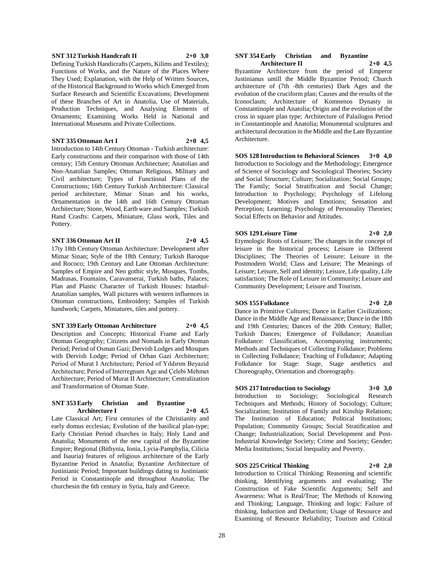#### **SNT 312 Turkish Handcraft II 2+0 3,0**

Defining Turkish Handicrafts (Carpets, Kilims and Textiles); Functions of Works, and the Nature of the Places Where They Used; Explanation, with the Help of Written Sources, of the Historical Background to Works which Emerged from Surface Research and Scientific Excavations; Development of these Branches of Art in Anatolia, Use of Materials, Production Techniques, and Analysing Elements of Ornaments; Examining Works Held in National and International Museums and Private Collections.

## **SNT 335 Ottoman Art I 2+0 4,5**

Introduction to 14th Century Ottoman - Turkish architecture: Early constructions and their comparison with those of 14th century; 15th Century Ottoman Architecture; Anatolian and Non-Anatolian Samples; Ottoman Religious, Military and Civil architecture; Types of Functional Plans of the Constructions; 16th Century Turkish Architecture: Classical period architecture, Mimar Sinan and his works, Ornamentation in the 14th and 16th Century Ottoman Architecture; Stone, Wood, Earth ware and Samples; Turkish Hand Crasfts: Carpets, Miniature, Glass work, Tiles and Pottery.

## **SNT 336 Ottoman Art II 2+0 4,5**

17ty 18th Century Ottoman Architecture: Development after Mimar Sinan; Style of the 18th Century; Turkish Baroque and Rococo; 19th Century and Late Ottoman Architecture: Samples of Empire and Neo gothic style, Mosques, Tombs, Madrasas, Fountains, Caravanserai, Turkish baths, Palaces; Plan and Plastic Character of Turkish Houses: Istanbul-Anatolian samples, Wall pictures with western influences in Ottoman constructions, Embroidery; Samples of Turkish handwork; Carpets, Miniatures, tiles and pottery.

#### **SNT 339 Early Ottoman Architecture 2+0 4,5**

Description and Concepts; Historical Frame and Early Otoman Geography; Citizens and Nomads in Early Otoman Period; Period of Osman Gazi; Dervish Lodges and Mosques with Dervish Lodge; Period of Orhan Gazi Architecture; Period of Murat I Architecture; Period of Yıldırım Beyazid Architecture; Period of Interregnum Age and Çelebi Mehmet Architecture; Period of Murat II Architecture; Centralization and Transformation of Otoman State.

#### **SNT 353 Early Christian and Byzantine Architecture I 2+0 4,5**

Late Classical Art; First centuries of the Christianity and early domus ecclesias; Evolution of the basilical plan-type; Early Christian Period churches in Italy; Holy Land and Anatolia; Monuments of the new capital of the Byzantine Empire; Regional (Bithynia, Ionia, Lycia-Pamphylia, Cilicia and Isauria) features of religious architecture of the Early Byzantine Period in Anatolia; Byzantine Architecture of Justinianic Period; Important buildings dating to Justinianic Period in Constantinople and throughout Anatolia; The churchesin the 6th century in Syria, Italy and Greece.

#### **SNT 354 Early Christian and Byzantine Architecture II 2+0 4,5**

Byzantine Architecture from the period of Emperor Justinianus untill the Middle Byzantine Period; Church architecture of (7th -8th centuries) Dark Ages and the evolution of the cruciform plan; Causes and the results of the Iconoclasm; Architecture of Komnenos Dynasty in Constantinople and Anatolia; Origin and the evolution of the cross in square plan type; Architecture of Palailogos Period in Constantinople and Anatolia; Monumental sculptures and architectural decoration in the Middle and the Late Byzantine Architecture.

## **SOS 128 Introduction to Behavioral Sciences 3+0 4,0** Introduction to Sociology and the Methodology; Emergence of Science of Sociology and Sociological Theories; Society

and Social Structure; Culture; Socialization; Social Groups; The Family; Social Stratification and Social Change; Introduction to Psychology; Psychology of Lifelong Development; Motives and Emotions; Sensation and Perception; Learning; Psychology of Personality Theories; Social Effects on Behavior and Attitudes.

#### **SOS 129 Leisure Time 2+0 2,0**

Etymologic Roots of Leisure; The changes in the concept of leisure in the historical process; Leisure in Different Disciplines; The Theories of Leisure; Leisure in the Postmodern World; Class and Leisure; The Meanings of Leisure; Leisure, Self and identity; Leisure, Life quality, Life satisfaction; The Role of Leisure in Community; Leisure and Community Development; Leisure and Tourism.

## **SOS 155 Folkdance 2+0 2,0**

Dance in Primitive Cultures; Dance in Earlier Civilizations; Dance in the Middle Age and Renaissance; Dance in the 18th and 19th Centuries; Dances of the 20th Century; Ballet; Turkish Dances; Emergence of Folkdance; Anatolian Folkdance: Classification, Accompanying instruments; Methods and Techniques of Collecting Folkdance; Problems in Collecting Folkdance; Teaching of Folkdance; Adapting Folkdance for Stage: Stage, Stage aesthetics and Choreography, Orientation and choreography.

#### **SOS 217 Introduction to Sociology 3+0 3,0**

Introduction to Sociology; Sociological Research Techniques and Methods; History of Sociology; Culture; Socialization; Institution of Family and Kinship Relations; The Institution of Education; Political Institutions; Population; Community Groups; Social Stratification and Change; Industrialization; Social Development and Post-Industrial Knowledge Society; Crime and Society; Gender; Media Institutions; Social Inequality and Poverty.

#### **SOS 225 Critical Thinking 2+0 2,0**

Introduction to Critical Thinking: Reasoning and scientific thinking, Identifying arguments and evaluating; The Construction of Fake Scientific Arguments; Self and Awareness: What is Real/True; The Methods of Knowing and Thinking; Language, Thinking and logic: Failure of thinking, Induction and Deduction; Usage of Resource and Examining of Resource Reliability; Tourism and Critical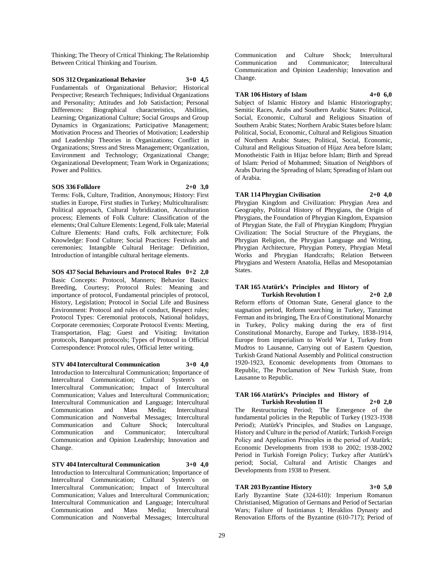Thinking; The Theory of Critical Thinking; The Relationship Between Critical Thinking and Tourism.

# **SOS 312 Organizational Behavior 3+0 4,5**

Fundamentals of Organizational Behavior; Historical Perspective; Research Techniques; Individual Organizations and Personality; Attitudes and Job Satisfaction; Personal Differences: Biographical characteristics, Abilities, Learning; Organizational Culture; Social Groups and Group Dynamics in Organizations; Participative Management; Motivation Process and Theories of Motivation; Leadership and Leadership Theories in Organizations; Conflict in Organizations; Stress and Stress Management; Organization, Environment and Technology; Organizational Change; Organizational Development; Team Work in Organizations; Power and Politics.

#### **SOS 336 Folklore 2+0 3,0**

Terms: Folk, Culture, Tradition, Anonymous; History: First studies in Europe, First studies in Turkey; Multiculturalism: Political approach, Cultural hybridization, Acculturation process; Elements of Folk Culture: Classification of the elements; Oral Culture Elements: Legend, Folk tale; Material Culture Elements: Hand crafts, Folk architecture; Folk Knowledge: Food Culture; Social Practices: Festivals and ceremonies; Intangible Cultural Heritage: Definition, Introduction of intangible cultural heritage elements.

**SOS 437 Social Behaviours and Protocol Rules 0+2 2,0** Basic Concepts: Protocol, Manners; Behavior Basics: Breeding, Courtesy; Protocol Rules: Meaning and importance of protocol, Fundamental principles of protocol, History, Legislation; Protocol in Social Life and Business Environment: Protocol and rules of conduct, Respect rules; Protocol Types: Ceremonial protocols, National holidays, Corporate ceremonies; Corporate Protocol Events: Meeting, Transportation, Flag; Guest and Visiting: Invitation protocols, Banquet protocols; Types of Protocol in Official Correspondence: Protocol rules, Official letter writing.

**STV 404 Intercultural Communication 3+0 4,0** Introduction to Intercultural Communication; Importance of Intercultural Communication; Cultural System's on Intercultural Communication; Impact of Intercultural Communication; Values and Intercultural Communication; Intercultural Communication and Language; Intercultural Communication and Mass Media; Intercultural Communication and Nonverbal Messages; Intercultural Communication and Culture Shock; Intercultural Communication and Communicator; Intercultural Communication and Opinion Leadership; Innovation and Change.

**STV 404 Intercultural Communication 3+0 4,0** Introduction to Intercultural Communication; Importance of Intercultural Communication; Cultural System's on Intercultural Communication; Impact of Intercultural Communication; Values and Intercultural Communication; Intercultural Communication and Language; Intercultural Communication and Mass Media; Intercultural Communication and Nonverbal Messages; Intercultural

Communication and Culture Shock; Intercultural Communication and Communicator; Intercultural Communication and Opinion Leadership; Innovation and Change.

#### **TAR 106 History of Islam 4+0 6,0**

Subject of Islamic History and Islamic Historiography; Semitic Races, Arabs and Southern Arabic States: Political, Social, Economic, Cultural and Religious Situation of Southern Arabic States; Northern Arabic States before Islam: Political, Social, Economic, Cultural and Religious Situation of Northern Arabic States; Political, Social, Economic, Cultural and Religious Situation of Hijaz Area before Islam; Monotheistic Faith in Hijaz before Islam; Birth and Spread of Islam: Period of Mohammed; Situation of Neighbors of Arabs During the Spreading of Islam; Spreading of Islam out of Arabia.

## **TAR 114 Phrygian Civilisation 2+0 4,0**

Phrygian Kingdom and Civilization: Phrygian Area and Geography, Political History of Phrygians, the Origin of Phrygians, the Foundation of Phrygian Kingdom, Expansion of Phrygian State, the Fall of Phrygian Kingdom; Phrygian Civilization: The Social Structure of the Phrygians, the Phrygian Religion, the Phrygian Language and Writing, Phrygian Architecture, Phrygian Pottery, Phrygian Metal Works and Phrygian Handcrafts; Relation Between Phrygians and Western Anatolia, Hellas and Mesopotamian States.

#### **TAR 165 Atatürk's Principles and History of Turkish Revolution I 2+0 2,0**

Reform efforts of Ottoman State, General glance to the stagnation period, Reform searching in Turkey, Tanzimat Ferman and its bringing, The Era of Constitutional Monarchy in Turkey, Policy making during the era of first Constitutional Monarchy, Europe and Turkey, 1838-1914, Europe from imperialism to World War I, Turkey from Mudros to Lausanne, Carrying out of Eastern Question, Turkish Grand National Assembly and Political construction 1920-1923, Economic developments from Ottomans to Republic, The Proclamation of New Turkish State, from Lausanne to Republic.

#### **TAR 166 Atatürk's Principles and History of Turkish Revolution II 2+0 2,0**

The Restructuring Period; The Emergence of the fundamental policies in the Republic of Turkey (1923-1938 Period); Atatürk's Principles, and Studies on Language, History and Culture in the period of Atatürk; Turkish Foreign Policy and Application Principles in the period of Atatürk; Economic Developments from 1938 to 2002; 1938-2002 Period in Turkish Foreign Policy; Turkey after Atatürk's period; Social, Cultural and Artistic Changes and Developments from 1938 to Present.

# **TAR 203 Byzantine History 3+0 5,0**

Early Byzantine State (324-610): Imperium Romanun Christianised, Migration of Germans and Period of Sectarian Wars; Failure of Iustinianus I; Heraklios Dynasty and Renovation Efforts of the Byzantine (610-717); Period of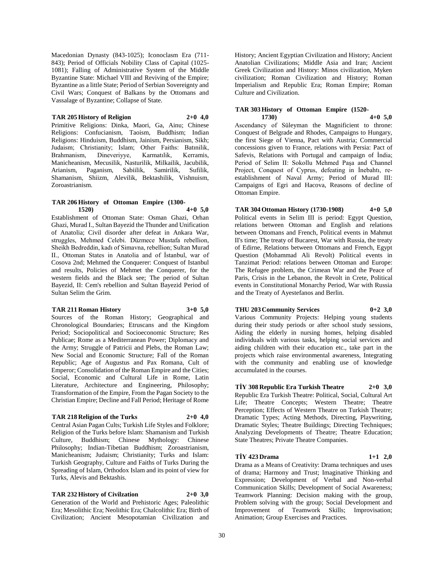Macedonian Dynasty (843-1025); Iconoclasm Era (711- 843); Period of Officials Nobility Class of Capital (1025- 1081); Falling of Administrative System of the Middle Byzantine State: Michael VIII and Reviving of the Empire; Byzantine as a little State; Period of Serbian Sovereignty and Civil Wars; Conquest of Balkans by the Ottomans and Vassalage of Byzantine; Collapse of State.

#### **TAR 205 History of Religion 2+0 4,0**

Primitive Religions: Dinka, Maori, Ga, Ainu; Chinese Religions: Confucianism, Taoism, Buddhism; Indian Religions: Hinduism, Buddhism, Jainism, Persianism, Sikh; Judaism; Christianity; Islam; Other Faiths: Batınilik, Brahmanism, Dineveriyye, Karmatılik, Kerramis, Manicheanism, Mecusilik, Nasturilik, Milkailik, Jacubilik, Arianism, Paganism, Sabiilik, Samirilik, Sufilik, Shamanism, Shiizm, Alevilik, Bektashilik, Vishnuism, Zoroastrianism.

#### **TAR 206 History of Ottoman Empire (1300- 1520) 4+0 5,0**

Establishment of Ottoman State: Osman Ghazi, Orhan Ghazi, Murad I., Sultan Bayezid the Thunder and Unification of Anatolia; Civil disorder after defeat in Ankara War, struggles, Mehmed Celebi. Düzmece Mustafa rebellion, Sheikh Bedreddin, kadı of Simavna, rebellion; Sultan Murad II., Ottoman States in Anatolia and of İstanbul, war of Cosova 2nd; Mehmed the Conquerer: Conquest of Istanbul and results, Policies of Mehmet the Conquerer, for the western fields and the Black see; The period of Sultan Bayezid, II: Cem's rebellion and Sultan Bayezid Period of Sultan Selim the Grim.

#### **TAR 211 Roman History 3+0 5,0**

Sources of the Roman History; Geographical and Chronological Boundaries; Etruscans and the Kingdom Period; Sociopolitical and Socioeconomic Structure; Res Publicae; Rome as a Mediterranean Power; Diplomacy and the Army; Struggle of Patricii and Plebs, the Roman Law; New Social and Economic Structure; Fall of the Roman Republic; Age of Augustus and Pax Romana, Cult of Emperor; Consolidation of the Roman Empire and the Cities; Social, Economic and Cultural Life in Rome, Latin Literature, Architecture and Engineering, Philosophy; Transformation of the Empire, From the Pagan Society to the Christian Empire; Decline and Fall Period; Heritage of Rome

#### **TAR 218 Religion of the Turks 2+0 4,0**

Central Asian Pagan Cults; Turkish Life Styles and Folklore; Religion of the Turks before Islam: Shamanism and Turkish Culture, Buddhism; Chinese Mythology: Chinese Philosophy; Indian-Tibetian Buddhism; Zoroastrianism, Manicheanism; Judaism; Christianity; Turks and Islam: Turkish Geography, Culture and Faiths of Turks During the Spreading of Islam, Orthodox Islam and its point of view for Turks, Alevis and Bektashis.

## **TAR 232 History of Civilzation 2+0 3,0**

Generation of the World and Prehistoric Ages; Paleolithic Era; Mesolithic Era; Neolithic Era; Chalcolithic Era; Birth of Civilization; Ancient Mesopotamian Civilization and History; Ancient Egyptian Civilization and History; Ancient Anatolian Civilizations; Middle Asia and Iran; Ancient Greek Civilization and History: Minos civilization, Myken civilization; Roman Civilization and History; Roman Imperialism and Republic Era; Roman Empire; Roman Culture and Civilization.

## **TAR 303 History of Ottoman Empire (1520- 1730) 4+0 5,0**

Ascendancy of Süleyman the Magnificient to throne: Conquest of Belgrade and Rhodes, Campaigns to Hungary, the first Siege of Vienna, Pact with Austria; Commercial concessions given to France, relations with Persia: Pact of Safevis, Relations with Portugal and campaign of İndia; Period of Selim II: Sokollu Mehmed Paşa and Channel Project, Conquest of Cyprus, defeating in İnebahtı, reestablishment of Naval Army; Period of Murad III: Campaigns of Egri and Hacova, Reasons of decline of Ottoman Empire.

## **TAR 304 Ottoman History (1730-1908) 4+0 5,0**

Political events in Selim III is period: Egypt Question, relations between Ottoman and English and relations between Ottomans and French, Political events in Mahmut II's time; The treaty of Bucarest, War with Russia, the treaty of Edirne, Relations between Ottomans and French, Egypt Question (Mohammad Ali Revolt) Political events in Tanzimat Period: relations between Ottoman and Europe: The Refugee problem, the Crimean War and the Peace of Paris, Crisis in the Lebanon, the Revolt in Crete, Political events in Constitutional Monarchy Period, War with Russia and the Treaty of Ayestefanos and Berlin.

# **THU 203 Community Services 0+2 3,0**

Various Community Projects: Helping young students during their study periods or after school study sessions, Aiding the elderly in nursing homes, helping disabled individuals with various tasks, helping social services and aiding children with their education etc., take part in the projects which raise environmental awareness, Integrating with the community and enabling use of knowledge accumulated in the courses.

## **TİY 308 Republic Era Turkish Theatre 2+0 3,0**

Republic Era Turkish Theatre: Political, Social, Cultural Art Life; Theatre Concepts; Western Theatre; Theatre Perception; Effects of Western Theatre on Turkish Theatre; Dramatic Types; Acting Methods, Directing, Playwriting, Dramatic Styles; Theatre Buildings; Directing Techniques; Analyzing Developments of Theatre; Theatre Education; State Theatres; Private Theatre Companies.

## **TİY 423 Drama 1+1 2,0**

Drama as a Means of Creativity: Drama techniques and uses of drama; Harmony and Trust; Imaginative Thinking and Expression; Development of Verbal and Non-verbal Communication Skills; Development of Social Awareness; Teamwork Planning: Decision making with the group, Problem solving with the group; Social Development and Improvement of Teamwork Skills; Improvisation; Animation; Group Exercises and Practices.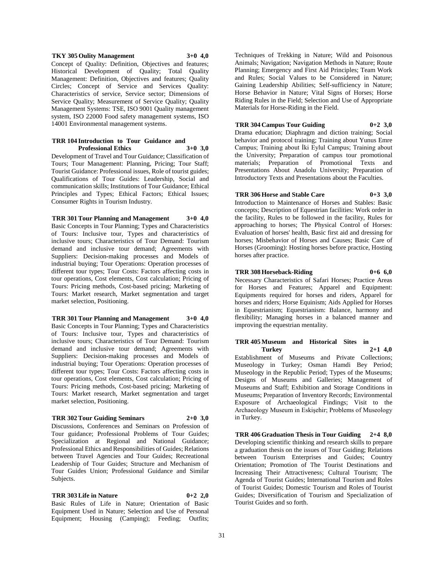## **TKY 305 Oulity Management 3+0 4,0** Concept of Quality: Definition, Objectives and features; Historical Development of Quality; Total Quality Management: Definition, Objectives and features; Quality Circles; Concept of Service and Services Quality: Characteristics of service, Service sector; Dimensions of Service Quality; Measurement of Service Quality; Quality Management Systems: TSE, ISO 9001 Quality management system, ISO 22000 Food safety management systems, ISO 14001 Environmental management systems.

#### **TRR 104 Introduction to Tour Guidance and Professional Ethics 3+0 3,0**

Development of Travel and Tour Guidance; Classification of Tours; Tour Management: Planning, Pricing; Tour Staff; Tourist Guidance: Professional issues, Role of tourist guides; Qualifications of Tour Guides: Leadership, Social and communication skills; Institutions of Tour Guidance; Ethical Principles and Types; Ethical Factors; Ethical Issues; Consumer Rights in Tourism Industry.

## **TRR 301 Tour Planning and Management 3+0 4,0** Basic Concepts in Tour Planning; Types and Characteristics of Tours: Inclusive tour, Types and characteristics of inclusive tours; Characteristics of Tour Demand: Tourism demand and inclusive tour demand; Agreements with Suppliers: Decision-making processes and Models of industrial buying; Tour Operations: Operation processes of different tour types; Tour Costs: Factors affecting costs in tour operations, Cost elements, Cost calculation; Pricing of Tours: Pricing methods, Cost-based pricing; Marketing of Tours: Market research, Market segmentation and target market selection, Positioning.

## **TRR 301 Tour Planning and Management 3+0 4,0** Basic Concepts in Tour Planning; Types and Characteristics of Tours: Inclusive tour, Types and characteristics of inclusive tours; Characteristics of Tour Demand: Tourism demand and inclusive tour demand; Agreements with Suppliers: Decision-making processes and Models of industrial buying; Tour Operations: Operation processes of different tour types; Tour Costs: Factors affecting costs in tour operations, Cost elements, Cost calculation; Pricing of Tours: Pricing methods, Cost-based pricing; Marketing of Tours: Market research, Market segmentation and target market selection, Positioning.

## **TRR 302 Tour Guiding Seminars 2+0 3,0**

Discussions, Conferences and Seminars on Profession of Tour guidance; Professional Problems of Tour Guides; Specialization at Regional and National Guidance; Professional Ethics and Responsibilities of Guides; Relations between Travel Agencies and Tour Guides; Recreational Leadership of Tour Guides; Structure and Mechanism of Tour Guides Union; Professional Guidance and Similar Subjects.

## **TRR 303 Life in Nature 0+2 2,0**

Basic Rules of Life in Nature; Orientation of Basic Equipment Used in Nature; Selection and Use of Personal Equipment; Housing (Camping); Feeding; Outfits;

Techniques of Trekking in Nature; Wild and Poisonous Animals; Navigation; Navigation Methods in Nature; Route Planning; Emergency and First Aid Principles; Team Work and Rules; Social Values to be Considered in Nature; Gaining Leadership Abilities; Self-sufficiency in Nature; Horse Behavior in Nature; Vital Signs of Horses; Horse Riding Rules in the Field; Selection and Use of Appropriate Materials for Horse-Riding in the Field.

## **TRR 304 Campus Tour Guiding 0+2 3,0**

Drama education; Diaphragm and diction training; Social behavior and protocol training; Training about Yunus Emre Campus; Training about İki Eylul Campus; Training about the University; Preparation of campus tour promotional materials; Preparation of Promotional Texts and Presentations About Anadolu University; Preparation of Introductory Texts and Presentations about the Faculties.

## **TRR 306 Horse and Stable Care 0+3 3,0**

Introduction to Maintenance of Horses and Stables: Basic concepts; Description of Equestrian facilities: Work order in the facility, Rules to be followed in the facility, Rules for approaching to horses; The Physical Control of Horses: Evaluation of horses' health, Basic first aid and dressing for horses; Misbehavior of Horses and Causes; Basic Care of Horses (Grooming): Hosting horses before practice, Hosting horses after practice.

## **TRR 308 Horseback-Riding 0+6 6,0**

Necessary Characteristics of Safari Horses; Practice Areas for Horses and Features; Apparel and Equipment: Equipments required for horses and riders, Apparel for horses and riders; Horse Equinism; Aids Applied for Horses in Equestrianism; Equestrianism: Balance, harmony and flexibility; Managing horses in a balanced manner and improving the equestrian mentality.

## **TRR 405 Museum and Historical Sites in Turkey 2+1 4,0**

Establishment of Museums and Private Collections; Museology in Turkey; Osman Hamdi Bey Period; Museology in the Republic Period; Types of the Museums; Designs of Museums and Galleries; Management of Museums and Staff; Exhibition and Storage Conditions in Museums; Preparation of Inventory Records; Environmental Exposure of Archaeological Findings; Visit to the Archaeology Museum in Eskişehir; Problems of Museology in Turkey.

**TRR 406 Graduation Thesis in Tour Guiding 2+4 8,0** Developing scientific thinking and research skills to prepare a graduation thesis on the issues of Tour Guiding; Relations between Tourism Enterprises and Guides; Country Orientation; Promotion of The Tourist Destinations and Increasing Their Attractiveness; Cultural Tourism; The Agenda of Tourist Guides; International Tourism and Roles of Tourist Guides; Domestic Tourism and Roles of Tourist Guides; Diversification of Tourism and Specialization of Tourist Guides and so forth.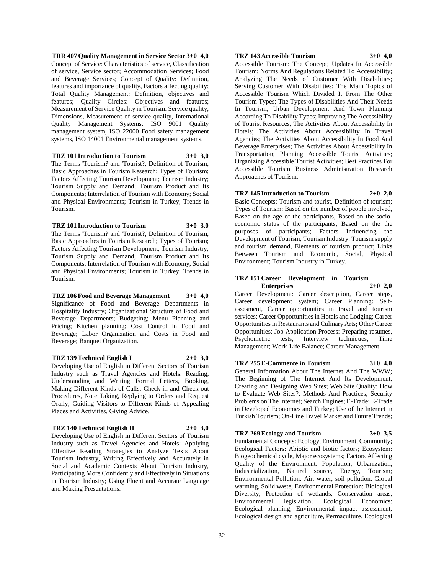**TRR 407 Quality Management in Service Sector 3+0 4,0** Concept of Service: Characteristics of service, Classification of service, Service sector; Accommodation Services; Food and Beverage Services; Concept of Quality: Definition, features and importance of quality, Factors affecting quality; Total Quality Management: Definition, objectives and features; Quality Circles: Objectives and features; Measurement of Service Quality in Tourism: Service quality, Dimensions, Measurement of service quality, International Quality Management Systems: ISO 9001 Quality management system, ISO 22000 Food safety management systems, ISO 14001 Environmental management systems.

## **TRZ 101 Introduction to Tourism 3+0 3,0**

The Terms 'Tourism? and 'Tourist?; Definition of Tourism; Basic Approaches in Tourism Research; Types of Tourism; Factors Affecting Tourism Development; Tourism Industry; Tourism Supply and Demand; Tourism Product and Its Components; Interrelation of Tourism with Economy; Social and Physical Environments; Tourism in Turkey; Trends in Tourism.

**TRZ 101 Introduction to Tourism 3+0 3,0** The Terms 'Tourism? and 'Tourist?; Definition of Tourism; Basic Approaches in Tourism Research; Types of Tourism; Factors Affecting Tourism Development; Tourism Industry; Tourism Supply and Demand; Tourism Product and Its Components; Interrelation of Tourism with Economy; Social and Physical Environments; Tourism in Turkey; Trends in Tourism.

## **TRZ 106 Food and Beverage Management 3+0 4,0** Significance of Food and Beverage Departments in Hospitality Industry; Organizational Structure of Food and Beverage Departments; Budgeting; Menu Planning and Pricing; Kitchen planning; Cost Control in Food and Beverage; Labor Organization and Costs in Food and Beverage; Banquet Organization.

**TRZ 139 Technical English I 2+0 3,0**

Developing Use of English in Different Sectors of Tourism Industry such as Travel Agencies and Hotels: Reading, Understanding and Writing Formal Letters, Booking, Making Different Kinds of Calls, Check-in and Check-out Procedures, Note Taking, Replying to Orders and Request Orally, Guiding Visitors to Different Kinds of Appealing Places and Activities, Giving Advice.

### **TRZ 140 Technical English II 2+0 3,0**

Developing Use of English in Different Sectors of Tourism Industry such as Travel Agencies and Hotels: Applying Effective Reading Strategies to Analyze Texts About Tourism Industry, Writing Effectively and Accurately in Social and Academic Contexts About Tourism Industry, Participating More Confidently and Effectively in Situations in Tourism Industry; Using Fluent and Accurate Language and Making Presentations.

#### **TRZ 143 Accessible Tourism 3+0 4,0**

Accessible Tourism: The Concept; Updates In Accessible Tourism; Norms And Regulations Related To Accessibility; Analyzing The Needs of Customer With Disabilities; Serving Customer With Disabilities; The Main Topics of Accessible Tourism Which Divided It From The Other Tourism Types; The Types of Disabilities And Their Needs In Tourism; Urban Development And Town Planning According To Disability Types; Improving The Accessibility of Tourist Resources; The Activities About Accessibility In Hotels; The Activities About Accessibility In Travel Agencies; The Activities About Accessibility In Food And Beverage Enterprises; The Activities About Accessibility In Transportation; Planning Accessible Tourist Activities; Organizing Accessible Tourist Activities; Best Practices For Accessible Tourism Business Administration Research Approaches of Tourism.

#### **TRZ 145 Introduction to Tourism 2+0 2,0**

Basic Concepts: Tourism and tourist, Definition of tourism; Types of Tourism: Based on the number of people involved, Based on the age of the participants, Based on the socioeconomic status of the participants, Based on the the purposes of participants; Factors Influencing the Development of Tourism; Tourism Industry: Tourism supply and tourism demand, Elements of tourism product; Links Between Tourism and Economic, Social, Physical Environment; Tourism Industry in Turkey.

#### **TRZ 151 Career Development in Tourism Enterprises 2+0 2,0**

Career Development: Career description, Career steps, Career development system; Career Planning: Selfassesment, Career opportunities in travel and tourism services; Career Opportunities in Hotels and Lodging; Career Opportunities in Restaurants and Culinary Arts; Other Career Opportunities; Job Application Process: Preparing resumes, Psychometric tests, Interview techniques; Time Management; Work-Life Balance; Career Management.

**TRZ 255 E-Commerce in Tourism 3+0 4,0** General Information About The Internet And The WWW; The Beginning of The Internet And Its Development; Creating and Designing Web Sites; Web Site Quality; How to Evaluate Web Sites?; Methods And Practices; Security Problems on The Internet; Search Engines; E-Trade; E-Trade in Developed Economies and Turkey; Use of the Internet in Turkish Tourism; On-Line Travel Market and Future Trends;

#### **TRZ 269 Ecology and Tourism 3+0 3,5**

Fundamental Concepts: Ecology, Environment, Community; Ecological Factors: Abiotic and biotic factors; Ecosystem: Biogeochemical cycle, Major ecosystems; Factors Affecting Quality of the Environment: Population, Urbanization, Industrialization, Natural source, Energy, Tourism; Environmental Pollution: Air, water, soil pollution, Global warming, Solid waste; Environmental Protection: Biological Diversity, Protection of wetlands, Conservation areas, Environmental legislation; Ecological Economics: Ecological planning, Environmental impact assessment, Ecological design and agriculture, Permaculture, Ecological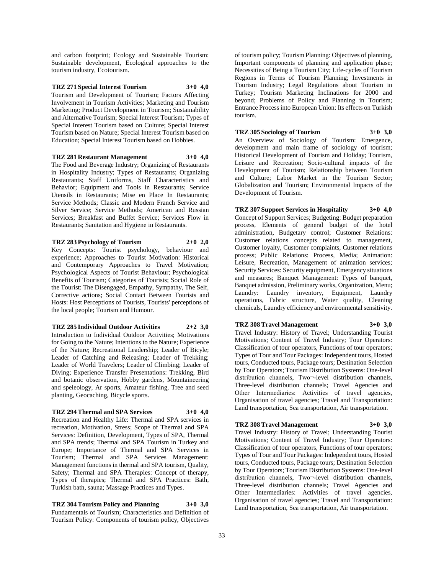and carbon footprint; Ecology and Sustainable Tourism: Sustainable development, Ecological approaches to the tourism industry, Ecotourism.

#### **TRZ 271 Special Interest Tourism 3+0 4,0**

Tourism and Development of Tourism; Factors Affecting Involvement in Tourism Activities; Marketing and Tourism Marketing; Product Development in Tourism; Sustainability and Alternative Tourism; Special Interest Tourism; Types of Special Interest Tourism based on Culture; Special Interest Tourism based on Nature; Special Interest Tourism based on Education; Special Interest Tourism based on Hobbies.

#### **TRZ 281 Restaurant Management 3+0 4,0**

The Food and Beverage Industry; Organizing of Restaurants in Hospitality Industry; Types of Restaurants; Organizing Restaurants; Staff Uniforms, Staff Characteristics and Behavior; Equipment and Tools in Restaurants; Service Utensils in Restaurants; Mise en Place In Restaurants; Service Methods; Classic and Modern Franch Service and Silver Service; Service Methods; American and Russian Services; Breakfast and Buffet Service; Services Flow in Restaurants; Sanitation and Hygiene in Restaurants.

**TRZ 283 Psychology of Tourism 2+0 2,0** Key Concepts: Tourist psychology, behaviour and experience; Approaches to Tourist Motivation: Historical and Contemporary Approaches to Travel Motivation; Psychological Aspects of Tourist Behaviour; Psychological Benefits of Tourism; Categories of Tourists; Social Role of the Tourist: The Disengaged, Empathy, Sympathy, The Self, Corrective actions; Social Contact Between Tourists and Hosts: Host Perceptions of Tourists, Tourists' perceptions of the local people; Tourism and Humour.

**TRZ 285 Individual Outdoor Activities 2+2 3,0** Introduction to Individual Outdoor Activities; Motivations for Going to the Nature; Intentions to the Nature; Experience of the Nature; Recreational Leadership; Leader of Bicyle; Leader of Catching and Releasing; Leader of Trekking; Leader of World Travelers; Leader of Climbing; Leader of Diving; Experience Transfer Presentations: Trekking, Bird and botanic observation, Hobby gardens, Mountaineering and speleology, Ar sports, Amateur fishing, Tree and seed planting, Geocaching, Bicycle sports.

## **TRZ 294 Thermal and SPA Services 3+0 4,0**

Recreation and Healthy Life: Thermal and SPA services in recreation, Motivation, Stress; Scope of Thermal and SPA Services: Definition, Development, Types of SPA, Thermal and SPA trends; Thermal and SPA Tourism in Turkey and Europe; Importance of Thermal and SPA Services in Tourism; Thermal and SPA Services Management: Management functions in thermal and SPA tourism, Quality, Safety; Thermal and SPA Therapies: Concept of therapy, Types of therapies; Thermal and SPA Practices: Bath, Turkish bath, sauna; Massage Practices and Types.

**TRZ 304 Tourism Policy and Planning 3+0 3,0** Fundamentals of Tourism; Characteristics and Definition of Tourism Policy: Components of tourism policy, Objectives

of tourism policy; Tourism Planning: Objectives of planning, Important components of planning and application phase; Necessities of Being a Tourism City; Life-cycles of Tourism Regions in Terms of Tourism Planning; Investments in Tourism Industry; Legal Regulations about Tourism in Turkey; Tourism Marketing Inclinations for 2000 and beyond; Problems of Policy and Planning in Tourism; Entrance Process into European Union: Its effects on Turkish tourism.

**TRZ 305 Sociology of Tourism 3+0 3,0** An Overview of Sociology of Tourism: Emergence, development and main frame of sociology of tourism; Historical Development of Tourism and Holiday; Tourism, Leisure and Recreation; Socio-cultural impacts of the Development of Tourism; Relationship between Tourism and Culture; Labor Market in the Tourism Sector;

Globalization and Tourism; Environmental Impacts of the

**TRZ 307 Support Services in Hospitality 3+0 4,0** Concept of Support Services; Budgeting: Budget preparation process, Elements of general budget of the hotel administration, Budgetary control; Customer Relations: Customer relations concepts related to management, Customer loyalty, Customer complaints, Customer relations process; Public Relations: Process, Media; Animation: Leisure, Recreation, Management of animation services; Security Services: Security equipment, Emergency situations and measures; Banquet Management: Types of banquet, Banquet admission, Preliminary works, Organization, Menu; Laundry: Laundry inventory, Equipment, Laundry operations, Fabric structure, Water quality, Cleaning chemicals, Laundry efficiency and environmental sensitivity.

## **TRZ 308 Travel Management 3+0 3,0**

Development of Tourism.

Travel Industry: History of Travel; Understanding Tourist Motivations; Content of Travel Industry; Tour Operators: Classification of tour operators, Functions of tour operators; Types of Tour and Tour Packages: Independent tours, Hosted tours, Conducted tours, Package tours; Destination Selection by Tour Operators; Tourism Distribution Systems: One-level distribution channels, Two¬-level distribution channels, Three-level distribution channels; Travel Agencies and Other Intermediaries: Activities of travel agencies, Organisation of travel agencies; Travel and Transportation: Land transportation, Sea transportation, Air transportation.

## **TRZ 308 Travel Management 3+0 3,0**

Travel Industry: History of Travel; Understanding Tourist Motivations; Content of Travel Industry; Tour Operators: Classification of tour operators, Functions of tour operators; Types of Tour and Tour Packages: Independent tours, Hosted tours, Conducted tours, Package tours; Destination Selection by Tour Operators; Tourism Distribution Systems: One-level distribution channels, Two--level distribution channels, Three-level distribution channels; Travel Agencies and Other Intermediaries: Activities of travel agencies, Organisation of travel agencies; Travel and Transportation: Land transportation, Sea transportation, Air transportation.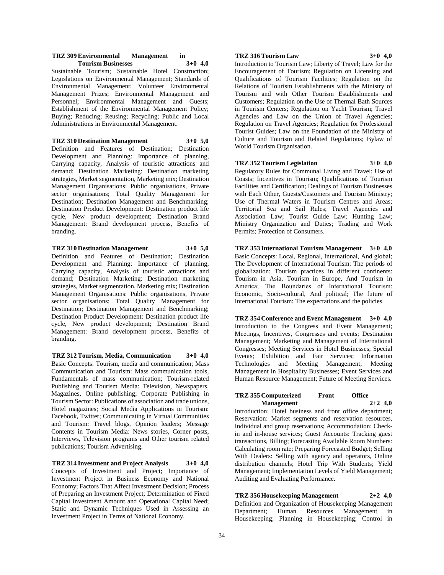#### **TRZ 309 Environmental Management in Tourism Businesses 3+0 4,0**

Sustainable Tourism; Sustainable Hotel Construction; Legislations on Environmental Management; Standards of Environmental Management; Volunteer Environmental Management Prizes; Environmental Management and Personnel; Environmental Management and Guests; Establishment of the Environmental Management Policy; Buying; Reducing; Reusing; Recycling; Public and Local Administrations in Environmental Management.

**TRZ 310 Destination Management 3+0 5,0** Definition and Features of Destination; Destination Development and Planning: Importance of planning, Carrying capacity, Analysis of touristic attractions and demand; Destination Marketing: Destination marketing strategies, Market segmentation, Marketing mix; Destination Management Organisations: Public organisations, Private sector organisations; Total Quality Management for Destination; Destination Management and Benchmarking; Destination Product Development: Destination product life cycle, New product development; Destination Brand Management: Brand development process, Benefits of branding.

**TRZ 310 Destination Management 3+0 5,0**

Definition and Features of Destination; Destination Development and Planning: Importance of planning, Carrying capacity, Analysis of touristic attractions and demand; Destination Marketing: Destination marketing strategies, Market segmentation, Marketing mix; Destination Management Organisations: Public organisations, Private sector organisations; Total Quality Management for Destination; Destination Management and Benchmarking; Destination Product Development: Destination product life cycle, New product development; Destination Brand Management: Brand development process, Benefits of branding.

**TRZ 312 Tourism, Media, Communication 3+0 4,0** Basic Concepts: Tourism, media and communication; Mass Communication and Tourism: Mass communication tools, Fundamentals of mass communication; Tourism-related Publishing and Tourism Media: Television, Newspapers, Magazines, Online publishing; Corporate Publishing in Tourism Sector: Publications of association and trade unions, Hotel magazines; Social Media Applications in Tourism: Facebook, Twitter; Communicating in Virtual Communities and Tourism: Travel blogs, Opinion leaders; Message Contents in Tourism Media: News stories, Corner posts, Interviews, Television programs and Other tourism related publications; Tourism Advertising.

**TRZ 314 Investment and Project Analysis 3+0 4,0** Concepts of Investment and Project; Importance of Investment Project in Business Economy and National Economy; Factors That Affect Investment Decision; Process of Preparing an Investment Project; Determination of Fixed Capital Investment Amount and Operational Capital Need; Static and Dynamic Techniques Used in Assessing an Investment Project in Terms of National Economy.

#### **TRZ 316 Tourism Law 3+0 4,0**

Introduction to Tourism Law; Liberty of Travel; Law for the Encouragement of Tourism; Regulation on Licensing and Qualifications of Tourism Facilities; Regulation on the Relations of Tourism Establishments with the Ministry of Tourism and with Other Tourism Establishments and Customers; Regulation on the Use of Thermal Bath Sources in Tourism Centers; Regulation on Yacht Tourism; Travel Agencies and Law on the Union of Travel Agencies; Regulation on Travel Agencies; Regulation for Professional Tourist Guides; Law on the Foundation of the Ministry of Culture and Tourism and Related Regulations; Bylaw of World Tourism Organisation.

#### **TRZ 352 Tourism Legislation 3+0 4,0**

Regulatory Rules for Communal Living and Travel; Use of Coasts; Incentives in Tourism; Qualifications of Tourism Facilities and Certification; Dealings of Tourism Businesses with Each Other, Guests/Customers and Tourism Ministry; Use of Thermal Waters in Tourism Centres and Areas; Territorial Sea and Sail Rules; Travel Agencies and Association Law; Tourist Guide Law; Hunting Law; Ministry Organization and Duties; Trading and Work Permits; Protection of Consumers.

**TRZ 353 International Tourism Management 3+0 4,0** Basic Concepts: Local, Regional, International, And global; The Development of International Tourism: The periods of globalization: Tourism practices in different continents: Tourism in Asia, Tourism in Europe, And Tourism in America; The Boundaries of İnternational Tourism: Economic, Socio-cultural, And political; The future of International Tourism: The expectations and the policies.

**TRZ 354 Conference and Event Management 3+0 4,0** Introduction to the Congress and Event Management; Meetings, Incentives, Congresses and events; Destination Management; Marketing and Management of International Congresses; Meeting Services in Hotel Businesses; Special Events; Exhibition and Fair Services; Information Technologies and Meeting Management; Meeting Management in Hospitality Businesses; Event Services and Human Resource Management; Future of Meeting Services.

#### **TRZ 355 Computerized Front Office Management 2+2 4,0**

Introduction: Hotel business and front office department; Reservation: Market segments and reservation resources, Individual and group reservations; Accommodation: Checkin and in-house services; Guest Accounts: Tracking guest transactions, Billing; Forecasting Available Room Numbers: Calculating room rate; Preparing Forecasted Budget; Selling With Dealers: Selling with agency and operators, Online distribution channels; Hotel Trip With Students; Yield Management; Implementation Levels of Yield Management; Auditing and Evaluating Performance.

## **TRZ 356 Housekeeping Management 2+2 4,0**

Definition and Organization of Housekeeping Management Department; Human Resources Management in Housekeeping; Planning in Housekeeping; Control in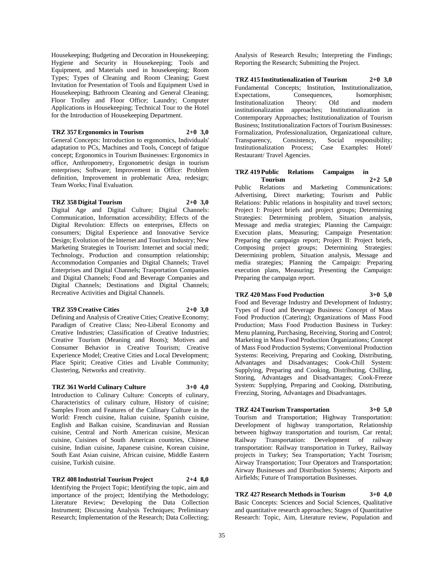Housekeeping; Budgeting and Decoration in Housekeeping; Hygiene and Security in Housekeeping; Tools and Equipment, and Materials used in housekeeping; Room Types; Types of Cleaning and Room Cleaning; Guest Invitation for Presentation of Tools and Equipment Used in Housekeeping; Bathroom Cleaning and General Cleaning; Floor Trolley and Floor Office; Laundry; Computer Applications in Housekeeping; Technical Tour to the Hotel for the Introduction of Housekeeping Department.

**TRZ 357 Ergonomics in Tourism 2+0 3,0** General Concepts: Introduction to ergonomics, Individuals' adaptation to PCs, Machines and Tools, Concept of fatigue concept; Ergonomics in Tourism Businesses: Ergonomics in office, Anthropometry, Ergonometric design in tourism enterprises; Software; Improvement in Office: Problem definition, Improvement in problematic Area, redesign; Team Works; Final Evaluation.

#### **TRZ 358 Digital Tourism 2+0 3,0**

Digital Age and Digital Culture; Digital Channels: Communication, Information accessibility; Effects of the Digital Revolution: Effects on enterprises, Effects on consumers; Digital Experience and Innovative Service Design; Evolution of the Internet and Tourism Industry; New Marketing Strategies in Tourism: Internet and social medi; Technology, Production and consumption relationship; Accommodation Companies and Digital Channels; Travel Enterprises and Digital Channels; Trasportation Companies and Digital Channels; Food and Beverage Companies and Digital Channels; Destinations and Digital Channels; Recreative Activities and Digital Channels.

#### **TRZ 359 Creative Cities 2+0 3,0**

Defining and Analysis of Creative Cities; Creative Economy; Paradigm of Creative Class; Neo-Liberal Economy and Creative Industries; Classification of Creative Industries; Creative Tourism (Meaning and Roots); Motives and Consumer Behavior in Creative Tourism; Creative Experience Model; Creative Cities and Local Development; Place Spirit; Creative Cities and Livable Community; Clustering, Networks and creativity.

## **TRZ 361 World Culinary Culture 3+0 4,0**

Introduction to Culinary Culture: Concepts of culinary, Characteristics of culinary culture, History of cuisine; Samples From and Features of the Culinary Culture in the World: French cuisine, Italian cuisine, Spanish cuisine, English and Balkan cuisine, Scandinavian and Russian cuisine, Central and North American cuisine, Mexican cuisine, Cuisines of South American countries, Chinese cuisine, Indian cuisine, Japanese cuisine, Korean cuisine, South East Asian cuisine, African cuisine, Middle Eastern cuisine, Turkish cuisine.

**TRZ 408 Industrial Tourism Project 2+4 8,0** Identifying the Project Topic; Identifying the topic, aim and importance of the project; Identifying the Methodology; Literature Review; Developing the Data Collection Instrument; Discussing Analysis Techniques; Preliminary Research; Implementation of the Research; Data Collecting;

Analysis of Research Results; Interpreting the Findings; Reporting the Research; Submitting the Project.

**TRZ 415 Institutionalization of Tourism 2+0 3,0** Fundamental Concepts; Institution, Institutionalization, Expectations, Consequences, Isomorphism; Institutionalization Theory: Old and modern institutionalization approaches; Institutionalization in Contemporary Approaches; Institutionalization of Tourism Business; Institutionalization Factors of Tourism Businesses: Formalization, Professionalization, Organizational culture, Transparency, Consistency, Social responsibility; Institutionalization Process; Case Examples: Hotel/ Restaurant/ Travel Agencies.

## **TRZ 419 Public Relations Campaigns in Tourism 2+2 5,0**

Public Relations and Marketing Communications: Advertising, Direct marketing; Tourism and Public Relations: Public relations in hospitality and travel sectors; Project I: Project briefs and project groups; Determining Strategies: Determining problem, Situation analysis, Message and media strategies; Planning the Campaign: Execution plans, Measuring; Campaign Presentation: Preparing the campaign report; Project II: Project briefs, Composing project groups; Determining Strategies: Determining problem, Situation analysis, Message and media strategies; Planning the Campaign: Preparing execution plans, Measuring; Presenting the Campaign: Preparing the campaign report.

## **TRZ 420 Mass Food Production 3+0 5,0**

Food and Beverage Industry and Development of Industry; Types of Food and Beverage Business: Concept of Mass Food Production (Catering); Organizations of Mass Food Production; Mass Food Production Business in Turkey: Menu planning, Purchasing, Receiving, Storing and Control; Marketing in Mass Food Production Organizations; Concept of Mass Food Production Systems; Conventional Production Systems: Receiving, Preparing and Cooking, Distributing, Advantages and Disadvantages; Cook-Chill System: Supplying, Preparing and Cooking, Distributing, Chilling, Storing, Advantages and Disadvantages; Cook-Freeze System: Supplying, Preparing and Cooking, Distributing, Freezing, Storing, Advantages and Disadvantages.

## **TRZ 424 Tourism Transportation 3+0 5,0**

Tourism and Transportation; Highway Transportation: Development of highway transportation, Relationship between highway transportation and tourism, Car rental; Railway Transportation: Development of railway transportation: Railway transportation in Turkey, Railway projects in Turkey; Sea Transportation; Yacht Tourism; Airway Transportation; Tour Operators and Transportation; Airway Businesses and Distribution Systems; Airports and Airfields; Future of Transportation Businesses.

## **TRZ 427 Research Methods in Tourism 3+0 4,0**

Basic Concepts: Sciences and Social Sciences, Qualitative and quantitative research approaches; Stages of Quantitative Research: Topic, Aim, Literature review, Population and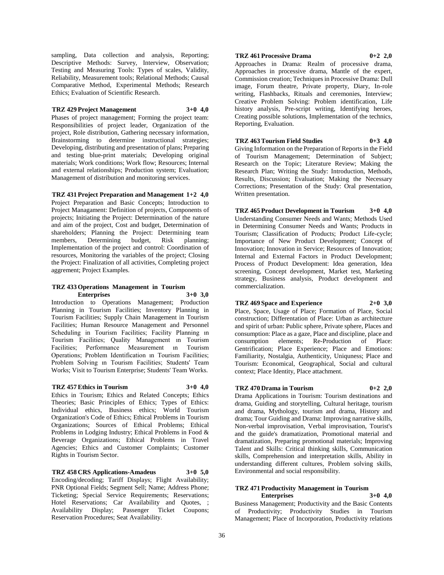sampling, Data collection and analysis, Reporting; Descriptive Methods: Survey, Interview, Observation; Testing and Measuring Tools: Types of scales, Validity, Reliability, Measurement tools; Relational Methods; Causal Comparative Method, Experimental Methods; Research Ethics; Evaluation of Scientific Research.

## **TRZ 429 Project Management 3+0 4,0**

Phases of project management; Forming the project team: Responsibilities of project leader, Organization of the project, Role distribution, Gathering necessary information, Brainstorming to determine instructional strategies; Developing, distributing and presentation of plans; Preparing and testing blue-print materials; Developing original materials; Work conditions; Work flow; Resources; Internal and external relationships; Production system; Evaluation; Management of distribution and monitoring services.

## **TRZ 431 Project Preparation and Management 1+2 4,0**

Project Preparation and Basic Concepts; Introduction to Project Managament: Definition of projects, Components of projects; Initiating the Project: Determination of the nature and aim of the project, Cost and budget, Determination of shareholders; Planning the Project: Determining team members, Determining budget, Risk planning; Implementation of the project and control: Coordination of resources, Monitoring the variables of the project; Closing the Project: Finalization of all activities, Completing project aggrement; Project Examples.

#### **TRZ 433 Operations Management in Tourism Enterprises 3+0 3,0**

Introduction to Operations Management; Production Planning in Tourism Facilities; Inventory Planning in Tourism Facilities; Supply Chain Management in Tourism Facilities; Human Resource Management and Personnel Scheduling in Tourism Facilities; Facility Planning in Tourism Facilities; Quality Management ın Tourism Facilities; Performance Measurement ın Tourism Operations; Problem Identification ın Tourism Facilities; Problem Solving ın Tourism Facilities; Students' Team Works; Visit to Tourism Enterprise; Students' Team Works.

#### **TRZ 457 Ethics in Tourism 3+0 4,0**

Ethics in Tourism; Ethics and Related Concepts; Ethics Theories; Basic Principles of Ethics; Types of Ethics: Individual ethics, Business ethics; World Tourism Organization's Code of Ethics; Ethical Problems in Tourism Organizations; Sources of Ethical Problems; Ethical Problems in Lodging Industry; Ethical Problems in Food & Beverage Organizations; Ethical Problems in Travel Agencies; Ethics and Customer Complaints; Customer Rights in Tourism Sector.

## **TRZ 458 CRS Applications-Amadeus 3+0 5,0**

Encoding/decoding; Tariff Displays; Flight Availability; PNR Optional Fields; Segment Sell; Name; Address Phone; Ticketing; Special Service Requirements; Reservations; Hotel Reservations; Car Availability and Quotes, ; Availability Display; Passenger Ticket Coupons; Reservation Procedures; Seat Availability.

## **TRZ 461 Processive Drama 0+2 2,0**

Approaches in Drama: Realm of processive drama, Approaches in processive drama, Mantle of the expert, Commission creation; Techniques in Processive Drama: Dull image, Forum theatre, Private property, Diary, In-role writing, Flashbacks, Rituals and ceremonies, Interview; Creative Problem Solving: Problem identification, Life history analysis, Pre-script writing, Identifying heroes, Creating possible solutions, Implementation of the technics, Reporting, Evaluation.

**TRZ 463 Tourism Field Studies 0+3 4,0** Giving Information on the Preparation of Reports in the Field of Tourism Management; Determination of Subject;

Research on the Topic; Literature Review; Making the Research Plan; Writing the Study: Introduction, Methods, Results, Discussion; Evaluation; Making the Necessary Corrections; Presentation of the Study: Oral presentation, Written presentation.

**TRZ 465 Product Development in Tourism 3+0 4,0** Understanding Consumer Needs and Wants; Methods Used in Determining Consumer Needs and Wants; Products in Tourism; Classification of Products; Product Life-cycle; Importance of New Product Development; Concept of Innovation; Innovation in Service; Resources of Innovation; Internal and External Factors in Product Development; Process of Product Development: Idea generation, Idea screening, Concept development, Market test, Marketing strategy, Business analysis, Product development and commercialization.

## **TRZ 469 Space and Experience 2+0 3,0**

Place, Space, Usage of Place; Formation of Place, Social construction; Differentation of Place: Urban as architecture and spirit of urban: Public sphere, Private sphere, Places and consumption: Place as a gaze, Place and discipline, place and consumption elements; Re-Production of Place: Gentrification; Place Experience; Place and Emotions: Familiarity, Nostalgia, Authenticity, Uniquness; Place and Tourism: Economical, Geographical, Social and cultural context; Place Identity, Place attachment.

## **TRZ 470 Drama in Tourism 0+2 2,0**

Drama Applications in Tourism: Tourism destinations and drama, Guiding and storytelling, Cultural heritage, tourism and drama, Mythology, tourism and drama, History and drama; Tour Guiding and Drama: Improving narrative skills, Non-verbal improvisation, Verbal improvisation, Tourist's and the guide's dramatization, Promotional material and dramatization, Preparing promotional materials; Improving Talent and Skills: Critical thinking skills, Communication skills, Comprehension and interpretation skills, Ability in understanding different cultures, Problem solving skills, Environmental and social responsibility.

# **TRZ 471 Productivity Management in Tourism**

**Enterprises 3+0 4,0** Business Management; Productivity and the Basic Contents of Productivity; Productivity Studies in Tourism Management; Place of Incorporation, Productivity relations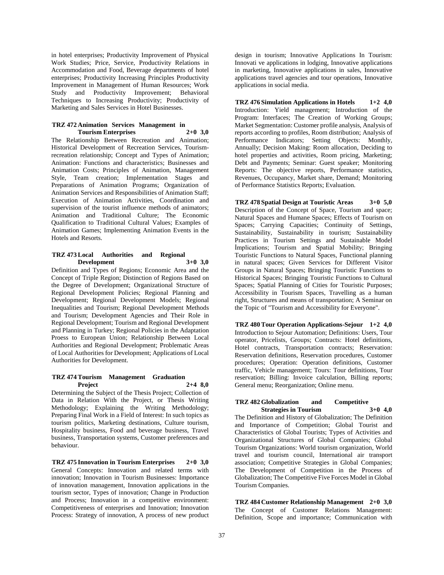in hotel enterprises; Productivity Improvement of Physical Work Studies; Price, Service, Productivity Relations in Accommodation and Food, Beverage departments of hotel enterprises; Productivity Increasing Principles Productivity Improvement in Management of Human Resources; Work Study and Productivity Improvement; Behavioral Techniques to Increasing Productivity; Productivity of Marketing and Sales Services in Hotel Businesses.

#### **TRZ 472 Animation Services Management in Tourism Enterprises 2+0 3,0**

The Relationship Between Recreation and Animation; Historical Development of Recreation Services, Tourismrecreation relationship; Concept and Types of Animation; Animation: Functions and characteristics; Businesses and Animation Costs; Principles of Animation, Management Style, Team creation; Implementation Stages and Preparations of Animation Programs; Organization of Animation Services and Responsibilities of Animation Staff; Execution of Animation Activities, Coordination and supervision of the tourist influence methods of animators; Animation and Traditional Culture; The Economic Qualification to Traditional Cultural Values; Examples of Animation Games; Implementing Animation Events in the Hotels and Resorts.

#### **TRZ 473 Local Authorities and Regional Development 3+0 3,0**

Definition and Types of Regions; Economic Area and the Concept of Triple Region; Distinction of Regions Based on the Degree of Development; Organizational Structure of Regional Development Policies; Regional Planning and Development; Regional Development Models; Regional Inequalities and Tourism; Regional Development Methods and Tourism; Development Agencies and Their Role in Regional Development; Tourism and Regional Development and Planning in Turkey; Regional Policies in the Adaptation Proess to European Union; Relationship Between Local Authorities and Regional Development; Problematic Areas of Local Authorities for Development; Applications of Local Authorities for Development.

#### **TRZ 474 Tourism Management Graduation Project 2+4 8,0**

Determining the Subject of the Thesis Project; Collection of Data in Relation With the Project, or Thesis Writing Methodology; Explaining the Writing Methodology; Preparing Final Work in a Field of Interest: In such topics as tourism politics, Marketing destinations, Culture tourism, Hospitality business, Food and beverage business, Travel business, Transportation systems, Customer preferences and behaviour.

**TRZ 475 Innovation in Tourism Enterprises 2+0 3,0** General Concepts: Innovation and related terms with innovation; Innovation in Tourism Businesses: Importance of innovation management, Innovation applications in the tourism sector, Types of innovation; Change in Production and Process; Innovation in a competitive environment: Competitiveness of enterprises and Innovation; Innovation Process: Strategy of innovation, A process of new product

design in tourism; Innovative Applications In Tourism: Innovati ve applications in lodging, Innovative applications in marketing, Innovative applications in sales, Innovative applications travel agencies and tour operations, Innovative applications in social media.

**TRZ 476 Simulation Applications in Hotels 1+2 4,0** Introduction: Yield management; Introduction of the Program: Interfaces; The Creation of Working Groups; Market Segmentation: Customer profile analysis, Analysis of reports according to profiles, Room distribution; Analysis of Performance Indicators; Setting Objects: Monthly, Annually; Decision Making: Room allocation, Deciding to hotel properties and activities, Room pricing, Marketing; Debt and Payments; Seminar: Guest speaker; Monitoring Reports: The objective reports, Performance statistics, Revenues, Occupancy, Market share, Demand; Monitoring of Performance Statistics Reports; Evaluation.

**TRZ 478 Spatial Design at Touristic Areas 3+0 5,0** Description of the Concept of Space, Tourism and space; Natural Spaces and Humane Spaces; Effects of Tourism on Spaces; Carrying Capacities; Continuity of Settings, Sustainability, Sustainability in tourism; Sustainability Practices in Tourism Settings and Sustainable Model İmplications; Tourism and Spatial Mobility; Bringing Touristic Functions to Natural Spaces, Functional planning in natural spaces; Given Services for Different Visitor Groups in Natural Spaces; Bringing Touristic Functions to Historical Spaces; Bringing Touristic Functions to Cultural Spaces; Spatial Planning of Cities for Touristic Purposes; Accessibility in Tourism Spaces, Travelling as a human right, Structures and means of transportation; A Seminar on the Topic of "Tourism and Accessibility for Everyone".

**TRZ 480 Tour Operation Applications-Sejour 1+2 4,0** Introduction to Sejour Automation; Definitions: Users, Tour operator, Pricelists, Groups; Contracts: Hotel definitions, Hotel contracts, Transportation contracts; Reservation: Reservation definitions, Reservation procedures, Customer procedures; Operation: Operation definitions, Customer traffic, Vehicle management; Tours: Tour definitions, Tour reservation; Billing: Invoice calculation, Billing reports; General menu; Reorganization; Online menu.

#### **TRZ 482 Globalization and Competitive Strategies in Tourism 3+0 4,0**

The Definition and History of Globalization; The Definition and Importance of Competition; Global Tourist and Characteristics of Global Tourists; Types of Activities and Organizational Structures of Global Companies; Global Tourism Organizations: World tourism organization, World travel and tourism council, International air transport association; Competitive Strategies in Global Companies; The Development of Competition in the Process of Globalization; The Competitive Five Forces Model in Global Tourism Companies.

**TRZ 484 Customer Relationship Management 2+0 3,0** The Concept of Customer Relations Management: Definition, Scope and importance; Communication with